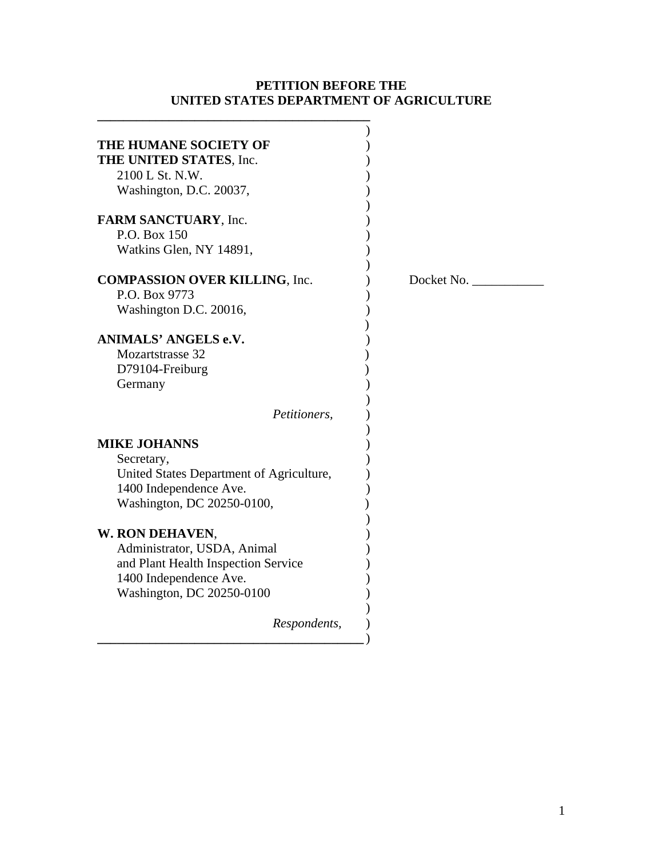# **PETITION BEFORE THE UNITED STATES DEPARTMENT OF AGRICULTURE**

**\_\_\_\_\_\_\_\_\_\_\_\_\_\_\_\_\_\_\_\_\_\_\_\_\_\_\_\_\_\_\_\_\_\_\_\_\_\_\_\_\_\_** 

| THE HUMANE SOCIETY OF                    |            |
|------------------------------------------|------------|
| THE UNITED STATES, Inc.                  |            |
| 2100 L St. N.W.                          |            |
| Washington, D.C. 20037,                  |            |
|                                          |            |
| FARM SANCTUARY, Inc.                     |            |
| P.O. Box 150                             |            |
| Watkins Glen, NY 14891,                  |            |
| <b>COMPASSION OVER KILLING, Inc.</b>     | Docket No. |
| P.O. Box 9773                            |            |
| Washington D.C. 20016,                   |            |
|                                          |            |
| ANIMALS' ANGELS e.V.                     |            |
| Mozartstrasse 32                         |            |
| D79104-Freiburg                          |            |
| Germany                                  |            |
|                                          |            |
| Petitioners,                             |            |
| <b>MIKE JOHANNS</b>                      |            |
| Secretary,                               |            |
| United States Department of Agriculture, |            |
| 1400 Independence Ave.                   |            |
| Washington, DC 20250-0100,               |            |
|                                          |            |
| W. RON DEHAVEN,                          |            |
| Administrator, USDA, Animal              |            |
| and Plant Health Inspection Service      |            |
| 1400 Independence Ave.                   |            |
| Washington, DC 20250-0100                |            |
| Respondents,                             |            |
|                                          |            |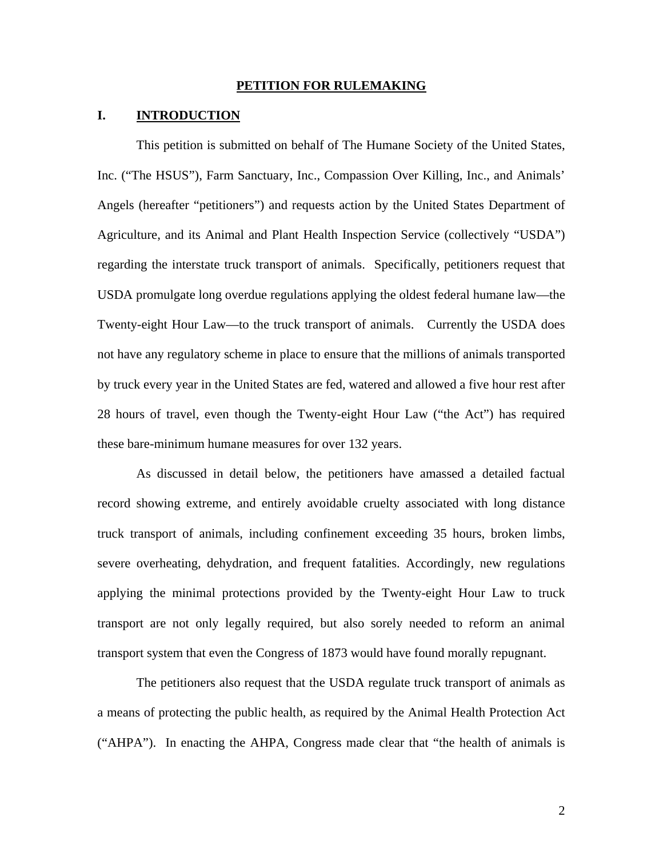#### **PETITION FOR RULEMAKING**

### **I. INTRODUCTION**

This petition is submitted on behalf of The Humane Society of the United States, Inc. ("The HSUS"), Farm Sanctuary, Inc., Compassion Over Killing, Inc., and Animals' Angels (hereafter "petitioners") and requests action by the United States Department of Agriculture, and its Animal and Plant Health Inspection Service (collectively "USDA") regarding the interstate truck transport of animals. Specifically, petitioners request that USDA promulgate long overdue regulations applying the oldest federal humane law—the Twenty-eight Hour Law—to the truck transport of animals. Currently the USDA does not have any regulatory scheme in place to ensure that the millions of animals transported by truck every year in the United States are fed, watered and allowed a five hour rest after 28 hours of travel, even though the Twenty-eight Hour Law ("the Act") has required these bare-minimum humane measures for over 132 years.

As discussed in detail below, the petitioners have amassed a detailed factual record showing extreme, and entirely avoidable cruelty associated with long distance truck transport of animals, including confinement exceeding 35 hours, broken limbs, severe overheating, dehydration, and frequent fatalities. Accordingly, new regulations applying the minimal protections provided by the Twenty-eight Hour Law to truck transport are not only legally required, but also sorely needed to reform an animal transport system that even the Congress of 1873 would have found morally repugnant.

The petitioners also request that the USDA regulate truck transport of animals as a means of protecting the public health, as required by the Animal Health Protection Act ("AHPA"). In enacting the AHPA, Congress made clear that "the health of animals is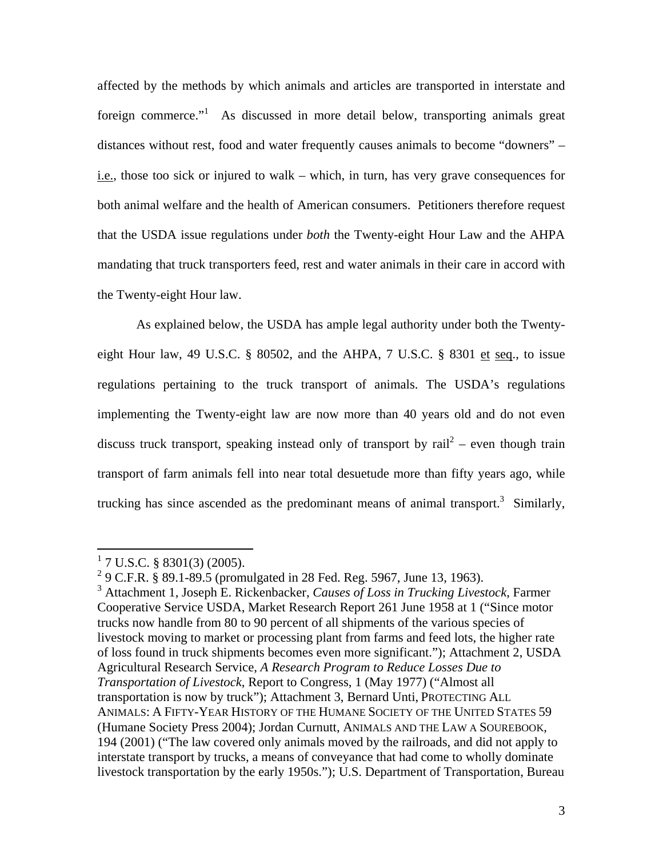affected by the methods by which animals and articles are transported in interstate and foreign commerce."<sup>1</sup> As discussed in more detail below, transporting animals great distances without rest, food and water frequently causes animals to become "downers" – i.e., those too sick or injured to walk – which, in turn, has very grave consequences for both animal welfare and the health of American consumers. Petitioners therefore request that the USDA issue regulations under *both* the Twenty-eight Hour Law and the AHPA mandating that truck transporters feed, rest and water animals in their care in accord with the Twenty-eight Hour law.

As explained below, the USDA has ample legal authority under both the Twentyeight Hour law, 49 U.S.C.  $\S$  80502, and the AHPA, 7 U.S.C.  $\S$  8301 et seq., to issue regulations pertaining to the truck transport of animals. The USDA's regulations implementing the Twenty-eight law are now more than 40 years old and do not even discuss truck transport, speaking instead only of transport by  $\text{tail}^2$  – even though train transport of farm animals fell into near total desuetude more than fifty years ago, while trucking has since ascended as the predominant means of animal transport.<sup>3</sup> Similarly,

 $1$  7 U.S.C. § 8301(3) (2005).

<sup>&</sup>lt;sup>2</sup> 9 C.F.R. § 89.1-89.5 (promulgated in 28 Fed. Reg. 5967, June 13, 1963).

<sup>3</sup> Attachment 1, Joseph E. Rickenbacker, *Causes of Loss in Trucking Livestock*, Farmer Cooperative Service USDA, Market Research Report 261 June 1958 at 1 ("Since motor trucks now handle from 80 to 90 percent of all shipments of the various species of livestock moving to market or processing plant from farms and feed lots, the higher rate of loss found in truck shipments becomes even more significant."); Attachment 2, USDA Agricultural Research Service, *A Research Program to Reduce Losses Due to Transportation of Livestock*, Report to Congress, 1 (May 1977) ("Almost all transportation is now by truck"); Attachment 3, Bernard Unti, PROTECTING ALL ANIMALS: A FIFTY-YEAR HISTORY OF THE HUMANE SOCIETY OF THE UNITED STATES 59 (Humane Society Press 2004); Jordan Curnutt, ANIMALS AND THE LAW A SOUREBOOK, 194 (2001) ("The law covered only animals moved by the railroads, and did not apply to interstate transport by trucks, a means of conveyance that had come to wholly dominate livestock transportation by the early 1950s."); U.S. Department of Transportation, Bureau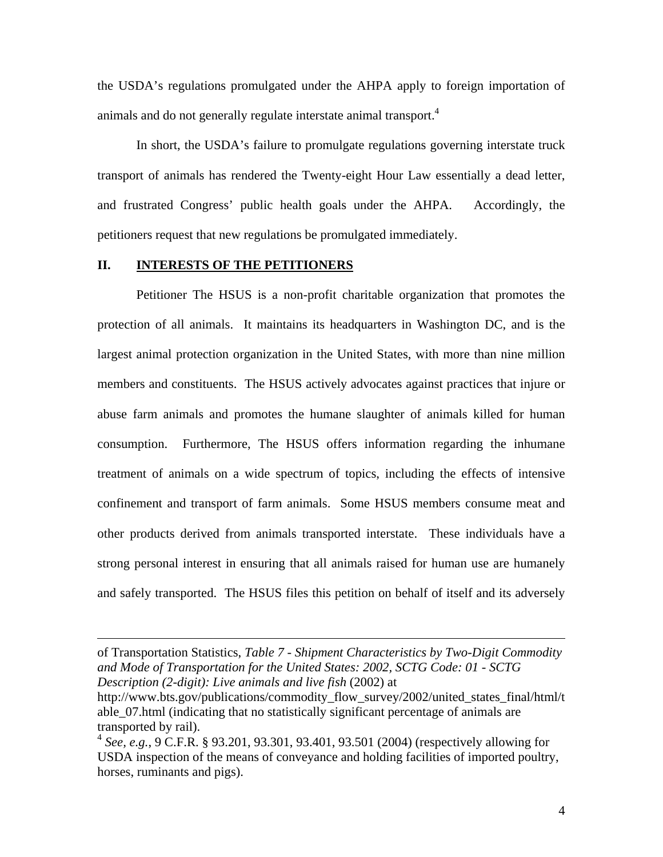the USDA's regulations promulgated under the AHPA apply to foreign importation of animals and do not generally regulate interstate animal transport.<sup>4</sup>

In short, the USDA's failure to promulgate regulations governing interstate truck transport of animals has rendered the Twenty-eight Hour Law essentially a dead letter, and frustrated Congress' public health goals under the AHPA. Accordingly, the petitioners request that new regulations be promulgated immediately.

#### **II. INTERESTS OF THE PETITIONERS**

 $\overline{a}$ 

Petitioner The HSUS is a non-profit charitable organization that promotes the protection of all animals. It maintains its headquarters in Washington DC, and is the largest animal protection organization in the United States, with more than nine million members and constituents. The HSUS actively advocates against practices that injure or abuse farm animals and promotes the humane slaughter of animals killed for human consumption. Furthermore, The HSUS offers information regarding the inhumane treatment of animals on a wide spectrum of topics, including the effects of intensive confinement and transport of farm animals. Some HSUS members consume meat and other products derived from animals transported interstate. These individuals have a strong personal interest in ensuring that all animals raised for human use are humanely and safely transported. The HSUS files this petition on behalf of itself and its adversely

of Transportation Statistics, *Table 7 - Shipment Characteristics by Two-Digit Commodity and Mode of Transportation for the United States: 2002, SCTG Code: 01 - SCTG Description (2-digit): Live animals and live fish* (2002) at

http://www.bts.gov/publications/commodity\_flow\_survey/2002/united\_states\_final/html/t able\_07.html (indicating that no statistically significant percentage of animals are transported by rail).

<sup>4</sup> *See, e.g.*, 9 C.F.R. § 93.201, 93.301, 93.401, 93.501 (2004) (respectively allowing for USDA inspection of the means of conveyance and holding facilities of imported poultry, horses, ruminants and pigs).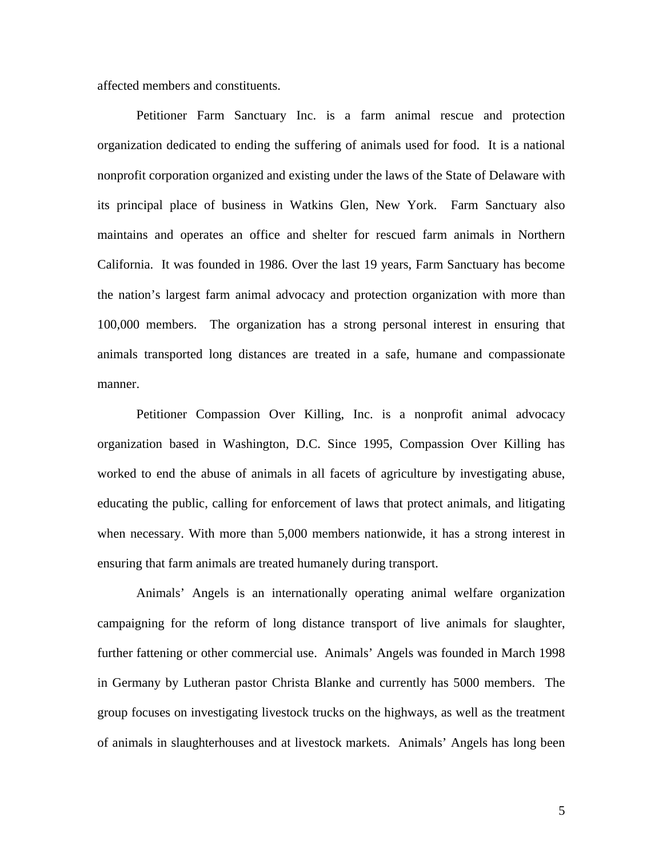affected members and constituents.

Petitioner Farm Sanctuary Inc. is a farm animal rescue and protection organization dedicated to ending the suffering of animals used for food. It is a national nonprofit corporation organized and existing under the laws of the State of Delaware with its principal place of business in Watkins Glen, New York. Farm Sanctuary also maintains and operates an office and shelter for rescued farm animals in Northern California. It was founded in 1986. Over the last 19 years, Farm Sanctuary has become the nation's largest farm animal advocacy and protection organization with more than 100,000 members. The organization has a strong personal interest in ensuring that animals transported long distances are treated in a safe, humane and compassionate manner.

 Petitioner Compassion Over Killing, Inc. is a nonprofit animal advocacy organization based in Washington, D.C. Since 1995, Compassion Over Killing has worked to end the abuse of animals in all facets of agriculture by investigating abuse, educating the public, calling for enforcement of laws that protect animals, and litigating when necessary. With more than 5,000 members nationwide, it has a strong interest in ensuring that farm animals are treated humanely during transport.

Animals' Angels is an internationally operating animal welfare organization campaigning for the reform of long distance transport of live animals for slaughter, further fattening or other commercial use. Animals' Angels was founded in March 1998 in Germany by Lutheran pastor Christa Blanke and currently has 5000 members. The group focuses on investigating livestock trucks on the highways, as well as the treatment of animals in slaughterhouses and at livestock markets. Animals' Angels has long been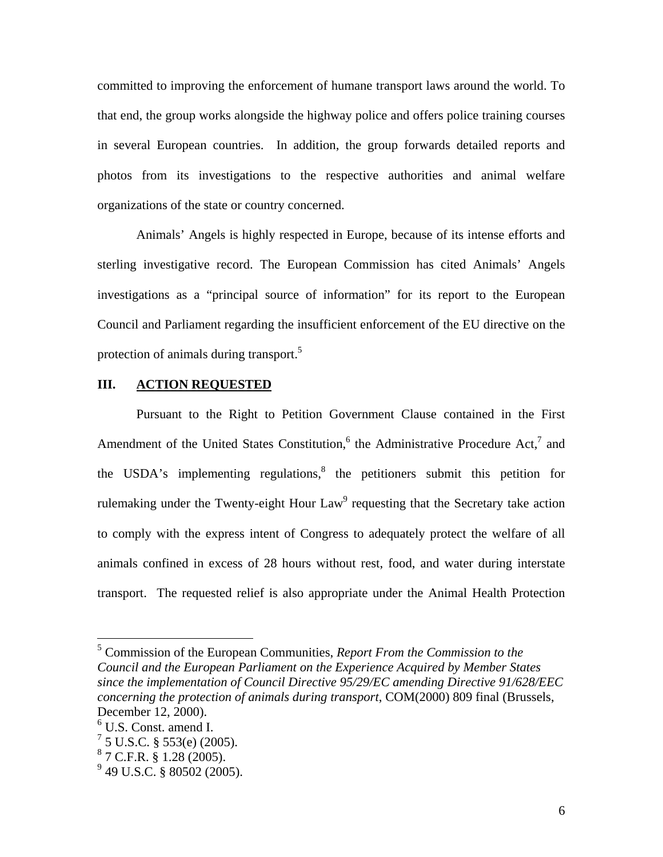committed to improving the enforcement of humane transport laws around the world. To that end, the group works alongside the highway police and offers police training courses in several European countries. In addition, the group forwards detailed reports and photos from its investigations to the respective authorities and animal welfare organizations of the state or country concerned.

Animals' Angels is highly respected in Europe, because of its intense efforts and sterling investigative record. The European Commission has cited Animals' Angels investigations as a "principal source of information" for its report to the European Council and Parliament regarding the insufficient enforcement of the EU directive on the protection of animals during transport.<sup>5</sup>

#### **III. ACTION REQUESTED**

Pursuant to the Right to Petition Government Clause contained in the First Amendment of the United States Constitution,  $6$  the Administrative Procedure Act,  $7$  and the USDA's implementing regulations, $\delta$  the petitioners submit this petition for rulemaking under the Twenty-eight Hour  $Law<sup>9</sup>$  requesting that the Secretary take action to comply with the express intent of Congress to adequately protect the welfare of all animals confined in excess of 28 hours without rest, food, and water during interstate transport. The requested relief is also appropriate under the Animal Health Protection

5 Commission of the European Communities, *Report From the Commission to the Council and the European Parliament on the Experience Acquired by Member States since the implementation of Council Directive 95/29/EC amending Directive 91/628/EEC concerning the protection of animals during transport*, COM(2000) 809 final (Brussels, December 12, 2000).

<sup>6</sup> U.S. Const. amend I.

 $^7$  5 U.S.C. § 553(e) (2005).

 $87$  C.F.R. § 1.28 (2005).

 $9^9$  49 U.S.C. § 80502 (2005).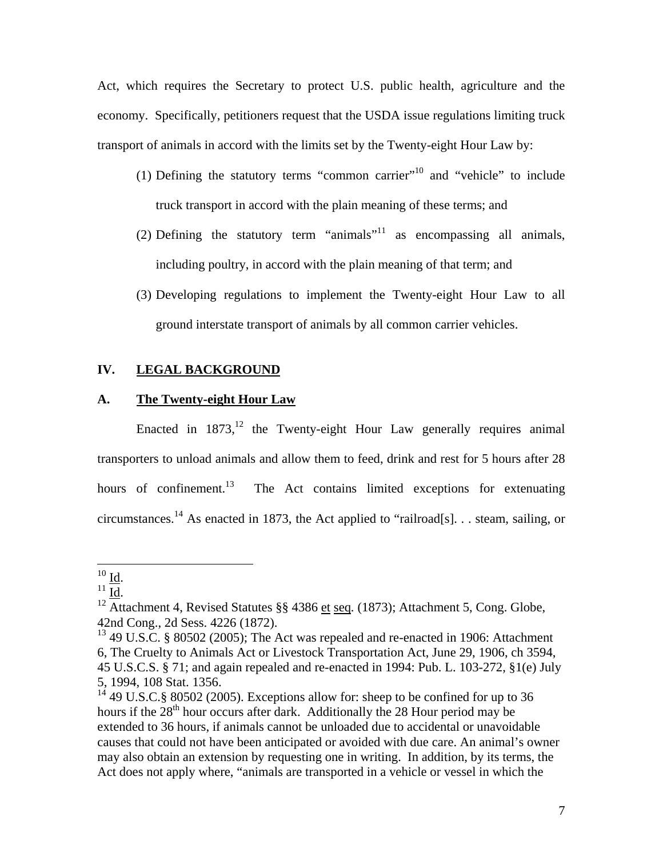Act, which requires the Secretary to protect U.S. public health, agriculture and the economy. Specifically, petitioners request that the USDA issue regulations limiting truck transport of animals in accord with the limits set by the Twenty-eight Hour Law by:

- (1) Defining the statutory terms "common carrier"<sup>10</sup> and "vehicle" to include truck transport in accord with the plain meaning of these terms; and
- (2) Defining the statutory term "animals"<sup>11</sup> as encompassing all animals, including poultry, in accord with the plain meaning of that term; and
- (3) Developing regulations to implement the Twenty-eight Hour Law to all ground interstate transport of animals by all common carrier vehicles.

# **IV. LEGAL BACKGROUND**

## **A. The Twenty-eight Hour Law**

Enacted in  $1873$ ,<sup>12</sup> the Twenty-eight Hour Law generally requires animal transporters to unload animals and allow them to feed, drink and rest for 5 hours after 28 hours of confinement.<sup>13</sup> The Act contains limited exceptions for extenuating circumstances.<sup>14</sup> As enacted in 1873, the Act applied to "railroad[s]. . . steam, sailing, or

 $^{10}$  Id.

<sup>&</sup>lt;sup>11</sup>  $\frac{10}{12}$ .<br><sup>12</sup> Attachment 4, Revised Statutes §§ 4386 et seq. (1873); Attachment 5, Cong. Globe, 42nd Cong., 2d Sess. 4226 (1872).

<sup>&</sup>lt;sup>13</sup> 49 U.S.C. § 80502 (2005); The Act was repealed and re-enacted in 1906: Attachment 6, The Cruelty to Animals Act or Livestock Transportation Act, June 29, 1906, ch 3594, 45 U.S.C.S. § 71; and again repealed and re-enacted in 1994: Pub. L. 103-272, §1(e) July 5, 1994, 108 Stat. 1356.

<sup>&</sup>lt;sup>14</sup> 49 U.S.C.§ 80502 (2005). Exceptions allow for: sheep to be confined for up to 36 hours if the  $28<sup>th</sup>$  hour occurs after dark. Additionally the 28 Hour period may be extended to 36 hours, if animals cannot be unloaded due to accidental or unavoidable causes that could not have been anticipated or avoided with due care. An animal's owner may also obtain an extension by requesting one in writing. In addition, by its terms, the Act does not apply where, "animals are transported in a vehicle or vessel in which the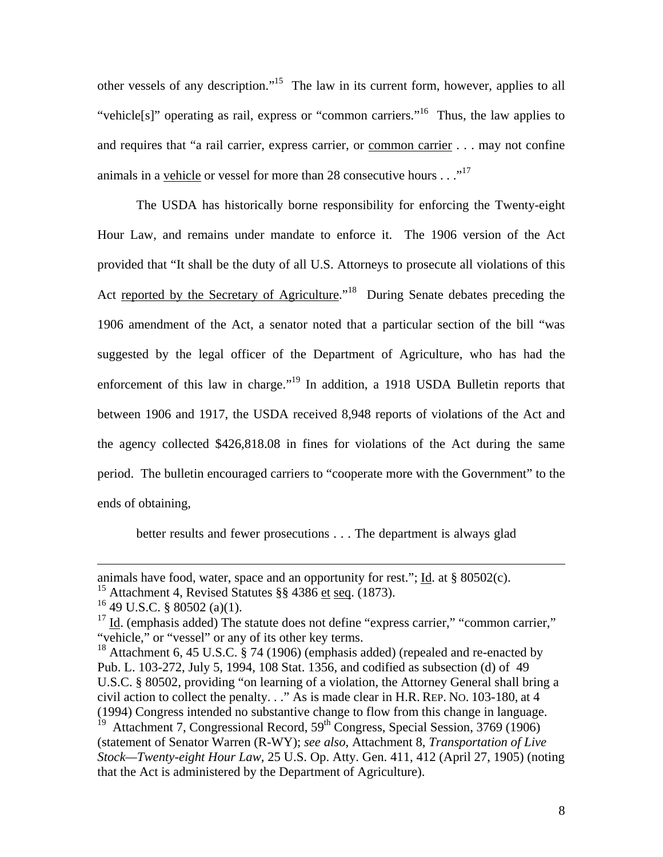other vessels of any description."15 The law in its current form, however, applies to all "vehicle[s]" operating as rail, express or "common carriers."<sup>16</sup> Thus, the law applies to and requires that "a rail carrier, express carrier, or common carrier . . . may not confine animals in a vehicle or vessel for more than 28 consecutive hours  $\dots$ <sup>17</sup>

The USDA has historically borne responsibility for enforcing the Twenty-eight Hour Law, and remains under mandate to enforce it. The 1906 version of the Act provided that "It shall be the duty of all U.S. Attorneys to prosecute all violations of this Act reported by the Secretary of Agriculture."<sup>18</sup> During Senate debates preceding the 1906 amendment of the Act, a senator noted that a particular section of the bill "was suggested by the legal officer of the Department of Agriculture, who has had the enforcement of this law in charge."<sup>19</sup> In addition, a 1918 USDA Bulletin reports that between 1906 and 1917, the USDA received 8,948 reports of violations of the Act and the agency collected \$426,818.08 in fines for violations of the Act during the same period. The bulletin encouraged carriers to "cooperate more with the Government" to the ends of obtaining,

better results and fewer prosecutions . . . The department is always glad

that the Act is administered by the Department of Agriculture).

animals have food, water, space and an opportunity for rest."; Id. at § 80502(c).

<sup>&</sup>lt;sup>15</sup> Attachment 4, Revised Statutes §§ 4386 et seq. (1873).

 $16$  49 U.S.C. § 80502 (a)(1).

 $17 \underline{\text{Id}}$ . (emphasis added) The statute does not define "express carrier," "common carrier," "vehicle," or "vessel" or any of its other key terms.

<sup>&</sup>lt;sup>18</sup> Attachment 6, 45 U.S.C. § 74 (1906) (emphasis added) (repealed and re-enacted by Pub. L. 103-272, July 5, 1994, 108 Stat. 1356, and codified as subsection (d) of 49 U.S.C. § 80502, providing "on learning of a violation, the Attorney General shall bring a civil action to collect the penalty. . ." As is made clear in H.R. REP. NO. 103-180, at 4 (1994) Congress intended no substantive change to flow from this change in language. <sup>19</sup> Attachment 7, Congressional Record, 59<sup>th</sup> Congress, Special Session, 3769 (1906) (statement of Senator Warren (R-WY); *see also*, Attachment 8, *Transportation of Live Stock—Twenty-eight Hour Law*, 25 U.S. Op. Atty. Gen. 411, 412 (April 27, 1905) (noting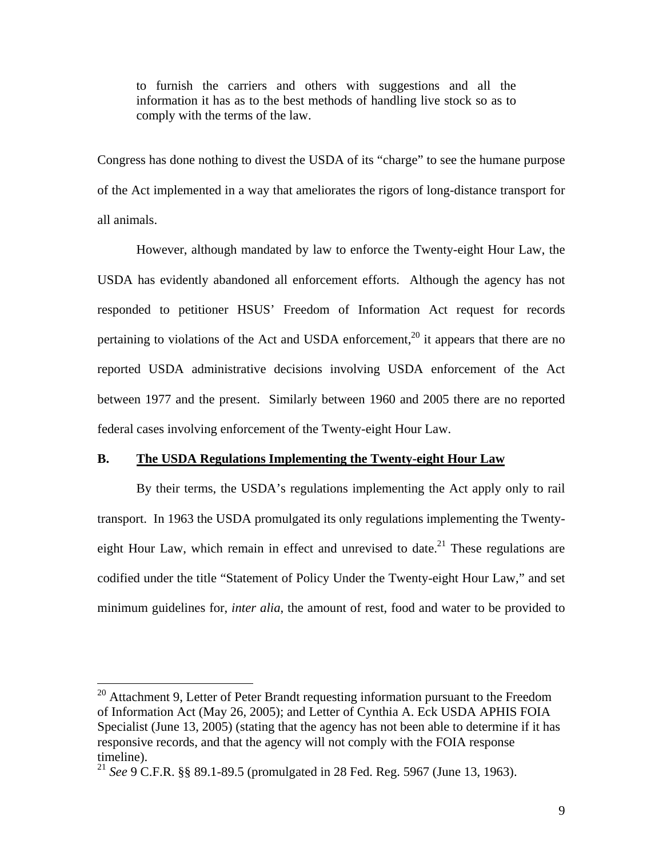to furnish the carriers and others with suggestions and all the information it has as to the best methods of handling live stock so as to comply with the terms of the law.

Congress has done nothing to divest the USDA of its "charge" to see the humane purpose of the Act implemented in a way that ameliorates the rigors of long-distance transport for all animals.

However, although mandated by law to enforce the Twenty-eight Hour Law, the USDA has evidently abandoned all enforcement efforts. Although the agency has not responded to petitioner HSUS' Freedom of Information Act request for records pertaining to violations of the Act and USDA enforcement,<sup>20</sup> it appears that there are no reported USDA administrative decisions involving USDA enforcement of the Act between 1977 and the present. Similarly between 1960 and 2005 there are no reported federal cases involving enforcement of the Twenty-eight Hour Law.

### **B. The USDA Regulations Implementing the Twenty-eight Hour Law**

By their terms, the USDA's regulations implementing the Act apply only to rail transport. In 1963 the USDA promulgated its only regulations implementing the Twentyeight Hour Law, which remain in effect and unrevised to date.<sup>21</sup> These regulations are codified under the title "Statement of Policy Under the Twenty-eight Hour Law," and set minimum guidelines for, *inter alia*, the amount of rest, food and water to be provided to

 $20$  Attachment 9, Letter of Peter Brandt requesting information pursuant to the Freedom of Information Act (May 26, 2005); and Letter of Cynthia A. Eck USDA APHIS FOIA Specialist (June 13, 2005) (stating that the agency has not been able to determine if it has responsive records, and that the agency will not comply with the FOIA response timeline).

<sup>21</sup> *See* 9 C.F.R. §§ 89.1-89.5 (promulgated in 28 Fed. Reg. 5967 (June 13, 1963).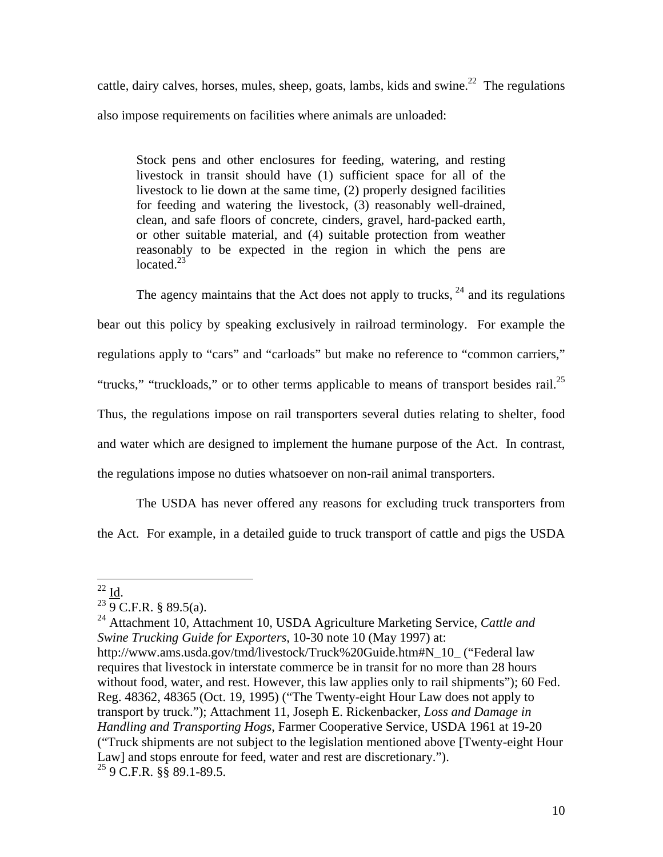cattle, dairy calves, horses, mules, sheep, goats, lambs, kids and swine.<sup>22</sup> The regulations also impose requirements on facilities where animals are unloaded:

Stock pens and other enclosures for feeding, watering, and resting livestock in transit should have (1) sufficient space for all of the livestock to lie down at the same time, (2) properly designed facilities for feeding and watering the livestock, (3) reasonably well-drained, clean, and safe floors of concrete, cinders, gravel, hard-packed earth, or other suitable material, and (4) suitable protection from weather reasonably to be expected in the region in which the pens are located. $23$ 

The agency maintains that the Act does not apply to trucks,  $24$  and its regulations bear out this policy by speaking exclusively in railroad terminology. For example the regulations apply to "cars" and "carloads" but make no reference to "common carriers," "trucks," "truckloads," or to other terms applicable to means of transport besides rail.<sup>25</sup> Thus, the regulations impose on rail transporters several duties relating to shelter, food and water which are designed to implement the humane purpose of the Act. In contrast, the regulations impose no duties whatsoever on non-rail animal transporters.

The USDA has never offered any reasons for excluding truck transporters from the Act. For example, in a detailed guide to truck transport of cattle and pigs the USDA

 $^{22}$  Id.

 $^{23}$  9 C.F.R. § 89.5(a).

<sup>24</sup> Attachment 10, Attachment 10, USDA Agriculture Marketing Service, *Cattle and Swine Trucking Guide for Exporters*, 10-30 note 10 (May 1997) at: http://www.ams.usda.gov/tmd/livestock/Truck%20Guide.htm#N\_10\_ ("Federal law requires that livestock in interstate commerce be in transit for no more than 28 hours without food, water, and rest. However, this law applies only to rail shipments"); 60 Fed. Reg. 48362, 48365 (Oct. 19, 1995) ("The Twenty-eight Hour Law does not apply to transport by truck."); Attachment 11, Joseph E. Rickenbacker, *Loss and Damage in Handling and Transporting Hogs*, Farmer Cooperative Service, USDA 1961 at 19-20 ("Truck shipments are not subject to the legislation mentioned above [Twenty-eight Hour Law] and stops enroute for feed, water and rest are discretionary."). 25 9 C.F.R. §§ 89.1-89.5.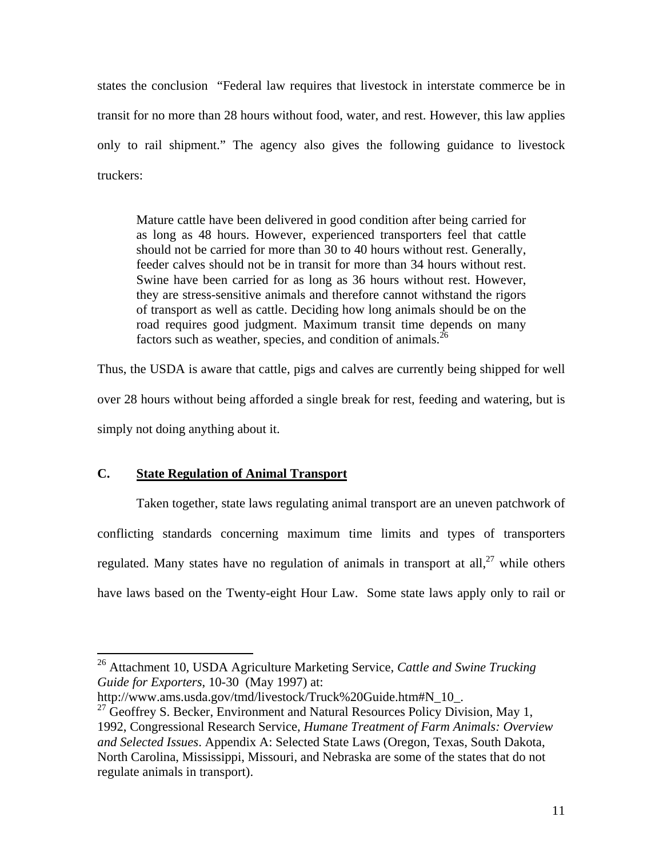states the conclusion "Federal law requires that livestock in interstate commerce be in transit for no more than 28 hours without food, water, and rest. However, this law applies only to rail shipment." The agency also gives the following guidance to livestock truckers:

Mature cattle have been delivered in good condition after being carried for as long as 48 hours. However, experienced transporters feel that cattle should not be carried for more than 30 to 40 hours without rest. Generally, feeder calves should not be in transit for more than 34 hours without rest. Swine have been carried for as long as 36 hours without rest. However, they are stress-sensitive animals and therefore cannot withstand the rigors of transport as well as cattle. Deciding how long animals should be on the road requires good judgment. Maximum transit time depends on many factors such as weather, species, and condition of animals. $^{26}$ 

Thus, the USDA is aware that cattle, pigs and calves are currently being shipped for well over 28 hours without being afforded a single break for rest, feeding and watering, but is simply not doing anything about it.

### **C. State Regulation of Animal Transport**

 $\overline{a}$ 

 Taken together, state laws regulating animal transport are an uneven patchwork of conflicting standards concerning maximum time limits and types of transporters regulated. Many states have no regulation of animals in transport at all,  $27$  while others have laws based on the Twenty-eight Hour Law. Some state laws apply only to rail or

<sup>26</sup> Attachment 10, USDA Agriculture Marketing Service, *Cattle and Swine Trucking Guide for Exporters*, 10-30 (May 1997) at:

http://www.ams.usda.gov/tmd/livestock/Truck%20Guide.htm#N\_10\_.

 $27$  Geoffrey S. Becker, Environment and Natural Resources Policy Division, May 1, 1992, Congressional Research Service, *Humane Treatment of Farm Animals: Overview and Selected Issues*. Appendix A: Selected State Laws (Oregon, Texas, South Dakota, North Carolina, Mississippi, Missouri, and Nebraska are some of the states that do not regulate animals in transport).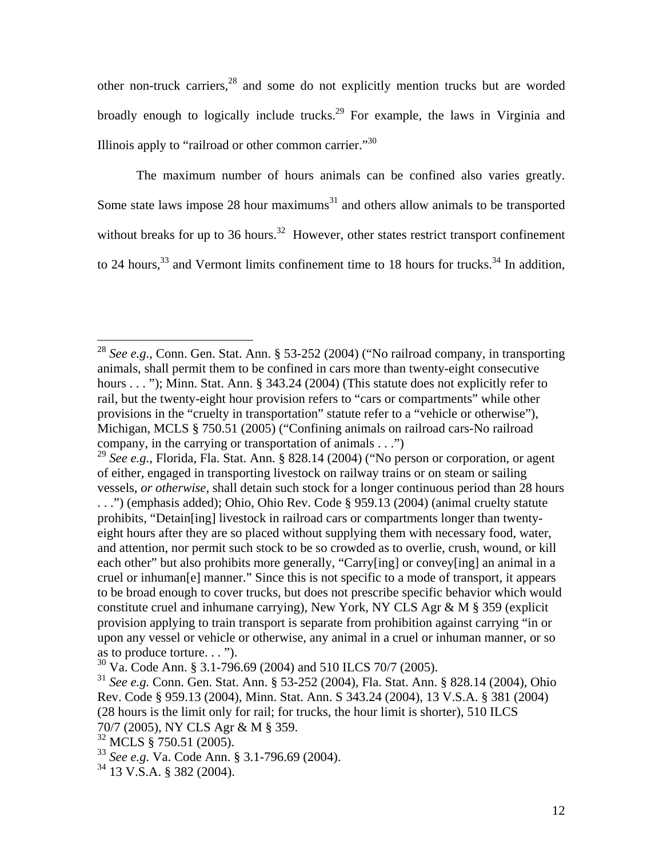other non-truck carriers,28 and some do not explicitly mention trucks but are worded broadly enough to logically include trucks.<sup>29</sup> For example, the laws in Virginia and Illinois apply to "railroad or other common carrier."30

The maximum number of hours animals can be confined also varies greatly. Some state laws impose 28 hour maximums $31$  and others allow animals to be transported without breaks for up to 36 hours.<sup>32</sup> However, other states restrict transport confinement to 24 hours,  $33$  and Vermont limits confinement time to 18 hours for trucks.  $34$  In addition,

<sup>28</sup> *See e.g.*, Conn. Gen. Stat. Ann. § 53-252 (2004) ("No railroad company, in transporting animals, shall permit them to be confined in cars more than twenty-eight consecutive hours . . . "); Minn. Stat. Ann. § 343.24 (2004) (This stature does not explicitly refer to rail, but the twenty-eight hour provision refers to "cars or compartments" while other provisions in the "cruelty in transportation" statute refer to a "vehicle or otherwise"), Michigan, MCLS § 750.51 (2005) ("Confining animals on railroad cars-No railroad company, in the carrying or transportation of animals . . .")

<sup>29</sup> *See e.g.*, Florida, Fla. Stat. Ann. § 828.14 (2004) ("No person or corporation, or agent of either, engaged in transporting livestock on railway trains or on steam or sailing vessels, *or otherwise*, shall detain such stock for a longer continuous period than 28 hours . . .") (emphasis added); Ohio, Ohio Rev. Code § 959.13 (2004) (animal cruelty statute prohibits, "Detain[ing] livestock in railroad cars or compartments longer than twentyeight hours after they are so placed without supplying them with necessary food, water, and attention, nor permit such stock to be so crowded as to overlie, crush, wound, or kill each other" but also prohibits more generally, "Carry[ing] or convey[ing] an animal in a cruel or inhuman[e] manner." Since this is not specific to a mode of transport, it appears to be broad enough to cover trucks, but does not prescribe specific behavior which would constitute cruel and inhumane carrying), New York, NY CLS Agr & M § 359 (explicit provision applying to train transport is separate from prohibition against carrying "in or upon any vessel or vehicle or otherwise, any animal in a cruel or inhuman manner, or so as to produce torture. . . ").

<sup>30</sup> Va. Code Ann. § 3.1-796.69 (2004) and 510 ILCS 70/7 (2005).

<sup>31</sup> *See e.g.* Conn. Gen. Stat. Ann. § 53-252 (2004), Fla. Stat. Ann. § 828.14 (2004), Ohio Rev. Code § 959.13 (2004), Minn. Stat. Ann. S 343.24 (2004), 13 V.S.A. § 381 (2004) (28 hours is the limit only for rail; for trucks, the hour limit is shorter), 510 ILCS 70/7 (2005), NY CLS Agr & M § 359.

<sup>32</sup> MCLS § 750.51 (2005).

<sup>33</sup> *See e.g.* Va. Code Ann. § 3.1-796.69 (2004).

<sup>34 13</sup> V.S.A. § 382 (2004).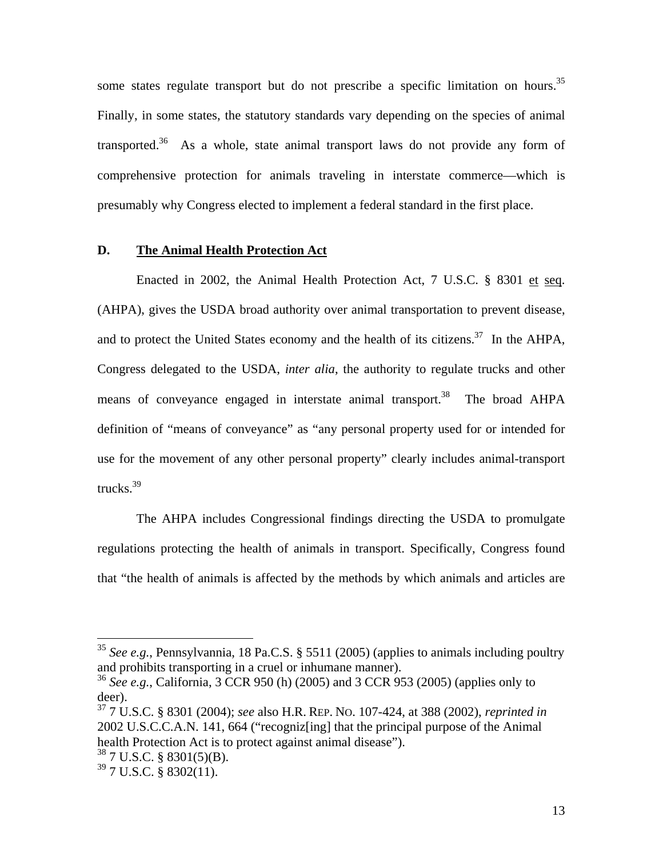some states regulate transport but do not prescribe a specific limitation on hours.<sup>35</sup> Finally, in some states, the statutory standards vary depending on the species of animal transported.<sup>36</sup> As a whole, state animal transport laws do not provide any form of comprehensive protection for animals traveling in interstate commerce—which is presumably why Congress elected to implement a federal standard in the first place.

## **D. The Animal Health Protection Act**

Enacted in 2002, the Animal Health Protection Act, 7 U.S.C. § 8301 et seq. (AHPA), gives the USDA broad authority over animal transportation to prevent disease, and to protect the United States economy and the health of its citizens.<sup>37</sup> In the AHPA, Congress delegated to the USDA, *inter alia*, the authority to regulate trucks and other means of conveyance engaged in interstate animal transport.<sup>38</sup> The broad AHPA definition of "means of conveyance" as "any personal property used for or intended for use for the movement of any other personal property" clearly includes animal-transport trucks.<sup>39</sup>

The AHPA includes Congressional findings directing the USDA to promulgate regulations protecting the health of animals in transport. Specifically, Congress found that "the health of animals is affected by the methods by which animals and articles are

<sup>35</sup> *See e.g.*, Pennsylvannia, 18 Pa.C.S. § 5511 (2005) (applies to animals including poultry and prohibits transporting in a cruel or inhumane manner).

<sup>36</sup> *See e.g.*, California, 3 CCR 950 (h) (2005) and 3 CCR 953 (2005) (applies only to deer).

<sup>37 7</sup> U.S.C. § 8301 (2004); *see* also H.R. REP. NO. 107-424, at 388 (2002), *reprinted in* 2002 U.S.C.C.A.N. 141, 664 ("recogniz[ing] that the principal purpose of the Animal health Protection Act is to protect against animal disease").

<sup>38 7</sup> U.S.C. § 8301(5)(B).

 $39$  7 U.S.C. § 8302(11).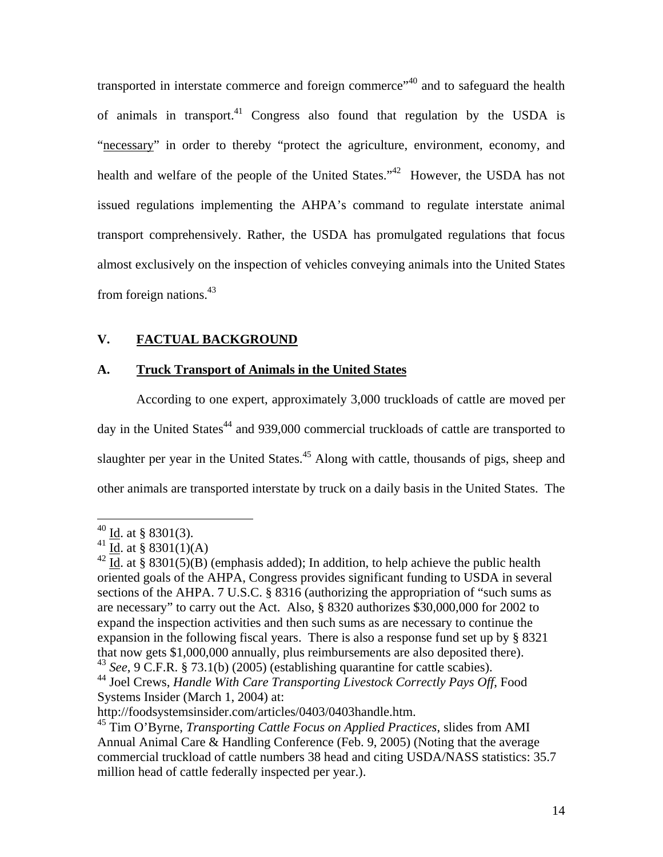transported in interstate commerce and foreign commerce"<sup>40</sup> and to safeguard the health of animals in transport.<sup>41</sup> Congress also found that regulation by the USDA is "necessary" in order to thereby "protect the agriculture, environment, economy, and health and welfare of the people of the United States."<sup>42</sup> However, the USDA has not issued regulations implementing the AHPA's command to regulate interstate animal transport comprehensively. Rather, the USDA has promulgated regulations that focus almost exclusively on the inspection of vehicles conveying animals into the United States from foreign nations. $43$ 

# **V. FACTUAL BACKGROUND**

## **A. Truck Transport of Animals in the United States**

 According to one expert, approximately 3,000 truckloads of cattle are moved per day in the United States<sup>44</sup> and 939,000 commercial truckloads of cattle are transported to slaughter per year in the United States.<sup>45</sup> Along with cattle, thousands of pigs, sheep and other animals are transported interstate by truck on a daily basis in the United States. The

 $^{40}$  <u>Id</u>. at § 8301(3).

<sup>&</sup>lt;sup>41</sup> Id. at § 8301(1)(A)

<sup>&</sup>lt;sup>42</sup> Id. at § 8301(5)(B) (emphasis added); In addition, to help achieve the public health oriented goals of the AHPA, Congress provides significant funding to USDA in several sections of the AHPA. 7 U.S.C. § 8316 (authorizing the appropriation of "such sums as are necessary" to carry out the Act. Also, § 8320 authorizes \$30,000,000 for 2002 to expand the inspection activities and then such sums as are necessary to continue the expansion in the following fiscal years. There is also a response fund set up by § 8321 that now gets \$1,000,000 annually, plus reimbursements are also deposited there). <sup>43</sup> *See*, 9 C.F.R. § 73.1(b) (2005) (establishing quarantine for cattle scabies).

<sup>44</sup> Joel Crews, *Handle With Care Transporting Livestock Correctly Pays Off*, Food Systems Insider (March 1, 2004) at:

http://foodsystemsinsider.com/articles/0403/0403handle.htm.

<sup>45</sup> Tim O'Byrne, *Transporting Cattle Focus on Applied Practices*, slides from AMI Annual Animal Care & Handling Conference (Feb. 9, 2005) (Noting that the average commercial truckload of cattle numbers 38 head and citing USDA/NASS statistics: 35.7 million head of cattle federally inspected per year.).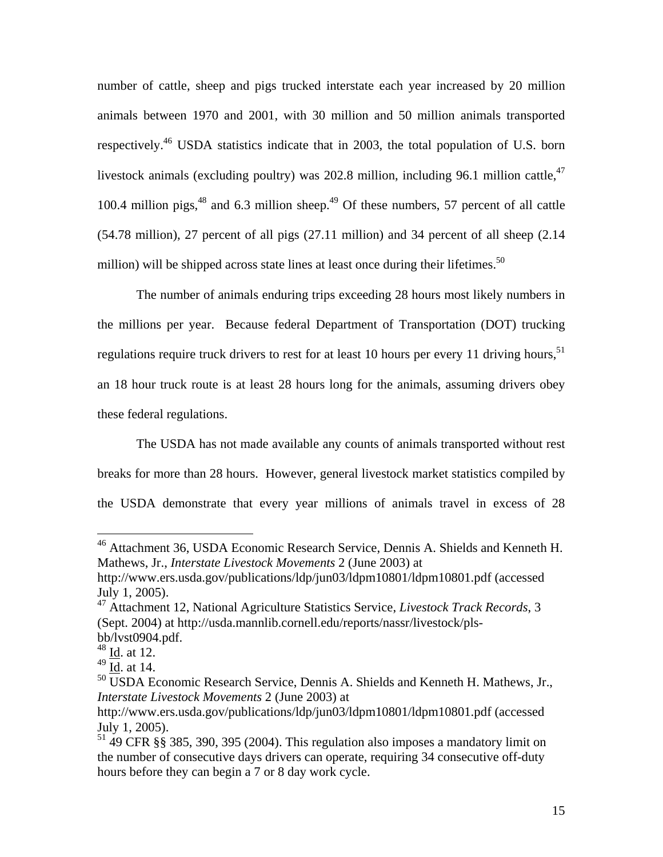number of cattle, sheep and pigs trucked interstate each year increased by 20 million animals between 1970 and 2001, with 30 million and 50 million animals transported respectively.46 USDA statistics indicate that in 2003, the total population of U.S. born livestock animals (excluding poultry) was 202.8 million, including 96.1 million cattle,<sup>47</sup> 100.4 million pigs, $48$  and 6.3 million sheep. $49$  Of these numbers, 57 percent of all cattle (54.78 million), 27 percent of all pigs (27.11 million) and 34 percent of all sheep (2.14 million) will be shipped across state lines at least once during their lifetimes.<sup>50</sup>

The number of animals enduring trips exceeding 28 hours most likely numbers in the millions per year. Because federal Department of Transportation (DOT) trucking regulations require truck drivers to rest for at least 10 hours per every 11 driving hours,  $51$ an 18 hour truck route is at least 28 hours long for the animals, assuming drivers obey these federal regulations.

The USDA has not made available any counts of animals transported without rest breaks for more than 28 hours. However, general livestock market statistics compiled by the USDA demonstrate that every year millions of animals travel in excess of 28

<u>.</u>

<sup>&</sup>lt;sup>46</sup> Attachment 36, USDA Economic Research Service, Dennis A. Shields and Kenneth H. Mathews, Jr., *Interstate Livestock Movements* 2 (June 2003) at

http://www.ers.usda.gov/publications/ldp/jun03/ldpm10801/ldpm10801.pdf (accessed July 1, 2005).

<sup>47</sup> Attachment 12, National Agriculture Statistics Service, *Livestock Track Records*, 3 (Sept. 2004) at http://usda.mannlib.cornell.edu/reports/nassr/livestock/plsbb/lvst0904.pdf.

<sup>48</sup> Id. at 12.

 $49 \overline{\text{Id}}$ . at 14.

<sup>&</sup>lt;sup>50</sup> USDA Economic Research Service, Dennis A. Shields and Kenneth H. Mathews, Jr., *Interstate Livestock Movements* 2 (June 2003) at

http://www.ers.usda.gov/publications/ldp/jun03/ldpm10801/ldpm10801.pdf (accessed July 1, 2005).

<sup>&</sup>lt;sup>51</sup> 49 CFR §§ 385, 390, 395 (2004). This regulation also imposes a mandatory limit on the number of consecutive days drivers can operate, requiring 34 consecutive off-duty hours before they can begin a 7 or 8 day work cycle.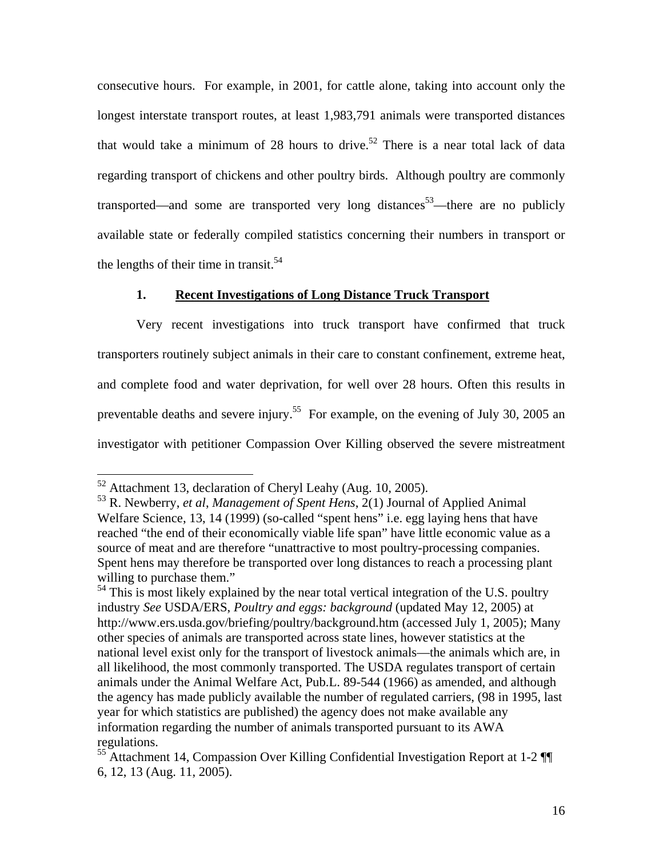consecutive hours. For example, in 2001, for cattle alone, taking into account only the longest interstate transport routes, at least 1,983,791 animals were transported distances that would take a minimum of 28 hours to drive.<sup>52</sup> There is a near total lack of data regarding transport of chickens and other poultry birds. Although poultry are commonly transported—and some are transported very long distances<sup>53</sup>—there are no publicly available state or federally compiled statistics concerning their numbers in transport or the lengths of their time in transit. $54$ 

# **1. Recent Investigations of Long Distance Truck Transport**

Very recent investigations into truck transport have confirmed that truck transporters routinely subject animals in their care to constant confinement, extreme heat, and complete food and water deprivation, for well over 28 hours. Often this results in preventable deaths and severe injury.<sup>55</sup> For example, on the evening of July 30, 2005 an investigator with petitioner Compassion Over Killing observed the severe mistreatment

 $52$  Attachment 13, declaration of Cheryl Leahy (Aug. 10, 2005).

<sup>53</sup> R. Newberry, *et al*, *Management of Spent Hens*, 2(1) Journal of Applied Animal Welfare Science, 13, 14 (1999) (so-called "spent hens" i.e. egg laying hens that have reached "the end of their economically viable life span" have little economic value as a source of meat and are therefore "unattractive to most poultry-processing companies. Spent hens may therefore be transported over long distances to reach a processing plant willing to purchase them."

 $54$  This is most likely explained by the near total vertical integration of the U.S. poultry industry *See* USDA/ERS, *Poultry and eggs: background* (updated May 12, 2005) at http://www.ers.usda.gov/briefing/poultry/background.htm (accessed July 1, 2005); Many other species of animals are transported across state lines, however statistics at the national level exist only for the transport of livestock animals—the animals which are, in all likelihood, the most commonly transported. The USDA regulates transport of certain animals under the Animal Welfare Act, Pub.L. 89-544 (1966) as amended, and although the agency has made publicly available the number of regulated carriers, (98 in 1995, last year for which statistics are published) the agency does not make available any information regarding the number of animals transported pursuant to its AWA regulations.

<sup>55</sup> Attachment 14, Compassion Over Killing Confidential Investigation Report at 1-2 ¶¶ 6, 12, 13 (Aug. 11, 2005).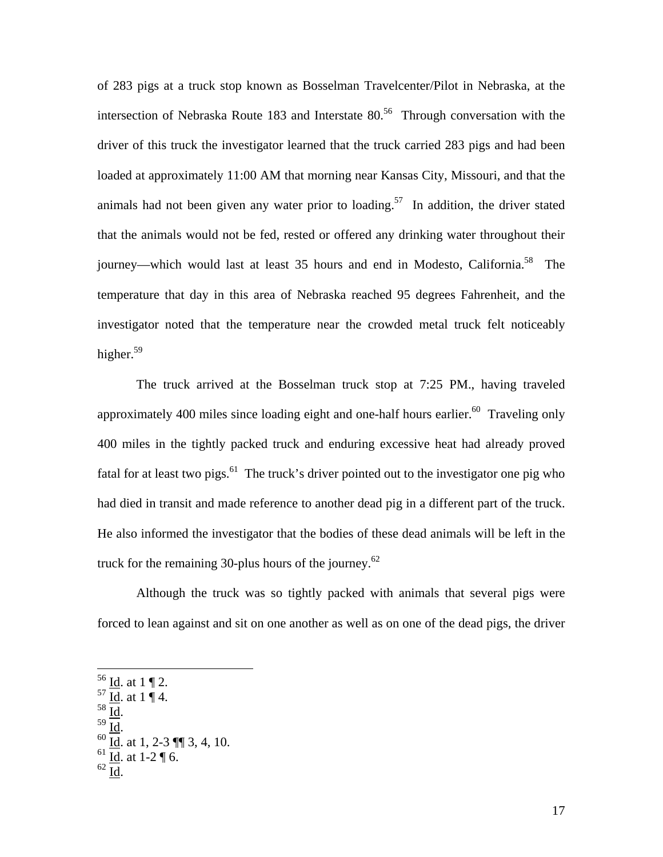of 283 pigs at a truck stop known as Bosselman Travelcenter/Pilot in Nebraska, at the intersection of Nebraska Route 183 and Interstate  $80<sup>56</sup>$  Through conversation with the driver of this truck the investigator learned that the truck carried 283 pigs and had been loaded at approximately 11:00 AM that morning near Kansas City, Missouri, and that the animals had not been given any water prior to loading.<sup>57</sup> In addition, the driver stated that the animals would not be fed, rested or offered any drinking water throughout their journey—which would last at least 35 hours and end in Modesto, California.<sup>58</sup> The temperature that day in this area of Nebraska reached 95 degrees Fahrenheit, and the investigator noted that the temperature near the crowded metal truck felt noticeably higher. $59$ 

The truck arrived at the Bosselman truck stop at 7:25 PM., having traveled approximately 400 miles since loading eight and one-half hours earlier.<sup>60</sup> Traveling only 400 miles in the tightly packed truck and enduring excessive heat had already proved fatal for at least two pigs.<sup>61</sup> The truck's driver pointed out to the investigator one pig who had died in transit and made reference to another dead pig in a different part of the truck. He also informed the investigator that the bodies of these dead animals will be left in the truck for the remaining 30-plus hours of the journey. $62$ 

Although the truck was so tightly packed with animals that several pigs were forced to lean against and sit on one another as well as on one of the dead pigs, the driver

- 
- 

 $^{56}$  <u>Id</u>. at 1 ¶ 2.

 $rac{57}{10} \frac{\underline{10}}{\underline{10}}$ . at 1 | 4.

 $\frac{59}{10}$ .<br> $\frac{1}{60}$ . at 1, 2-3  $\P$ , 3, 4, 10.

 $61 \overline{Id}$ . at  $1-2 \overline{9} 6$ .

 $62 \overline{Id}$ .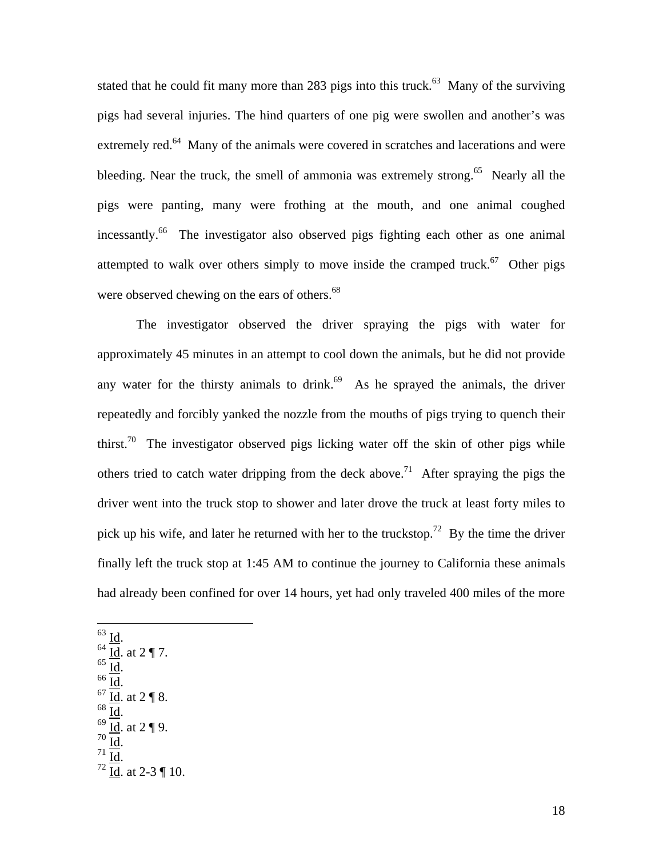stated that he could fit many more than 283 pigs into this truck.<sup>63</sup> Many of the surviving pigs had several injuries. The hind quarters of one pig were swollen and another's was extremely red.<sup>64</sup> Many of the animals were covered in scratches and lacerations and were bleeding. Near the truck, the smell of ammonia was extremely strong.<sup>65</sup> Nearly all the pigs were panting, many were frothing at the mouth, and one animal coughed incessantly.66 The investigator also observed pigs fighting each other as one animal attempted to walk over others simply to move inside the cramped truck.<sup>67</sup> Other pigs were observed chewing on the ears of others.<sup>68</sup>

The investigator observed the driver spraying the pigs with water for approximately 45 minutes in an attempt to cool down the animals, but he did not provide any water for the thirsty animals to drink.<sup>69</sup> As he sprayed the animals, the driver repeatedly and forcibly yanked the nozzle from the mouths of pigs trying to quench their thirst.<sup>70</sup> The investigator observed pigs licking water off the skin of other pigs while others tried to catch water dripping from the deck above.<sup>71</sup> After spraying the pigs the driver went into the truck stop to shower and later drove the truck at least forty miles to pick up his wife, and later he returned with her to the truckstop.<sup>72</sup> By the time the driver finally left the truck stop at 1:45 AM to continue the journey to California these animals had already been confined for over 14 hours, yet had only traveled 400 miles of the more

 $rac{63}{64}$   $rac{Id}{Id}$ . at 2 ¶ 7.  $\underline{\overline{\text{Id}}}.$ <br> $\underline{\overline{\text{Id}}}$ . at 2 ¶ 8.  $rac{68}{69}$  <u>Id</u>. at 2 ¶ 9.<br> $rac{70}{10}$  Id.  $72 \overline{Id}$ . at 2-3 ¶ 10.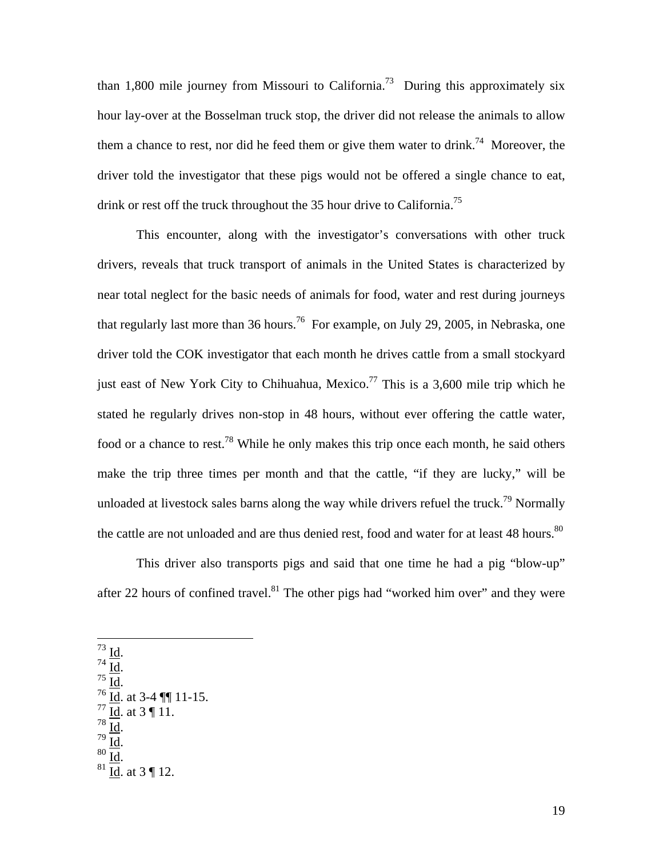than 1,800 mile journey from Missouri to California.<sup>73</sup> During this approximately six hour lay-over at the Bosselman truck stop, the driver did not release the animals to allow them a chance to rest, nor did he feed them or give them water to drink.<sup>74</sup> Moreover, the driver told the investigator that these pigs would not be offered a single chance to eat, drink or rest off the truck throughout the 35 hour drive to California.<sup>75</sup>

This encounter, along with the investigator's conversations with other truck drivers, reveals that truck transport of animals in the United States is characterized by near total neglect for the basic needs of animals for food, water and rest during journeys that regularly last more than 36 hours.<sup>76</sup> For example, on July 29, 2005, in Nebraska, one driver told the COK investigator that each month he drives cattle from a small stockyard just east of New York City to Chihuahua, Mexico.<sup>77</sup> This is a 3,600 mile trip which he stated he regularly drives non-stop in 48 hours, without ever offering the cattle water, food or a chance to rest.<sup>78</sup> While he only makes this trip once each month, he said others make the trip three times per month and that the cattle, "if they are lucky," will be unloaded at livestock sales barns along the way while drivers refuel the truck.<sup>79</sup> Normally the cattle are not unloaded and are thus denied rest, food and water for at least 48 hours.<sup>80</sup>

This driver also transports pigs and said that one time he had a pig "blow-up" after 22 hours of confined travel. $81$  The other pigs had "worked him over" and they were

 $rac{73}{74}$  <u>Id</u>.

 $\frac{73}{74}$   $\frac{\underline{\text{Id}}}{\underline{\text{Id}}}.$ <br>  $\frac{75}{16}$   $\frac{\underline{\text{Id}}}{\underline{\text{Id}}}$ . at 3-4  $\P\P$  11-15.  $^{77}$   $\overline{Id}$ . at 3 ¶ 11.  $78 \overline{1d}$ .<br>  $79 \overline{1d}$ .<br>  $80 \overline{1d}$ .<br>  $81 \overline{1d}$ . at 3 ¶ 12.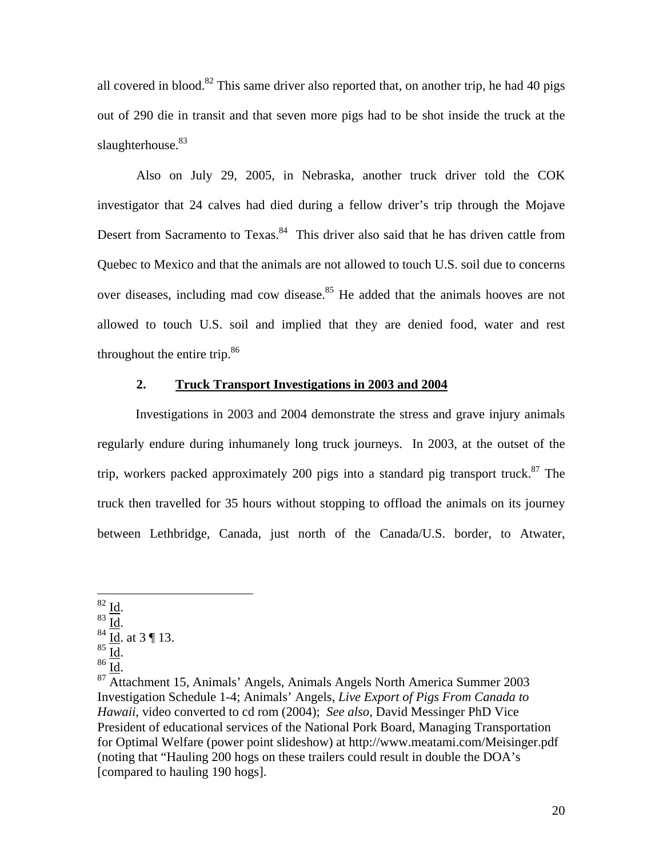all covered in blood.<sup>82</sup> This same driver also reported that, on another trip, he had 40 pigs out of 290 die in transit and that seven more pigs had to be shot inside the truck at the slaughterhouse.<sup>83</sup>

Also on July 29, 2005, in Nebraska, another truck driver told the COK investigator that 24 calves had died during a fellow driver's trip through the Mojave Desert from Sacramento to Texas.<sup>84</sup> This driver also said that he has driven cattle from Quebec to Mexico and that the animals are not allowed to touch U.S. soil due to concerns over diseases, including mad cow disease.<sup>85</sup> He added that the animals hooves are not allowed to touch U.S. soil and implied that they are denied food, water and rest throughout the entire trip. $86$ 

### **2. Truck Transport Investigations in 2003 and 2004**

Investigations in 2003 and 2004 demonstrate the stress and grave injury animals regularly endure during inhumanely long truck journeys. In 2003, at the outset of the trip, workers packed approximately 200 pigs into a standard pig transport truck.<sup>87</sup> The truck then travelled for 35 hours without stopping to offload the animals on its journey between Lethbridge, Canada, just north of the Canada/U.S. border, to Atwater,

 $82 \underline{\text{Id}}$ .

 $rac{83}{10}$ .<br>  $rac{84}{10}$ . at 3 ¶ 13.<br>  $rac{85}{10}$ .

 $\frac{86}{10}$ <br><sup>87</sup> Attachment 15, Animals' Angels, Animals Angels North America Summer 2003 Investigation Schedule 1-4; Animals' Angels, *Live Export of Pigs From Canada to Hawaii*, video converted to cd rom (2004); *See also*, David Messinger PhD Vice President of educational services of the National Pork Board, Managing Transportation for Optimal Welfare (power point slideshow) at http://www.meatami.com/Meisinger.pdf (noting that "Hauling 200 hogs on these trailers could result in double the DOA's [compared to hauling 190 hogs].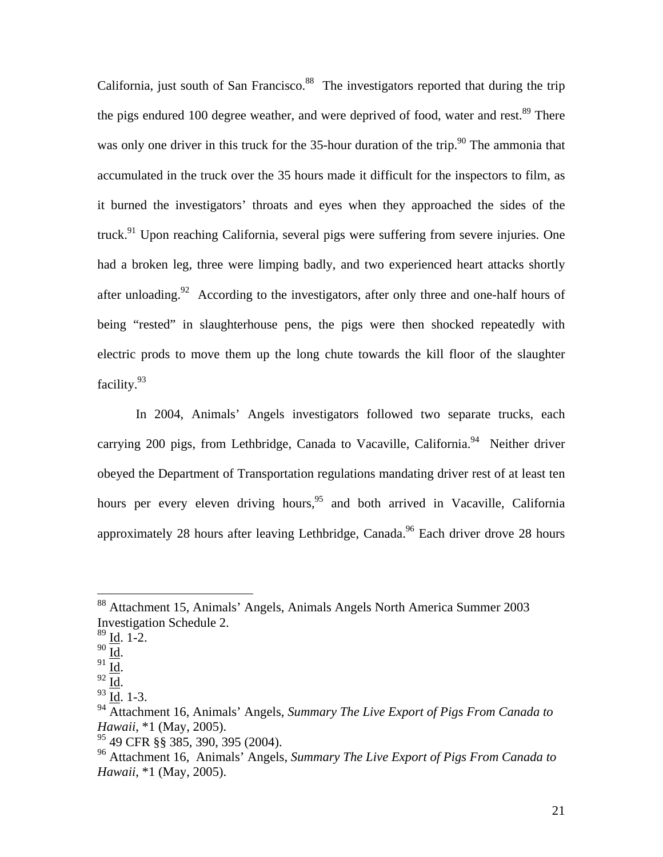California, just south of San Francisco.<sup>88</sup> The investigators reported that during the trip the pigs endured 100 degree weather, and were deprived of food, water and rest.<sup>89</sup> There was only one driver in this truck for the 35-hour duration of the trip.<sup>90</sup> The ammonia that accumulated in the truck over the 35 hours made it difficult for the inspectors to film, as it burned the investigators' throats and eyes when they approached the sides of the truck.<sup>91</sup> Upon reaching California, several pigs were suffering from severe injuries. One had a broken leg, three were limping badly, and two experienced heart attacks shortly after unloading.<sup>92</sup> According to the investigators, after only three and one-half hours of being "rested" in slaughterhouse pens, the pigs were then shocked repeatedly with electric prods to move them up the long chute towards the kill floor of the slaughter facility.<sup>93</sup>

In 2004, Animals' Angels investigators followed two separate trucks, each carrying 200 pigs, from Lethbridge, Canada to Vacaville, California.<sup>94</sup> Neither driver obeyed the Department of Transportation regulations mandating driver rest of at least ten hours per every eleven driving hours,<sup>95</sup> and both arrived in Vacaville, California approximately 28 hours after leaving Lethbridge, Canada.<sup>96</sup> Each driver drove 28 hours

<sup>88</sup> Attachment 15, Animals' Angels, Animals Angels North America Summer 2003 Investigation Schedule 2.

 $\frac{89}{90}$  <u>Id</u>. 1-2.

<sup>91</sup>  $\frac{1}{\underline{Id}}$ .<br>
92  $\frac{1}{\underline{Id}}$ .<br>
93  $\frac{1}{\underline{Id}}$ . 1-3.

<sup>94</sup> Attachment 16, Animals' Angels, *Summary The Live Export of Pigs From Canada to Hawaii*, \*1 (May, 2005).

 $95$  49 CFR §§ 385, 390, 395 (2004).

<sup>96</sup> Attachment 16, Animals' Angels, *Summary The Live Export of Pigs From Canada to Hawaii*, \*1 (May, 2005).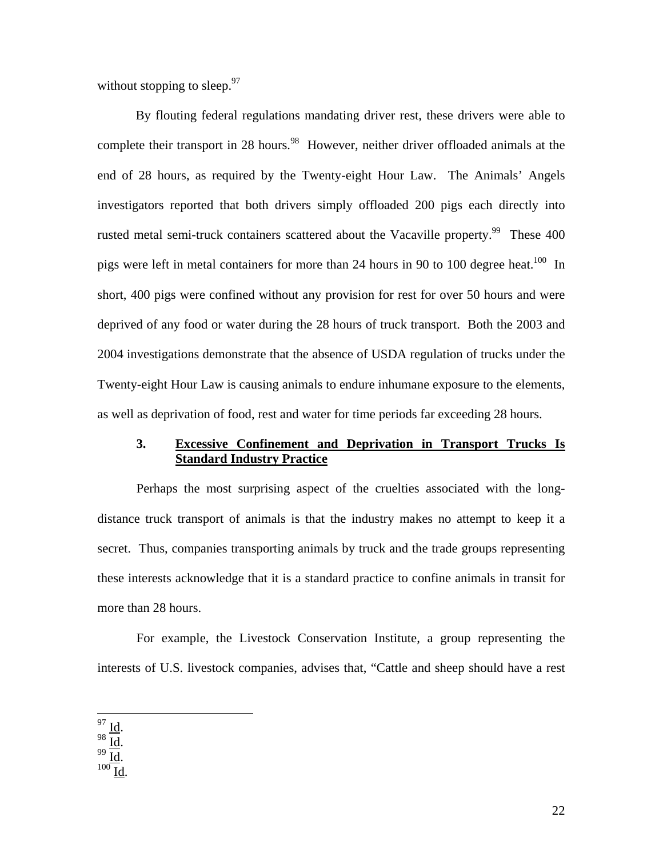without stopping to sleep. $97$ 

By flouting federal regulations mandating driver rest, these drivers were able to complete their transport in 28 hours.<sup>98</sup> However, neither driver offloaded animals at the end of 28 hours, as required by the Twenty-eight Hour Law. The Animals' Angels investigators reported that both drivers simply offloaded 200 pigs each directly into rusted metal semi-truck containers scattered about the Vacaville property.<sup>99</sup> These 400 pigs were left in metal containers for more than 24 hours in 90 to 100 degree heat.<sup>100</sup> In short, 400 pigs were confined without any provision for rest for over 50 hours and were deprived of any food or water during the 28 hours of truck transport. Both the 2003 and 2004 investigations demonstrate that the absence of USDA regulation of trucks under the Twenty-eight Hour Law is causing animals to endure inhumane exposure to the elements, as well as deprivation of food, rest and water for time periods far exceeding 28 hours.

#### **3. Excessive Confinement and Deprivation in Transport Trucks Is Standard Industry Practice**

Perhaps the most surprising aspect of the cruelties associated with the longdistance truck transport of animals is that the industry makes no attempt to keep it a secret. Thus, companies transporting animals by truck and the trade groups representing these interests acknowledge that it is a standard practice to confine animals in transit for more than 28 hours.

For example, the Livestock Conservation Institute, a group representing the interests of U.S. livestock companies, advises that, "Cattle and sheep should have a rest

 $\frac{97}{10}$  Id.

98  $\underline{\underline{Id}}$ .<br>
99  $\underline{\underline{Id}}$ .<br>
100  $\underline{\underline{Id}}$ .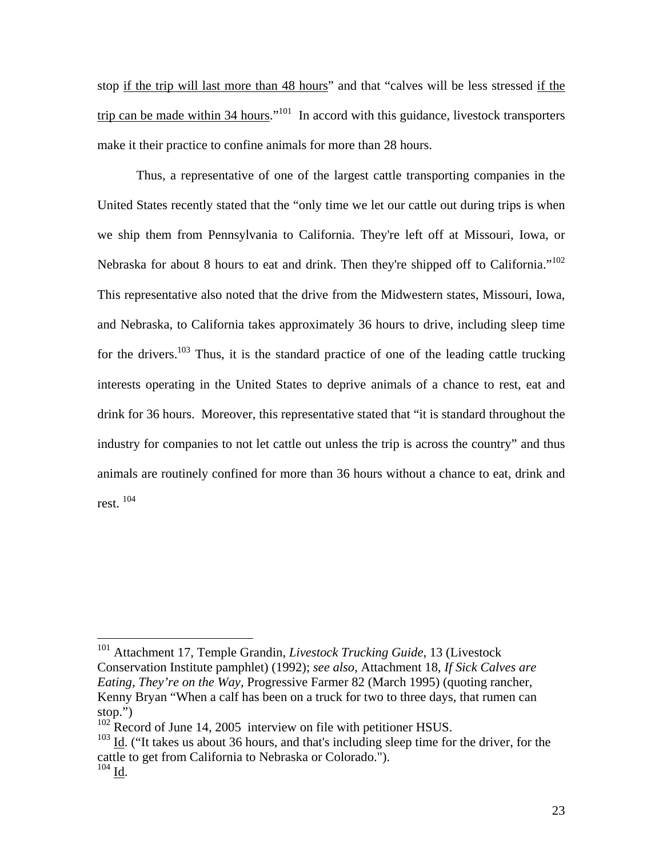stop if the trip will last more than 48 hours" and that "calves will be less stressed if the trip can be made within 34 hours."<sup>101</sup> In accord with this guidance, livestock transporters make it their practice to confine animals for more than 28 hours.

Thus, a representative of one of the largest cattle transporting companies in the United States recently stated that the "only time we let our cattle out during trips is when we ship them from Pennsylvania to California. They're left off at Missouri, Iowa, or Nebraska for about 8 hours to eat and drink. Then they're shipped off to California."<sup>102</sup> This representative also noted that the drive from the Midwestern states, Missouri, Iowa, and Nebraska, to California takes approximately 36 hours to drive, including sleep time for the drivers.<sup>103</sup> Thus, it is the standard practice of one of the leading cattle trucking interests operating in the United States to deprive animals of a chance to rest, eat and drink for 36 hours. Moreover, this representative stated that "it is standard throughout the industry for companies to not let cattle out unless the trip is across the country" and thus animals are routinely confined for more than 36 hours without a chance to eat, drink and rest. 104

<sup>101</sup> Attachment 17, Temple Grandin, *Livestock Trucking Guide*, 13 (Livestock Conservation Institute pamphlet) (1992); *see also*, Attachment 18, *If Sick Calves are Eating, They're on the Way*, Progressive Farmer 82 (March 1995) (quoting rancher, Kenny Bryan "When a calf has been on a truck for two to three days, that rumen can stop.")

 $102$  Record of June 14, 2005 interview on file with petitioner HSUS.

 $103$  Id. ("It takes us about 36 hours, and that's including sleep time for the driver, for the cattle to get from California to Nebraska or Colorado.").  $104$  Id.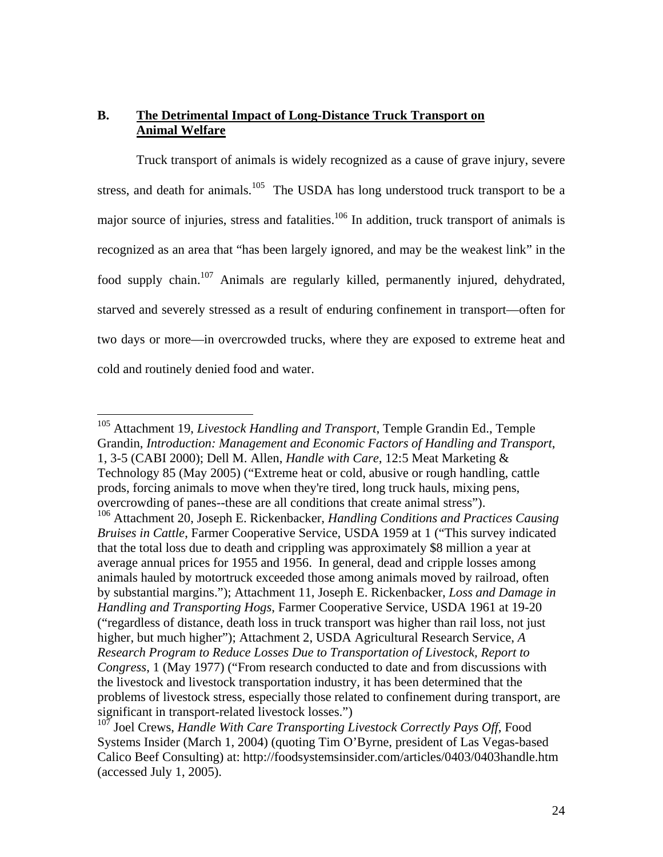# **B. The Detrimental Impact of Long-Distance Truck Transport on Animal Welfare**

Truck transport of animals is widely recognized as a cause of grave injury, severe stress, and death for animals.<sup>105</sup> The USDA has long understood truck transport to be a major source of injuries, stress and fatalities.<sup>106</sup> In addition, truck transport of animals is recognized as an area that "has been largely ignored, and may be the weakest link" in the food supply chain.<sup>107</sup> Animals are regularly killed, permanently injured, dehydrated, starved and severely stressed as a result of enduring confinement in transport—often for two days or more—in overcrowded trucks, where they are exposed to extreme heat and cold and routinely denied food and water.

<sup>105</sup> Attachment 19, *Livestock Handling and Transport*, Temple Grandin Ed., Temple Grandin, *Introduction: Management and Economic Factors of Handling and Transport*, 1, 3-5 (CABI 2000); Dell M. Allen, *Handle with Care*, 12:5 Meat Marketing & Technology 85 (May 2005) ("Extreme heat or cold, abusive or rough handling, cattle prods, forcing animals to move when they're tired, long truck hauls, mixing pens, overcrowding of panes--these are all conditions that create animal stress").

<sup>106</sup> Attachment 20, Joseph E. Rickenbacker, *Handling Conditions and Practices Causing Bruises in Cattle*, Farmer Cooperative Service, USDA 1959 at 1 ("This survey indicated that the total loss due to death and crippling was approximately \$8 million a year at average annual prices for 1955 and 1956. In general, dead and cripple losses among animals hauled by motortruck exceeded those among animals moved by railroad, often by substantial margins."); Attachment 11, Joseph E. Rickenbacker, *Loss and Damage in Handling and Transporting Hogs*, Farmer Cooperative Service, USDA 1961 at 19-20 ("regardless of distance, death loss in truck transport was higher than rail loss, not just higher, but much higher"); Attachment 2, USDA Agricultural Research Service, *A Research Program to Reduce Losses Due to Transportation of Livestock, Report to Congress*, 1 (May 1977) ("From research conducted to date and from discussions with the livestock and livestock transportation industry, it has been determined that the problems of livestock stress, especially those related to confinement during transport, are significant in transport-related livestock losses.")

<sup>&</sup>lt;sup>107</sup> Joel Crews, *Handle With Care Transporting Livestock Correctly Pays Off*, Food Systems Insider (March 1, 2004) (quoting Tim O'Byrne, president of Las Vegas-based Calico Beef Consulting) at: http://foodsystemsinsider.com/articles/0403/0403handle.htm (accessed July 1, 2005).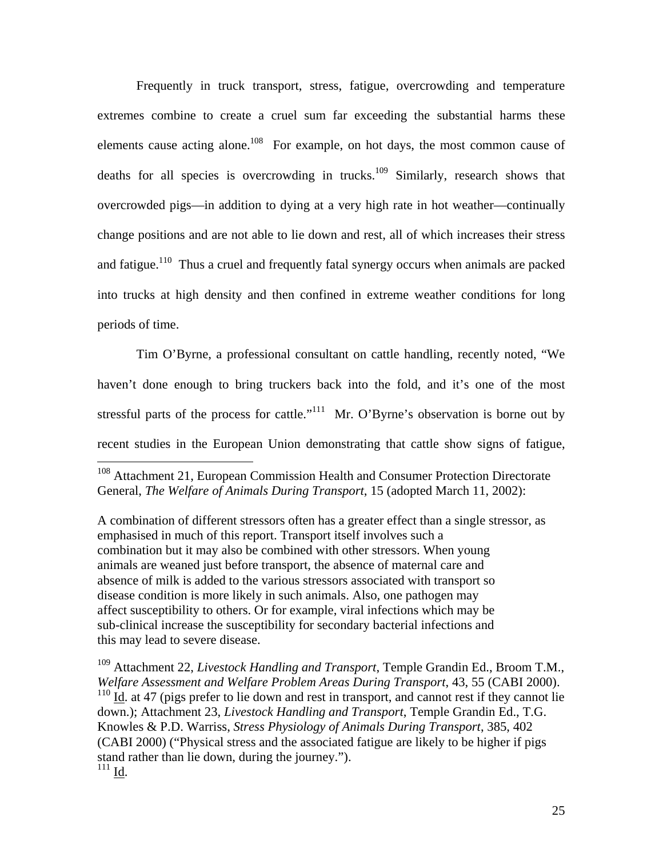Frequently in truck transport, stress, fatigue, overcrowding and temperature extremes combine to create a cruel sum far exceeding the substantial harms these elements cause acting alone.<sup>108</sup> For example, on hot days, the most common cause of deaths for all species is overcrowding in trucks.<sup>109</sup> Similarly, research shows that overcrowded pigs—in addition to dying at a very high rate in hot weather—continually change positions and are not able to lie down and rest, all of which increases their stress and fatigue.<sup>110</sup> Thus a cruel and frequently fatal synergy occurs when animals are packed into trucks at high density and then confined in extreme weather conditions for long periods of time.

Tim O'Byrne, a professional consultant on cattle handling, recently noted, "We haven't done enough to bring truckers back into the fold, and it's one of the most stressful parts of the process for cattle."<sup>111</sup> Mr. O'Byrne's observation is borne out by recent studies in the European Union demonstrating that cattle show signs of fatigue,

 $\overline{a}$ 

A combination of different stressors often has a greater effect than a single stressor, as emphasised in much of this report. Transport itself involves such a combination but it may also be combined with other stressors. When young animals are weaned just before transport, the absence of maternal care and absence of milk is added to the various stressors associated with transport so disease condition is more likely in such animals. Also, one pathogen may affect susceptibility to others. Or for example, viral infections which may be sub-clinical increase the susceptibility for secondary bacterial infections and this may lead to severe disease.

109 Attachment 22, *Livestock Handling and Transport*, Temple Grandin Ed., Broom T.M., *Welfare Assessment and Welfare Problem Areas During Transport*, 43, 55 (CABI 2000).  $110$  Id. at 47 (pigs prefer to lie down and rest in transport, and cannot rest if they cannot lie down.); Attachment 23, *Livestock Handling and Transport*, Temple Grandin Ed., T.G. Knowles & P.D. Warriss, *Stress Physiology of Animals During Transport*, 385, 402 (CABI 2000) ("Physical stress and the associated fatigue are likely to be higher if pigs stand rather than lie down, during the journey."). 111 Id.

<sup>&</sup>lt;sup>108</sup> Attachment 21, European Commission Health and Consumer Protection Directorate General, *The Welfare of Animals During Transport*, 15 (adopted March 11, 2002):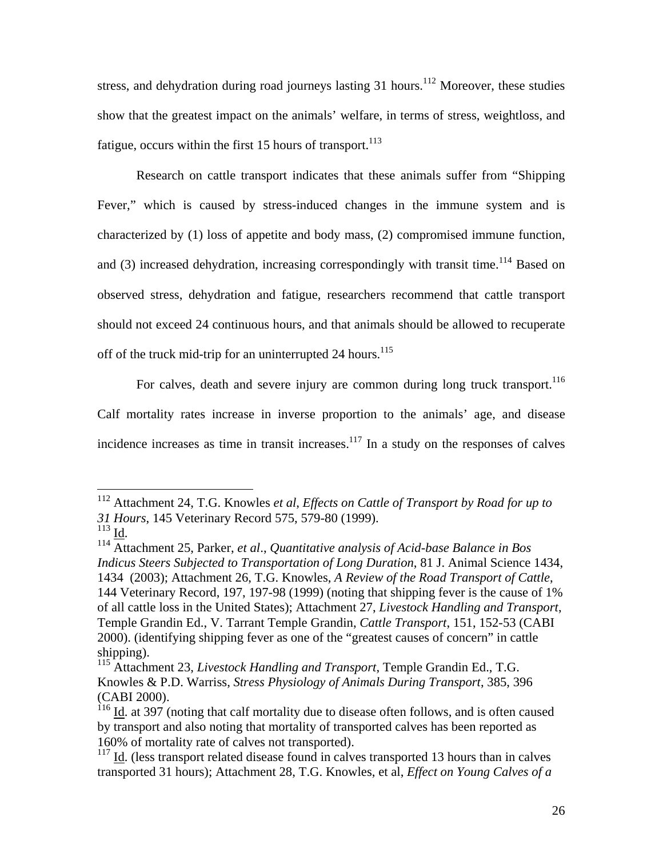stress, and dehydration during road journeys lasting 31 hours.<sup>112</sup> Moreover, these studies show that the greatest impact on the animals' welfare, in terms of stress, weightloss, and fatigue, occurs within the first 15 hours of transport.<sup>113</sup>

 Research on cattle transport indicates that these animals suffer from "Shipping Fever," which is caused by stress-induced changes in the immune system and is characterized by (1) loss of appetite and body mass, (2) compromised immune function, and (3) increased dehydration, increasing correspondingly with transit time.<sup>114</sup> Based on observed stress, dehydration and fatigue, researchers recommend that cattle transport should not exceed 24 continuous hours, and that animals should be allowed to recuperate off of the truck mid-trip for an uninterrupted  $24$  hours.<sup>115</sup>

For calves, death and severe injury are common during long truck transport.<sup>116</sup> Calf mortality rates increase in inverse proportion to the animals' age, and disease incidence increases as time in transit increases. $117$  In a study on the responses of calves

<sup>112</sup> Attachment 24, T.G. Knowles *et al*, *Effects on Cattle of Transport by Road for up to 31 Hours*, 145 Veterinary Record 575, 579-80 (1999).

<sup>&</sup>lt;sup>114</sup> Attachment 25, Parker, *et al., Quantitative analysis of Acid-base Balance in Bos Indicus Steers Subjected to Transportation of Long Duration*, 81 J. Animal Science 1434, 1434 (2003); Attachment 26, T.G. Knowles, *A Review of the Road Transport of Cattle*, 144 Veterinary Record, 197, 197-98 (1999) (noting that shipping fever is the cause of 1% of all cattle loss in the United States); Attachment 27, *Livestock Handling and Transport*, Temple Grandin Ed., V. Tarrant Temple Grandin, *Cattle Transport*, 151, 152-53 (CABI 2000). (identifying shipping fever as one of the "greatest causes of concern" in cattle shipping).

<sup>115</sup> Attachment 23, *Livestock Handling and Transport*, Temple Grandin Ed., T.G. Knowles & P.D. Warriss, *Stress Physiology of Animals During Transport*, 385, 396 (CABI 2000).

 $116$  Id. at 397 (noting that calf mortality due to disease often follows, and is often caused by transport and also noting that mortality of transported calves has been reported as 160% of mortality rate of calves not transported).

 $117$  Id. (less transport related disease found in calves transported 13 hours than in calves transported 31 hours); Attachment 28, T.G. Knowles, et al, *Effect on Young Calves of a*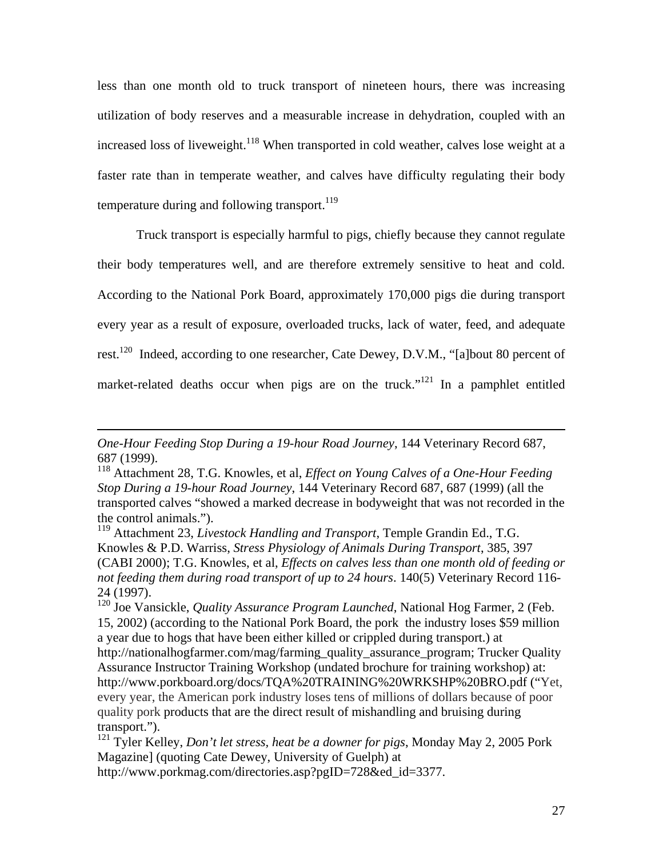less than one month old to truck transport of nineteen hours, there was increasing utilization of body reserves and a measurable increase in dehydration, coupled with an increased loss of liveweight.<sup>118</sup> When transported in cold weather, calves lose weight at a faster rate than in temperate weather, and calves have difficulty regulating their body temperature during and following transport.<sup>119</sup>

Truck transport is especially harmful to pigs, chiefly because they cannot regulate their body temperatures well, and are therefore extremely sensitive to heat and cold. According to the National Pork Board, approximately 170,000 pigs die during transport every year as a result of exposure, overloaded trucks, lack of water, feed, and adequate rest.<sup>120</sup> Indeed, according to one researcher, Cate Dewey, D.V.M., "[a]bout 80 percent of market-related deaths occur when pigs are on the truck."<sup>121</sup> In a pamphlet entitled

*One-Hour Feeding Stop During a 19-hour Road Journey*, 144 Veterinary Record 687, 687 (1999).

<sup>118</sup> Attachment 28, T.G. Knowles, et al, *Effect on Young Calves of a One-Hour Feeding Stop During a 19-hour Road Journey*, 144 Veterinary Record 687, 687 (1999) (all the transported calves "showed a marked decrease in bodyweight that was not recorded in the the control animals.").

<sup>119</sup> Attachment 23, *Livestock Handling and Transport*, Temple Grandin Ed., T.G. Knowles & P.D. Warriss, *Stress Physiology of Animals During Transport*, 385, 397 (CABI 2000); T.G. Knowles, et al, *Effects on calves less than one month old of feeding or not feeding them during road transport of up to 24 hours*. 140(5) Veterinary Record 116- 24 (1997).

<sup>120</sup> Joe Vansickle, *Quality Assurance Program Launched*, National Hog Farmer, 2 (Feb. 15, 2002) (according to the National Pork Board, the pork the industry loses \$59 million a year due to hogs that have been either killed or crippled during transport.) at http://nationalhogfarmer.com/mag/farming\_quality\_assurance\_program; Trucker Quality Assurance Instructor Training Workshop (undated brochure for training workshop) at: http://www.porkboard.org/docs/TQA%20TRAINING%20WRKSHP%20BRO.pdf ("Yet, every year, the American pork industry loses tens of millions of dollars because of poor quality pork products that are the direct result of mishandling and bruising during transport.").

<sup>121</sup> Tyler Kelley, *Don't let stress, heat be a downer for pigs*, Monday May 2, 2005 Pork Magazine] (quoting Cate Dewey, University of Guelph) at

http://www.porkmag.com/directories.asp?pgID=728&ed\_id=3377.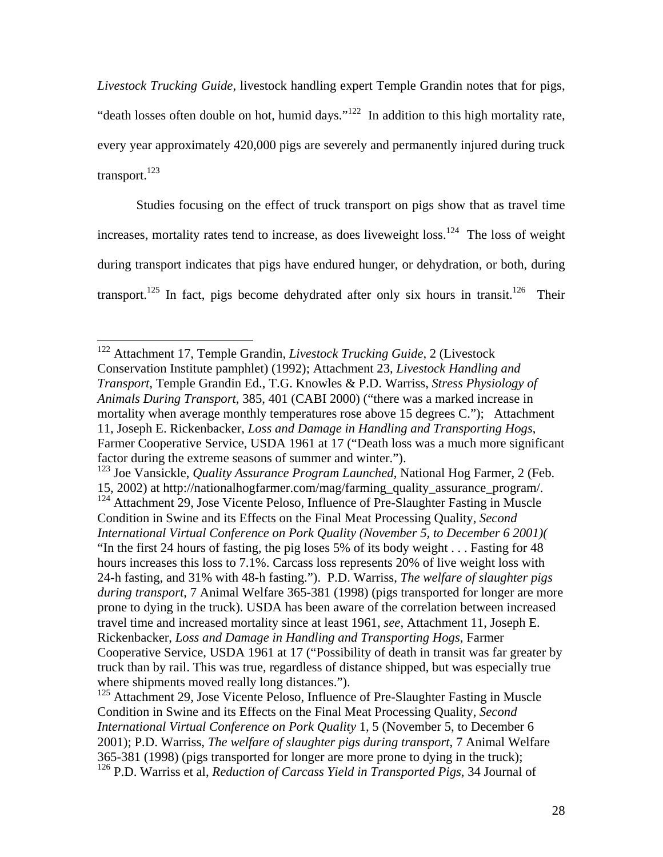*Livestock Trucking Guide*, livestock handling expert Temple Grandin notes that for pigs, "death losses often double on hot, humid days."<sup>122</sup> In addition to this high mortality rate, every year approximately 420,000 pigs are severely and permanently injured during truck transport. $123$ 

Studies focusing on the effect of truck transport on pigs show that as travel time increases, mortality rates tend to increase, as does liveweight loss.<sup>124</sup> The loss of weight during transport indicates that pigs have endured hunger, or dehydration, or both, during transport.<sup>125</sup> In fact, pigs become dehydrated after only six hours in transit.<sup>126</sup> Their

<sup>122</sup> Attachment 17, Temple Grandin, *Livestock Trucking Guide*, 2 (Livestock Conservation Institute pamphlet) (1992); Attachment 23, *Livestock Handling and Transport*, Temple Grandin Ed., T.G. Knowles & P.D. Warriss, *Stress Physiology of Animals During Transport*, 385, 401 (CABI 2000) ("there was a marked increase in mortality when average monthly temperatures rose above 15 degrees C."); Attachment 11, Joseph E. Rickenbacker, *Loss and Damage in Handling and Transporting Hogs*, Farmer Cooperative Service, USDA 1961 at 17 ("Death loss was a much more significant factor during the extreme seasons of summer and winter.").

<sup>123</sup> Joe Vansickle, *Quality Assurance Program Launched*, National Hog Farmer, 2 (Feb. 15, 2002) at http://nationalhogfarmer.com/mag/farming\_quality\_assurance\_program/. <sup>124</sup> Attachment 29, Jose Vicente Peloso, Influence of Pre-Slaughter Fasting in Muscle Condition in Swine and its Effects on the Final Meat Processing Quality, *Second International Virtual Conference on Pork Quality (November 5, to December 6 2001)(* "In the first 24 hours of fasting, the pig loses 5% of its body weight . . . Fasting for 48 hours increases this loss to 7.1%. Carcass loss represents 20% of live weight loss with 24-h fasting, and 31% with 48-h fasting."). P.D. Warriss, *The welfare of slaughter pigs during transport*, 7 Animal Welfare 365-381 (1998) (pigs transported for longer are more prone to dying in the truck). USDA has been aware of the correlation between increased travel time and increased mortality since at least 1961, *see*, Attachment 11, Joseph E. Rickenbacker, *Loss and Damage in Handling and Transporting Hogs*, Farmer Cooperative Service, USDA 1961 at 17 ("Possibility of death in transit was far greater by truck than by rail. This was true, regardless of distance shipped, but was especially true where shipments moved really long distances.").

 $125$  Attachment 29, Jose Vicente Peloso, Influence of Pre-Slaughter Fasting in Muscle Condition in Swine and its Effects on the Final Meat Processing Quality, *Second International Virtual Conference on Pork Quality* 1, 5 (November 5, to December 6 2001); P.D. Warriss, *The welfare of slaughter pigs during transport*, 7 Animal Welfare 365-381 (1998) (pigs transported for longer are more prone to dying in the truck); 126 P.D. Warriss et al, *Reduction of Carcass Yield in Transported Pigs*, 34 Journal of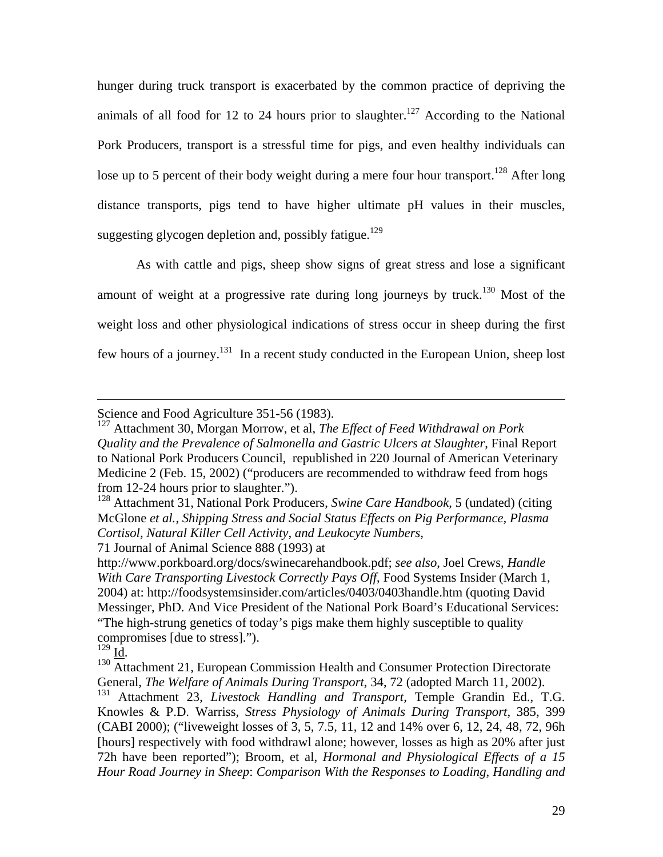hunger during truck transport is exacerbated by the common practice of depriving the animals of all food for 12 to 24 hours prior to slaughter.<sup>127</sup> According to the National Pork Producers, transport is a stressful time for pigs, and even healthy individuals can lose up to 5 percent of their body weight during a mere four hour transport.<sup>128</sup> After long distance transports, pigs tend to have higher ultimate pH values in their muscles, suggesting glycogen depletion and, possibly fatigue.<sup>129</sup>

As with cattle and pigs, sheep show signs of great stress and lose a significant amount of weight at a progressive rate during long journeys by truck.<sup>130</sup> Most of the weight loss and other physiological indications of stress occur in sheep during the first few hours of a journey.131 In a recent study conducted in the European Union, sheep lost

71 Journal of Animal Science 888 (1993) at

Science and Food Agriculture 351-56 (1983).

<sup>127</sup> Attachment 30, Morgan Morrow, et al, *The Effect of Feed Withdrawal on Pork Quality and the Prevalence of Salmonella and Gastric Ulcers at Slaughter*, Final Report to National Pork Producers Council, republished in 220 Journal of American Veterinary Medicine 2 (Feb. 15, 2002) ("producers are recommended to withdraw feed from hogs from 12-24 hours prior to slaughter.").

<sup>128</sup> Attachment 31, National Pork Producers, *Swine Care Handbook*, 5 (undated) (citing McGlone *et al.*, *Shipping Stress and Social Status Effects on Pig Performance, Plasma Cortisol, Natural Killer Cell Activity, and Leukocyte Numbers*,

http://www.porkboard.org/docs/swinecarehandbook.pdf; *see also*, Joel Crews, *Handle With Care Transporting Livestock Correctly Pays Off*, Food Systems Insider (March 1, 2004) at: http://foodsystemsinsider.com/articles/0403/0403handle.htm (quoting David Messinger, PhD. And Vice President of the National Pork Board's Educational Services: "The high-strung genetics of today's pigs make them highly susceptible to quality compromises [due to stress].").<br> $^{129}$  Id

 $130$  Attachment 21, European Commission Health and Consumer Protection Directorate General, *The Welfare of Animals During Transport*, 34, 72 (adopted March 11, 2002).

<sup>131</sup> Attachment 23, *Livestock Handling and Transport*, Temple Grandin Ed., T.G. Knowles & P.D. Warriss, *Stress Physiology of Animals During Transport*, 385, 399 (CABI 2000); ("liveweight losses of 3, 5, 7.5, 11, 12 and 14% over 6, 12, 24, 48, 72, 96h [hours] respectively with food withdrawl alone; however, losses as high as 20% after just 72h have been reported"); Broom, et al, *Hormonal and Physiological Effects of a 15 Hour Road Journey in Sheep*: *Comparison With the Responses to Loading, Handling and*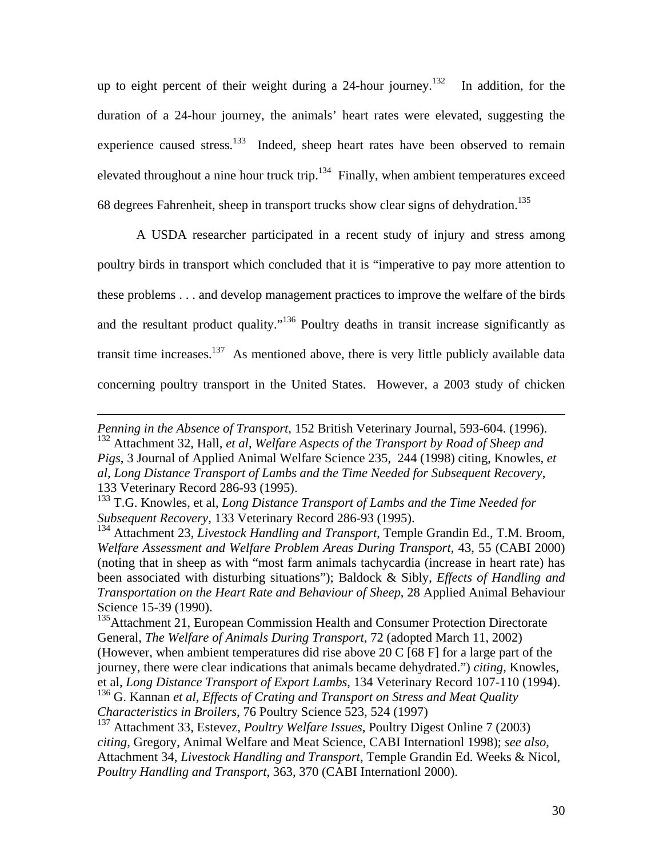up to eight percent of their weight during a 24-hour journey.<sup>132</sup> In addition, for the duration of a 24-hour journey, the animals' heart rates were elevated, suggesting the experience caused stress.<sup>133</sup> Indeed, sheep heart rates have been observed to remain elevated throughout a nine hour truck trip.<sup>134</sup> Finally, when ambient temperatures exceed 68 degrees Fahrenheit, sheep in transport trucks show clear signs of dehydration.135

A USDA researcher participated in a recent study of injury and stress among poultry birds in transport which concluded that it is "imperative to pay more attention to these problems . . . and develop management practices to improve the welfare of the birds and the resultant product quality."<sup>136</sup> Poultry deaths in transit increase significantly as transit time increases. $137$  As mentioned above, there is very little publicly available data concerning poultry transport in the United States. However, a 2003 study of chicken

*Penning in the Absence of Transport*, 152 British Veterinary Journal, 593-604. (1996). 132 Attachment 32, Hall, *et al*, *Welfare Aspects of the Transport by Road of Sheep and Pigs*, 3 Journal of Applied Animal Welfare Science 235, 244 (1998) citing, Knowles, *et al*, *Long Distance Transport of Lambs and the Time Needed for Subsequent Recovery*, 133 Veterinary Record 286-93 (1995).

<sup>133</sup> T.G. Knowles, et al, *Long Distance Transport of Lambs and the Time Needed for Subsequent Recovery*, 133 Veterinary Record 286-93 (1995).

<sup>134</sup> Attachment 23, *Livestock Handling and Transport*, Temple Grandin Ed., T.M. Broom, *Welfare Assessment and Welfare Problem Areas During Transport*, 43, 55 (CABI 2000) (noting that in sheep as with "most farm animals tachycardia (increase in heart rate) has been associated with disturbing situations"); Baldock & Sibly, *Effects of Handling and Transportation on the Heart Rate and Behaviour of Sheep*, 28 Applied Animal Behaviour Science 15-39 (1990).

<sup>&</sup>lt;sup>135</sup>Attachment 21, European Commission Health and Consumer Protection Directorate General, *The Welfare of Animals During Transport*, 72 (adopted March 11, 2002) (However, when ambient temperatures did rise above 20 C [68 F] for a large part of the journey, there were clear indications that animals became dehydrated.") *citing*, Knowles, et al, *Long Distance Transport of Export Lambs*, 134 Veterinary Record 107-110 (1994).

<sup>136</sup> G. Kannan *et al*, *Effects of Crating and Transport on Stress and Meat Quality Characteristics in Broilers*, 76 Poultry Science 523, 524 (1997)

<sup>137</sup> Attachment 33, Estevez, *Poultry Welfare Issues*, Poultry Digest Online 7 (2003) *citing*, Gregory, Animal Welfare and Meat Science, CABI Internationl 1998); *see also*, Attachment 34, *Livestock Handling and Transport*, Temple Grandin Ed. Weeks & Nicol, *Poultry Handling and Transport*, 363, 370 (CABI Internationl 2000).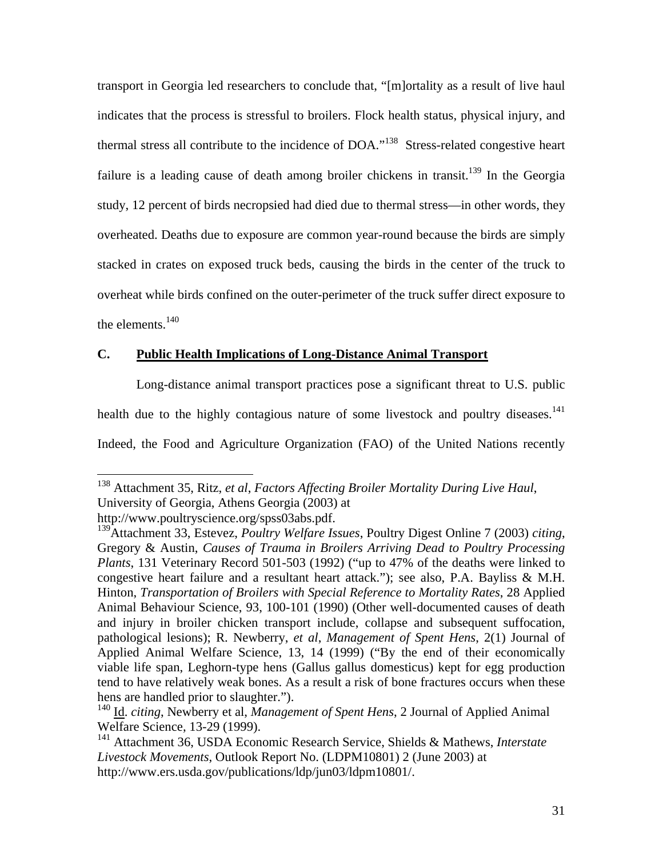transport in Georgia led researchers to conclude that, "[m]ortality as a result of live haul indicates that the process is stressful to broilers. Flock health status, physical injury, and thermal stress all contribute to the incidence of DOA."138 Stress-related congestive heart failure is a leading cause of death among broiler chickens in transit.<sup>139</sup> In the Georgia study, 12 percent of birds necropsied had died due to thermal stress—in other words, they overheated. Deaths due to exposure are common year-round because the birds are simply stacked in crates on exposed truck beds, causing the birds in the center of the truck to overheat while birds confined on the outer-perimeter of the truck suffer direct exposure to the elements. $140$ 

## **C. Public Health Implications of Long-Distance Animal Transport**

 Long-distance animal transport practices pose a significant threat to U.S. public health due to the highly contagious nature of some livestock and poultry diseases.<sup>141</sup> Indeed, the Food and Agriculture Organization (FAO) of the United Nations recently

<sup>138</sup> Attachment 35, Ritz, *et al*, *Factors Affecting Broiler Mortality During Live Haul*, University of Georgia, Athens Georgia (2003) at

http://www.poultryscience.org/spss03abs.pdf.

<sup>139</sup>Attachment 33, Estevez, *Poultry Welfare Issues*, Poultry Digest Online 7 (2003) *citing*, Gregory & Austin, *Causes of Trauma in Broilers Arriving Dead to Poultry Processing Plants*, 131 Veterinary Record 501-503 (1992) ("up to 47% of the deaths were linked to congestive heart failure and a resultant heart attack."); see also, P.A. Bayliss & M.H. Hinton, *Transportation of Broilers with Special Reference to Mortality Rates*, 28 Applied Animal Behaviour Science, 93, 100-101 (1990) (Other well-documented causes of death and injury in broiler chicken transport include, collapse and subsequent suffocation, pathological lesions); R. Newberry, *et al*, *Management of Spent Hens*, 2(1) Journal of Applied Animal Welfare Science, 13, 14 (1999) ("By the end of their economically viable life span, Leghorn-type hens (Gallus gallus domesticus) kept for egg production tend to have relatively weak bones. As a result a risk of bone fractures occurs when these hens are handled prior to slaughter.").

<sup>&</sup>lt;sup>140</sup> Id. *citing*, Newberry et al, *Management of Spent Hens*, 2 Journal of Applied Animal Welfare Science, 13-29 (1999).

<sup>141</sup> Attachment 36, USDA Economic Research Service, Shields & Mathews, *Interstate Livestock Movements*, Outlook Report No. (LDPM10801) 2 (June 2003) at http://www.ers.usda.gov/publications/ldp/jun03/ldpm10801/.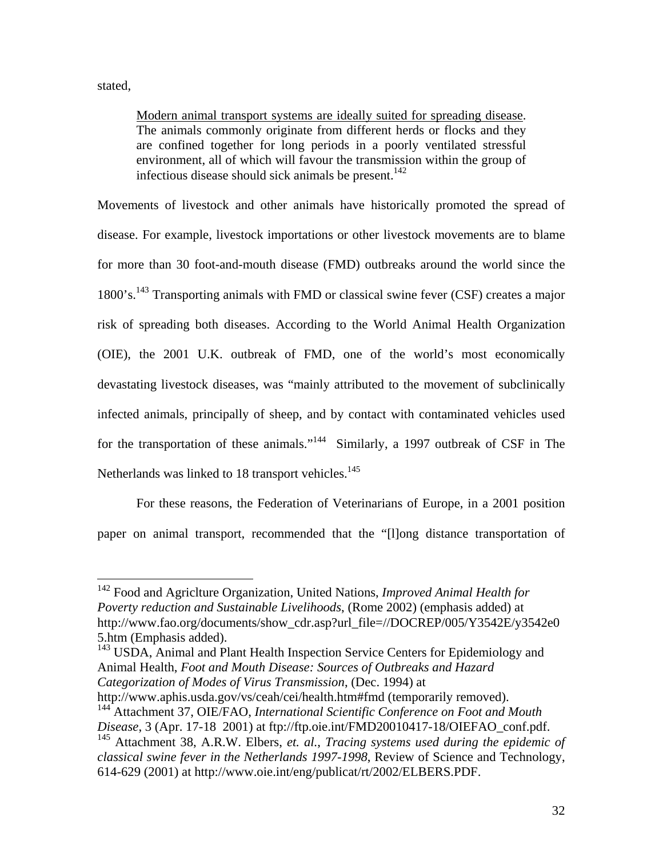stated,

 $\overline{a}$ 

Modern animal transport systems are ideally suited for spreading disease. The animals commonly originate from different herds or flocks and they are confined together for long periods in a poorly ventilated stressful environment, all of which will favour the transmission within the group of infectious disease should sick animals be present. $142$ 

Movements of livestock and other animals have historically promoted the spread of disease. For example, livestock importations or other livestock movements are to blame for more than 30 foot-and-mouth disease (FMD) outbreaks around the world since the 1800's.<sup>143</sup> Transporting animals with FMD or classical swine fever (CSF) creates a major risk of spreading both diseases. According to the World Animal Health Organization (OIE), the 2001 U.K. outbreak of FMD, one of the world's most economically devastating livestock diseases, was "mainly attributed to the movement of subclinically infected animals, principally of sheep, and by contact with contaminated vehicles used for the transportation of these animals."<sup>144</sup> Similarly, a 1997 outbreak of CSF in The Netherlands was linked to 18 transport vehicles. $145$ 

 For these reasons, the Federation of Veterinarians of Europe, in a 2001 position paper on animal transport, recommended that the "[l]ong distance transportation of

<sup>143</sup> USDA, Animal and Plant Health Inspection Service Centers for Epidemiology and Animal Health, *Foot and Mouth Disease: Sources of Outbreaks and Hazard Categorization of Modes of Virus Transmission*, (Dec. 1994) at

http://www.aphis.usda.gov/vs/ceah/cei/health.htm#fmd (temporarily removed). 144 Attachment 37, OIE/FAO, *International Scientific Conference on Foot and Mouth* 

<sup>142</sup> Food and Agriclture Organization, United Nations, *Improved Animal Health for Poverty reduction and Sustainable Livelihoods*, (Rome 2002) (emphasis added) at http://www.fao.org/documents/show\_cdr.asp?url\_file=//DOCREP/005/Y3542E/y3542e0 5.htm (Emphasis added).

*Disease*, 3 (Apr. 17-18 2001) at ftp://ftp.oie.int/FMD20010417-18/OIEFAO\_conf.pdf. 145 Attachment 38, A.R.W. Elbers, *et. al.*, *Tracing systems used during the epidemic of classical swine fever in the Netherlands 1997-1998*, Review of Science and Technology,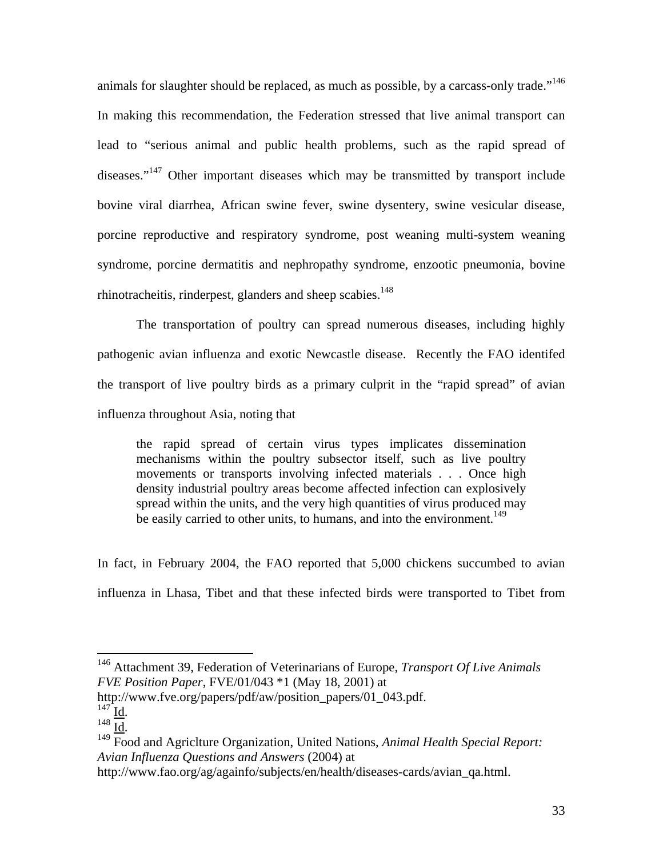animals for slaughter should be replaced, as much as possible, by a carcass-only trade."<sup>146</sup> In making this recommendation, the Federation stressed that live animal transport can lead to "serious animal and public health problems, such as the rapid spread of diseases."147 Other important diseases which may be transmitted by transport include bovine viral diarrhea, African swine fever, swine dysentery, swine vesicular disease, porcine reproductive and respiratory syndrome, post weaning multi-system weaning syndrome, porcine dermatitis and nephropathy syndrome, enzootic pneumonia, bovine rhinotracheitis, rinderpest, glanders and sheep scabies.<sup>148</sup>

The transportation of poultry can spread numerous diseases, including highly pathogenic avian influenza and exotic Newcastle disease. Recently the FAO identifed the transport of live poultry birds as a primary culprit in the "rapid spread" of avian influenza throughout Asia, noting that

the rapid spread of certain virus types implicates dissemination mechanisms within the poultry subsector itself, such as live poultry movements or transports involving infected materials . . . Once high density industrial poultry areas become affected infection can explosively spread within the units, and the very high quantities of virus produced may be easily carried to other units, to humans, and into the environment.<sup>149</sup>

In fact, in February 2004, the FAO reported that 5,000 chickens succumbed to avian influenza in Lhasa, Tibet and that these infected birds were transported to Tibet from

http://www.fve.org/papers/pdf/aw/position\_papers/01\_043.pdf.<br><sup>147</sup> Id.<br><sup>148</sup> Id.

 $\overline{a}$ 

http://www.fao.org/ag/againfo/subjects/en/health/diseases-cards/avian\_qa.html.

<sup>146</sup> Attachment 39, Federation of Veterinarians of Europe, *Transport Of Live Animals FVE Position Paper*, FVE/01/043 \*1 (May 18, 2001) at

<sup>&</sup>lt;sup>149</sup> Food and Agriclture Organization, United Nations, *Animal Health Special Report: Avian Influenza Questions and Answers* (2004) at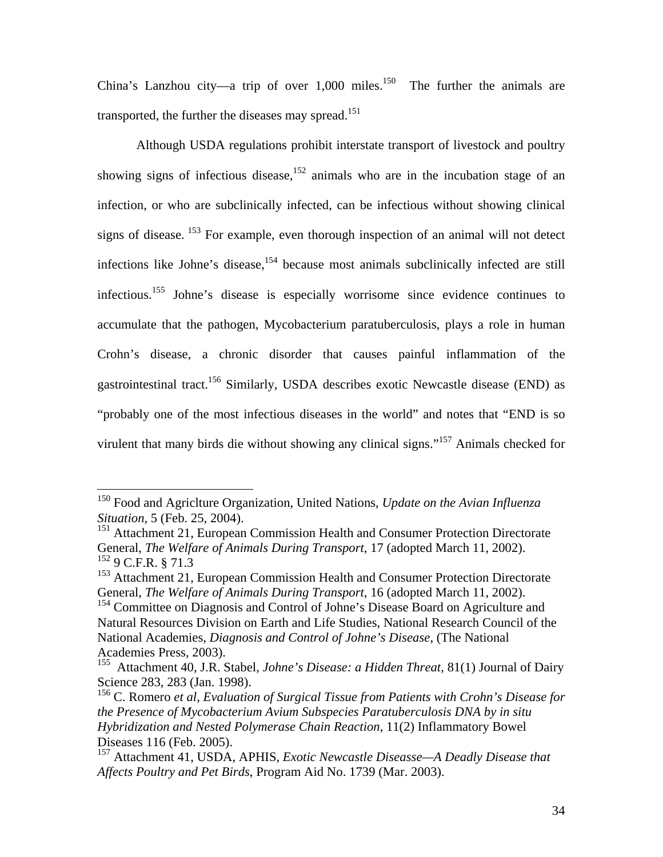China's Lanzhou city—a trip of over  $1,000$  miles.<sup>150</sup> The further the animals are transported, the further the diseases may spread.<sup>151</sup>

Although USDA regulations prohibit interstate transport of livestock and poultry showing signs of infectious disease,  $152$  animals who are in the incubation stage of an infection, or who are subclinically infected, can be infectious without showing clinical signs of disease. <sup>153</sup> For example, even thorough inspection of an animal will not detect infections like Johne's disease,<sup>154</sup> because most animals subclinically infected are still infectious.155 Johne's disease is especially worrisome since evidence continues to accumulate that the pathogen, Mycobacterium paratuberculosis, plays a role in human Crohn's disease, a chronic disorder that causes painful inflammation of the gastrointestinal tract.156 Similarly, USDA describes exotic Newcastle disease (END) as "probably one of the most infectious diseases in the world" and notes that "END is so virulent that many birds die without showing any clinical signs."<sup>157</sup> Animals checked for

<sup>150</sup> Food and Agriclture Organization, United Nations, *Update on the Avian Influenza Situation*, 5 (Feb. 25, 2004).

<sup>&</sup>lt;sup>151</sup> Attachment 21, European Commission Health and Consumer Protection Directorate General, *The Welfare of Animals During Transport*, 17 (adopted March 11, 2002). 152 9 C.F.R. § 71.3

<sup>&</sup>lt;sup>153</sup> Attachment 21, European Commission Health and Consumer Protection Directorate General, *The Welfare of Animals During Transport*, 16 (adopted March 11, 2002).

<sup>&</sup>lt;sup>154</sup> Committee on Diagnosis and Control of Johne's Disease Board on Agriculture and Natural Resources Division on Earth and Life Studies, National Research Council of the National Academies, *Diagnosis and Control of Johne's Disease*, (The National Academies Press, 2003).

<sup>155</sup> Attachment 40, J.R. Stabel, *Johne's Disease: a Hidden Threat*, 81(1) Journal of Dairy Science 283, 283 (Jan. 1998).

<sup>156</sup> C. Romero *et al*, *Evaluation of Surgical Tissue from Patients with Crohn's Disease for the Presence of Mycobacterium Avium Subspecies Paratuberculosis DNA by in situ Hybridization and Nested Polymerase Chain Reaction*, 11(2) Inflammatory Bowel Diseases 116 (Feb. 2005).

<sup>157</sup> Attachment 41, USDA, APHIS, *Exotic Newcastle Diseasse—A Deadly Disease that Affects Poultry and Pet Birds*, Program Aid No. 1739 (Mar. 2003).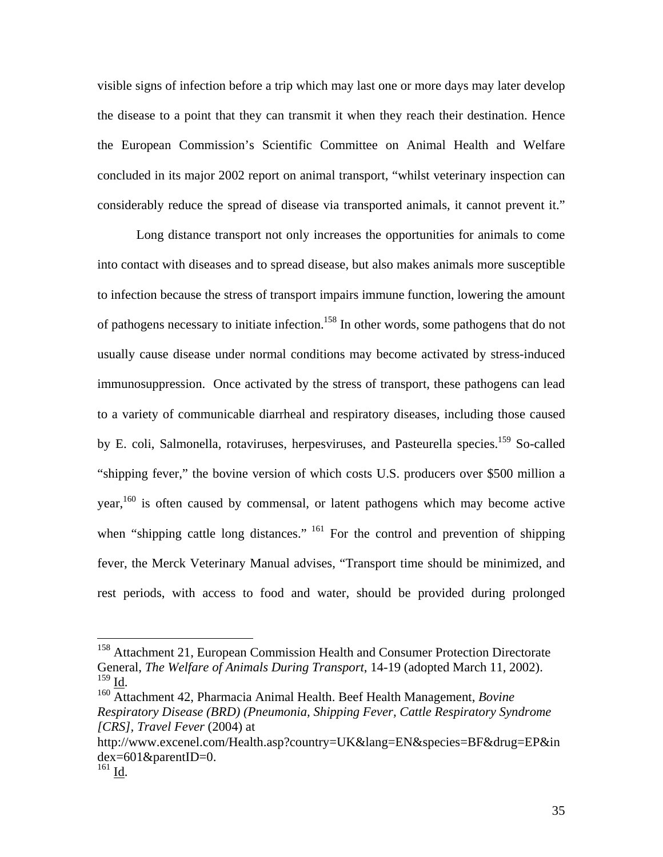visible signs of infection before a trip which may last one or more days may later develop the disease to a point that they can transmit it when they reach their destination. Hence the European Commission's Scientific Committee on Animal Health and Welfare concluded in its major 2002 report on animal transport, "whilst veterinary inspection can considerably reduce the spread of disease via transported animals, it cannot prevent it."

 Long distance transport not only increases the opportunities for animals to come into contact with diseases and to spread disease, but also makes animals more susceptible to infection because the stress of transport impairs immune function, lowering the amount of pathogens necessary to initiate infection.158 In other words, some pathogens that do not usually cause disease under normal conditions may become activated by stress-induced immunosuppression. Once activated by the stress of transport, these pathogens can lead to a variety of communicable diarrheal and respiratory diseases, including those caused by E. coli, Salmonella, rotaviruses, herpesviruses, and Pasteurella species.<sup>159</sup> So-called "shipping fever," the bovine version of which costs U.S. producers over \$500 million a year,<sup>160</sup> is often caused by commensal, or latent pathogens which may become active when "shipping cattle long distances." <sup>161</sup> For the control and prevention of shipping fever, the Merck Veterinary Manual advises, "Transport time should be minimized, and rest periods, with access to food and water, should be provided during prolonged

<sup>&</sup>lt;sup>158</sup> Attachment 21, European Commission Health and Consumer Protection Directorate General, *The Welfare of Animals During Transport*, 14-19 (adopted March 11, 2002).

<sup>&</sup>lt;sup>160</sup> Attachment 42, Pharmacia Animal Health. Beef Health Management, *Bovine Respiratory Disease (BRD) (Pneumonia, Shipping Fever, Cattle Respiratory Syndrome [CRS], Travel Fever* (2004) at

http://www.excenel.com/Health.asp?country=UK&lang=EN&species=BF&drug=EP&in  $dex=601\&parentID=0.$ 

 $161$  Id.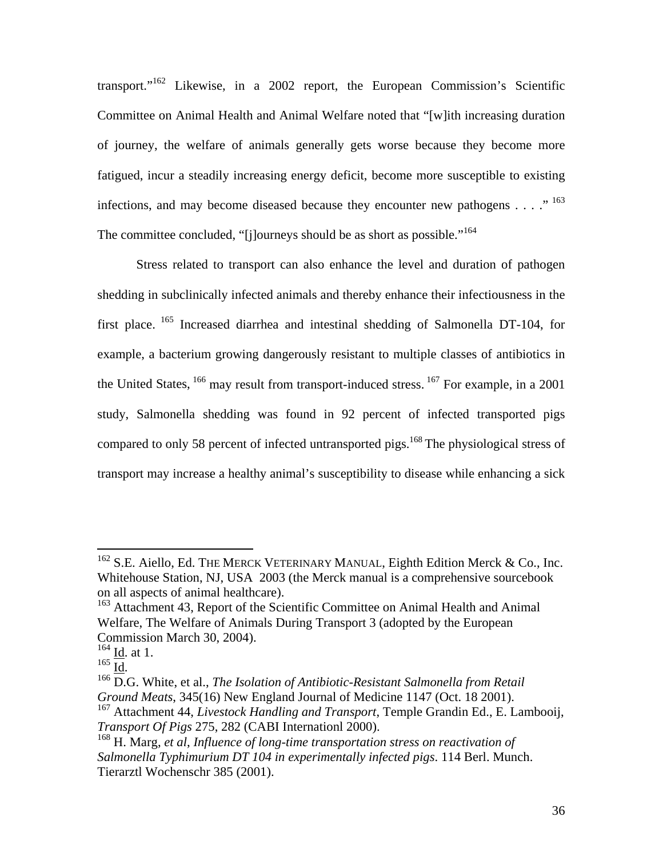transport."162 Likewise, in a 2002 report, the European Commission's Scientific Committee on Animal Health and Animal Welfare noted that "[w]ith increasing duration of journey, the welfare of animals generally gets worse because they become more fatigued, incur a steadily increasing energy deficit, become more susceptible to existing infections, and may become diseased because they encounter new pathogens  $\dots$  ..." The committee concluded, "[j]ourneys should be as short as possible."<sup>164</sup>

Stress related to transport can also enhance the level and duration of pathogen shedding in subclinically infected animals and thereby enhance their infectiousness in the first place. 165 Increased diarrhea and intestinal shedding of Salmonella DT-104, for example, a bacterium growing dangerously resistant to multiple classes of antibiotics in the United States,  $166$  may result from transport-induced stress.  $167$  For example, in a 2001 study, Salmonella shedding was found in 92 percent of infected transported pigs compared to only 58 percent of infected untransported pigs.<sup>168</sup> The physiological stress of transport may increase a healthy animal's susceptibility to disease while enhancing a sick

<sup>&</sup>lt;sup>162</sup> S.E. Aiello, Ed. THE MERCK VETERINARY MANUAL, Eighth Edition Merck & Co., Inc. Whitehouse Station, NJ, USA 2003 (the Merck manual is a comprehensive sourcebook on all aspects of animal healthcare).

<sup>&</sup>lt;sup>163</sup> Attachment 43, Report of the Scientific Committee on Animal Health and Animal Welfare, The Welfare of Animals During Transport 3 (adopted by the European Commission March 30, 2004).

 $\frac{164}{165}$   $\frac{\text{Id}}{\text{Id}}$  at 1.

<sup>&</sup>lt;sup>166</sup> D.G. White, et al., *The Isolation of Antibiotic-Resistant Salmonella from Retail Ground Meats*, 345(16) New England Journal of Medicine 1147 (Oct. 18 2001).

<sup>167</sup> Attachment 44, *Livestock Handling and Transport*, Temple Grandin Ed., E. Lambooij, *Transport Of Pigs* 275, 282 (CABI Internationl 2000).

<sup>168</sup> H. Marg, *et al*, *Influence of long-time transportation stress on reactivation of Salmonella Typhimurium DT 104 in experimentally infected pigs*. 114 Berl. Munch. Tierarztl Wochenschr 385 (2001).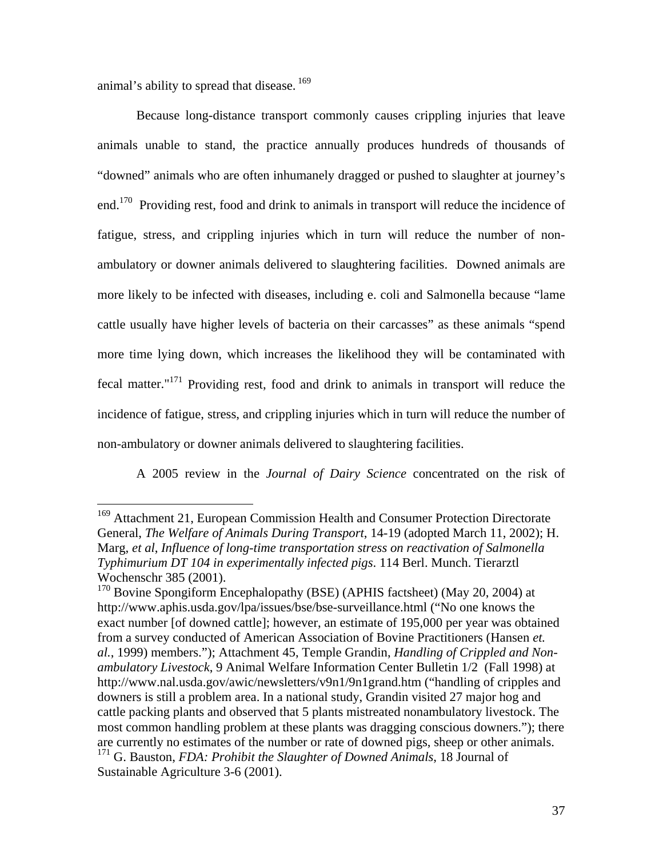animal's ability to spread that disease.<sup>169</sup>

Because long-distance transport commonly causes crippling injuries that leave animals unable to stand, the practice annually produces hundreds of thousands of "downed" animals who are often inhumanely dragged or pushed to slaughter at journey's end.<sup>170</sup> Providing rest, food and drink to animals in transport will reduce the incidence of fatigue, stress, and crippling injuries which in turn will reduce the number of nonambulatory or downer animals delivered to slaughtering facilities. Downed animals are more likely to be infected with diseases, including e. coli and Salmonella because "lame cattle usually have higher levels of bacteria on their carcasses" as these animals "spend more time lying down, which increases the likelihood they will be contaminated with fecal matter."171 Providing rest, food and drink to animals in transport will reduce the incidence of fatigue, stress, and crippling injuries which in turn will reduce the number of non-ambulatory or downer animals delivered to slaughtering facilities.

A 2005 review in the *Journal of Dairy Science* concentrated on the risk of

<sup>&</sup>lt;sup>169</sup> Attachment 21, European Commission Health and Consumer Protection Directorate General, *The Welfare of Animals During Transport*, 14-19 (adopted March 11, 2002); H. Marg, *et al*, *Influence of long-time transportation stress on reactivation of Salmonella Typhimurium DT 104 in experimentally infected pigs*. 114 Berl. Munch. Tierarztl Wochenschr 385 (2001).

<sup>&</sup>lt;sup>170</sup> Bovine Spongiform Encephalopathy (BSE) (APHIS factsheet) (May 20, 2004) at http://www.aphis.usda.gov/lpa/issues/bse/bse-surveillance.html ("No one knows the exact number [of downed cattle]; however, an estimate of 195,000 per year was obtained from a survey conducted of American Association of Bovine Practitioners (Hansen *et. al.*, 1999) members."); Attachment 45, Temple Grandin, *Handling of Crippled and Nonambulatory Livestock*, 9 Animal Welfare Information Center Bulletin 1/2 (Fall 1998) at http://www.nal.usda.gov/awic/newsletters/v9n1/9n1grand.htm ("handling of cripples and downers is still a problem area. In a national study, Grandin visited 27 major hog and cattle packing plants and observed that 5 plants mistreated nonambulatory livestock. The most common handling problem at these plants was dragging conscious downers."); there are currently no estimates of the number or rate of downed pigs, sheep or other animals. 171 G. Bauston, *FDA: Prohibit the Slaughter of Downed Animals*, 18 Journal of

Sustainable Agriculture 3-6 (2001).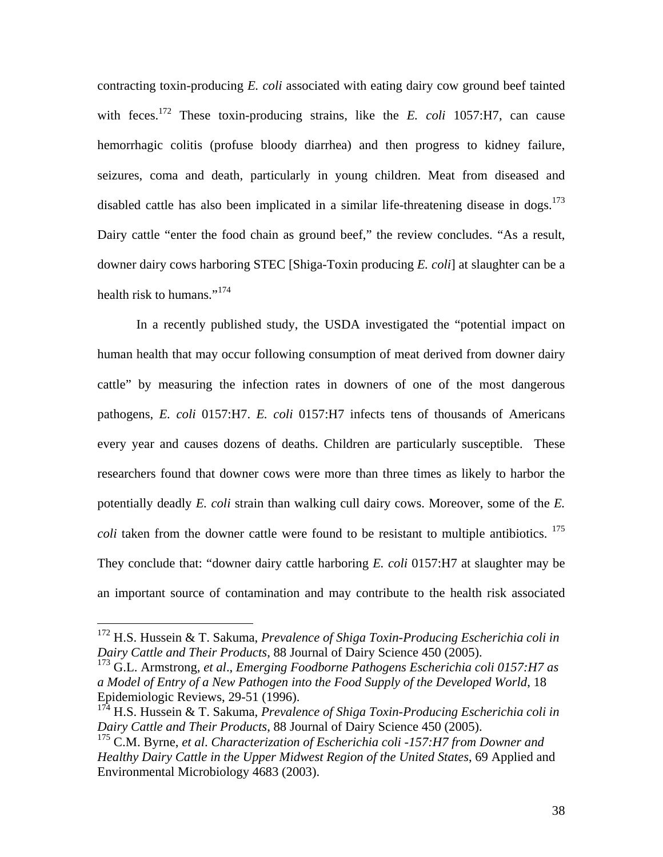contracting toxin-producing *E. coli* associated with eating dairy cow ground beef tainted with feces.<sup>172</sup> These toxin-producing strains, like the *E. coli* 1057:H7, can cause hemorrhagic colitis (profuse bloody diarrhea) and then progress to kidney failure, seizures, coma and death, particularly in young children. Meat from diseased and disabled cattle has also been implicated in a similar life-threatening disease in dogs.<sup>173</sup> Dairy cattle "enter the food chain as ground beef," the review concludes. "As a result, downer dairy cows harboring STEC [Shiga-Toxin producing *E. coli*] at slaughter can be a health risk to humans."<sup>174</sup>

In a recently published study, the USDA investigated the "potential impact on human health that may occur following consumption of meat derived from downer dairy cattle" by measuring the infection rates in downers of one of the most dangerous pathogens, *E. coli* 0157:H7. *E. coli* 0157:H7 infects tens of thousands of Americans every year and causes dozens of deaths. Children are particularly susceptible. These researchers found that downer cows were more than three times as likely to harbor the potentially deadly *E. coli* strain than walking cull dairy cows. Moreover, some of the *E. coli* taken from the downer cattle were found to be resistant to multiple antibiotics. <sup>175</sup> They conclude that: "downer dairy cattle harboring *E. coli* 0157:H7 at slaughter may be an important source of contamination and may contribute to the health risk associated

<sup>172</sup> H.S. Hussein & T. Sakuma, *Prevalence of Shiga Toxin-Producing Escherichia coli in Dairy Cattle and Their Products*, 88 Journal of Dairy Science 450 (2005).

<sup>173</sup> G.L. Armstrong, *et al*., *Emerging Foodborne Pathogens Escherichia coli 0157:H7 as a Model of Entry of a New Pathogen into the Food Supply of the Developed World*, 18 Epidemiologic Reviews, 29-51 (1996).

<sup>174</sup> H.S. Hussein & T. Sakuma, *Prevalence of Shiga Toxin-Producing Escherichia coli in Dairy Cattle and Their Products*, 88 Journal of Dairy Science 450 (2005).

<sup>175</sup> C.M. Byrne, *et al*. *Characterization of Escherichia coli -157:H7 from Downer and Healthy Dairy Cattle in the Upper Midwest Region of the United States*, 69 Applied and Environmental Microbiology 4683 (2003).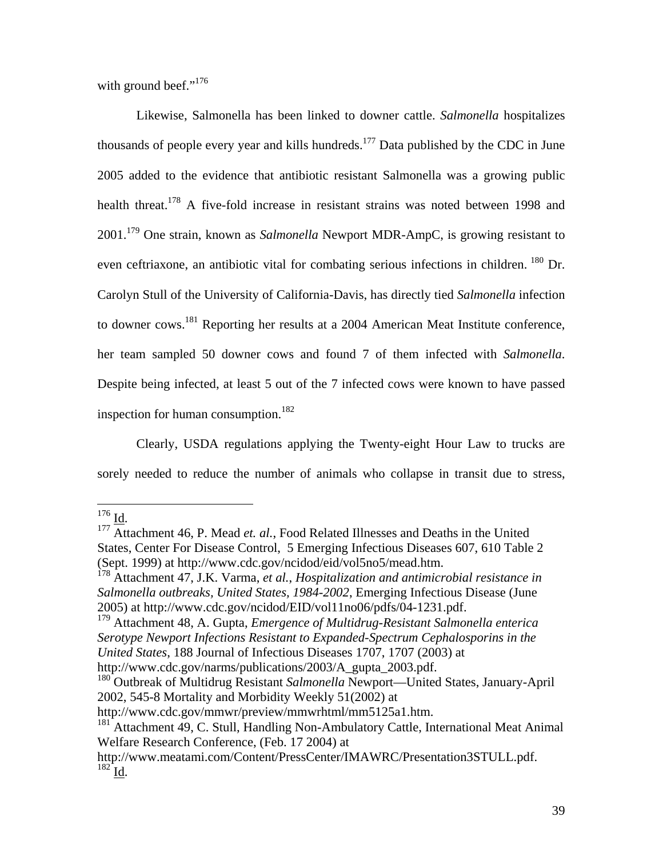with ground beef."<sup>176</sup>

Likewise, Salmonella has been linked to downer cattle. *Salmonella* hospitalizes thousands of people every year and kills hundreds.<sup>177</sup> Data published by the CDC in June 2005 added to the evidence that antibiotic resistant Salmonella was a growing public health threat.<sup>178</sup> A five-fold increase in resistant strains was noted between 1998 and 2001.179 One strain, known as *Salmonella* Newport MDR-AmpC, is growing resistant to even ceftriaxone, an antibiotic vital for combating serious infections in children. <sup>180</sup> Dr. Carolyn Stull of the University of California-Davis, has directly tied *Salmonella* infection to downer cows.181 Reporting her results at a 2004 American Meat Institute conference, her team sampled 50 downer cows and found 7 of them infected with *Salmonella*. Despite being infected, at least 5 out of the 7 infected cows were known to have passed inspection for human consumption.<sup>182</sup>

Clearly, USDA regulations applying the Twenty-eight Hour Law to trucks are sorely needed to reduce the number of animals who collapse in transit due to stress,

 $176$  Id.

<sup>&</sup>lt;sup>177</sup> Attachment 46, P. Mead *et. al.*, Food Related Illnesses and Deaths in the United States, Center For Disease Control, 5 Emerging Infectious Diseases 607, 610 Table 2 (Sept. 1999) at http://www.cdc.gov/ncidod/eid/vol5no5/mead.htm.

<sup>178</sup> Attachment 47, J.K. Varma, *et al.*, *Hospitalization and antimicrobial resistance in Salmonella outbreaks, United States, 1984-2002*, Emerging Infectious Disease (June 2005) at http://www.cdc.gov/ncidod/EID/vol11no06/pdfs/04-1231.pdf.

<sup>179</sup> Attachment 48, A. Gupta, *Emergence of Multidrug-Resistant Salmonella enterica Serotype Newport Infections Resistant to Expanded-Spectrum Cephalosporins in the United States*, 188 Journal of Infectious Diseases 1707, 1707 (2003) at http://www.cdc.gov/narms/publications/2003/A\_gupta\_2003.pdf.

<sup>180</sup> Outbreak of Multidrug Resistant *Salmonella* Newport—United States, January-April 2002, 545-8 Mortality and Morbidity Weekly 51(2002) at

http://www.cdc.gov/mmwr/preview/mmwrhtml/mm5125a1.htm.

<sup>&</sup>lt;sup>181</sup> Attachment 49, C. Stull, Handling Non-Ambulatory Cattle, International Meat Animal Welfare Research Conference, (Feb. 17 2004) at

http://www.meatami.com/Content/PressCenter/IMAWRC/Presentation3STULL.pdf.  $182$  Id.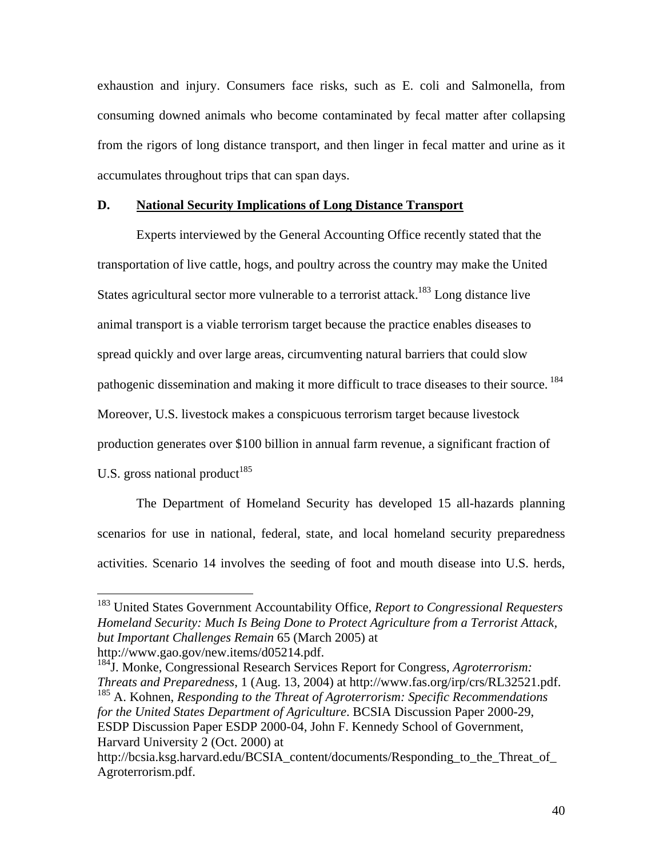exhaustion and injury. Consumers face risks, such as E. coli and Salmonella, from consuming downed animals who become contaminated by fecal matter after collapsing from the rigors of long distance transport, and then linger in fecal matter and urine as it accumulates throughout trips that can span days.

#### **D. National Security Implications of Long Distance Transport**

 Experts interviewed by the General Accounting Office recently stated that the transportation of live cattle, hogs, and poultry across the country may make the United States agricultural sector more vulnerable to a terrorist attack.<sup>183</sup> Long distance live animal transport is a viable terrorism target because the practice enables diseases to spread quickly and over large areas, circumventing natural barriers that could slow pathogenic dissemination and making it more difficult to trace diseases to their source.<sup>184</sup> Moreover, U.S. livestock makes a conspicuous terrorism target because livestock production generates over \$100 billion in annual farm revenue, a significant fraction of U.S. gross national product<sup>185</sup>

 The Department of Homeland Security has developed 15 all-hazards planning scenarios for use in national, federal, state, and local homeland security preparedness activities. Scenario 14 involves the seeding of foot and mouth disease into U.S. herds,

<sup>183</sup> United States Government Accountability Office, *Report to Congressional Requesters Homeland Security: Much Is Being Done to Protect Agriculture from a Terrorist Attack, but Important Challenges Remain* 65 (March 2005) at http://www.gao.gov/new.items/d05214.pdf.

<sup>184</sup>J. Monke, Congressional Research Services Report for Congress, *Agroterrorism: Threats and Preparedness*, 1 (Aug. 13, 2004) at http://www.fas.org/irp/crs/RL32521.pdf. 185 A. Kohnen, *Responding to the Threat of Agroterrorism: Specific Recommendations* 

*for the United States Department of Agriculture*. BCSIA Discussion Paper 2000-29, ESDP Discussion Paper ESDP 2000-04, John F. Kennedy School of Government, Harvard University 2 (Oct. 2000) at

http://bcsia.ksg.harvard.edu/BCSIA\_content/documents/Responding\_to\_the\_Threat\_of Agroterrorism.pdf.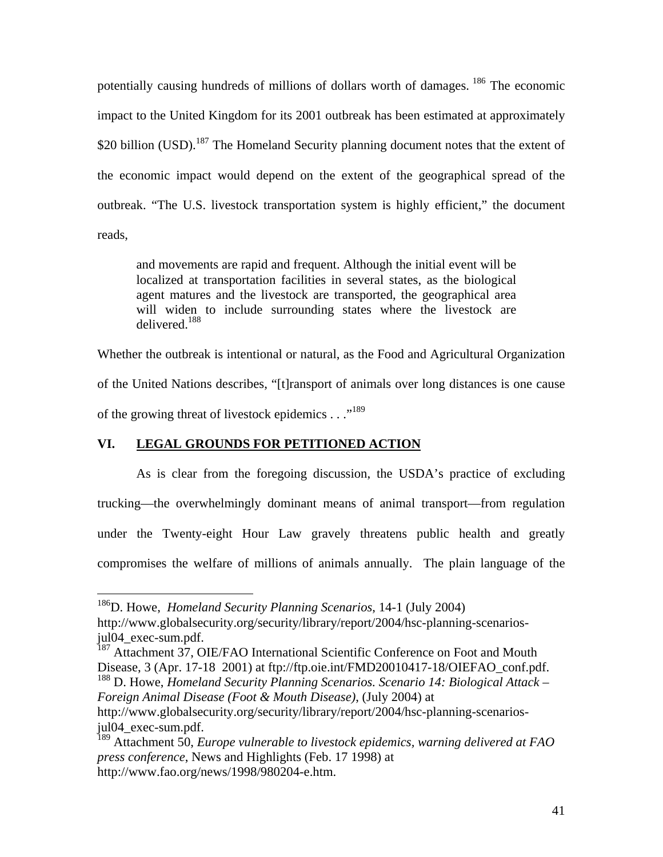potentially causing hundreds of millions of dollars worth of damages. 186 The economic impact to the United Kingdom for its 2001 outbreak has been estimated at approximately \$20 billion (USD).<sup>187</sup> The Homeland Security planning document notes that the extent of the economic impact would depend on the extent of the geographical spread of the outbreak. "The U.S. livestock transportation system is highly efficient," the document reads,

and movements are rapid and frequent. Although the initial event will be localized at transportation facilities in several states, as the biological agent matures and the livestock are transported, the geographical area will widen to include surrounding states where the livestock are delivered<sup>188</sup>

Whether the outbreak is intentional or natural, as the Food and Agricultural Organization of the United Nations describes, "[t]ransport of animals over long distances is one cause of the growing threat of livestock epidemics . . . .<sup>189</sup>

# **VI. LEGAL GROUNDS FOR PETITIONED ACTION**

 $\overline{a}$ 

 As is clear from the foregoing discussion, the USDA's practice of excluding trucking—the overwhelmingly dominant means of animal transport—from regulation under the Twenty-eight Hour Law gravely threatens public health and greatly compromises the welfare of millions of animals annually. The plain language of the

<sup>186</sup>D. Howe, *Homeland Security Planning Scenarios*, 14-1 (July 2004) http://www.globalsecurity.org/security/library/report/2004/hsc-planning-scenariosjul04\_exec-sum.pdf.

<sup>&</sup>lt;sup>187</sup> Attachment 37, OIE/FAO International Scientific Conference on Foot and Mouth Disease, 3 (Apr. 17-18 2001) at ftp://ftp.oie.int/FMD20010417-18/OIEFAO\_conf.pdf.

<sup>188</sup> D. Howe, *Homeland Security Planning Scenarios. Scenario 14: Biological Attack – Foreign Animal Disease (Foot & Mouth Disease)*, (July 2004) at

http://www.globalsecurity.org/security/library/report/2004/hsc-planning-scenariosjul04\_exec-sum.pdf.

<sup>189</sup> Attachment 50, *Europe vulnerable to livestock epidemics, warning delivered at FAO press conference*, News and Highlights (Feb. 17 1998) at http://www.fao.org/news/1998/980204-e.htm.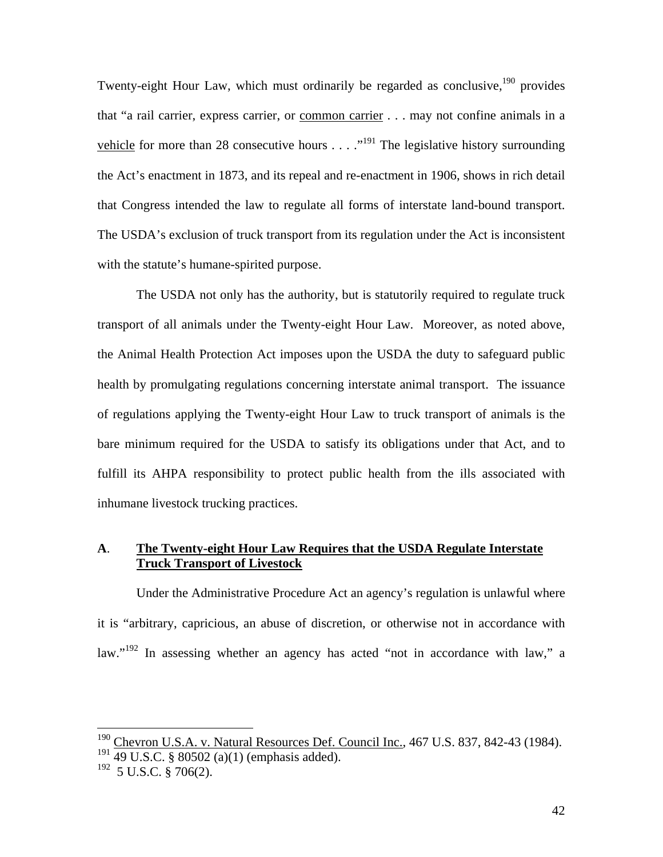Twenty-eight Hour Law, which must ordinarily be regarded as conclusive,  $190$  provides that "a rail carrier, express carrier, or common carrier . . . may not confine animals in a vehicle for more than 28 consecutive hours  $\dots$   $\cdot$  <sup>191</sup>. The legislative history surrounding the Act's enactment in 1873, and its repeal and re-enactment in 1906, shows in rich detail that Congress intended the law to regulate all forms of interstate land-bound transport. The USDA's exclusion of truck transport from its regulation under the Act is inconsistent with the statute's humane-spirited purpose.

 The USDA not only has the authority, but is statutorily required to regulate truck transport of all animals under the Twenty-eight Hour Law. Moreover, as noted above, the Animal Health Protection Act imposes upon the USDA the duty to safeguard public health by promulgating regulations concerning interstate animal transport. The issuance of regulations applying the Twenty-eight Hour Law to truck transport of animals is the bare minimum required for the USDA to satisfy its obligations under that Act, and to fulfill its AHPA responsibility to protect public health from the ills associated with inhumane livestock trucking practices.

# **A**. **The Twenty-eight Hour Law Requires that the USDA Regulate Interstate Truck Transport of Livestock**

Under the Administrative Procedure Act an agency's regulation is unlawful where it is "arbitrary, capricious, an abuse of discretion, or otherwise not in accordance with law."<sup>192</sup> In assessing whether an agency has acted "not in accordance with law," a

 $190$  Chevron U.S.A. v. Natural Resources Def. Council Inc., 467 U.S. 837, 842-43 (1984).  $191$  49 U.S.C. § 80502 (a)(1) (emphasis added).

 $192$  5 U.S.C.  $\frac{8}{9}$  706(2).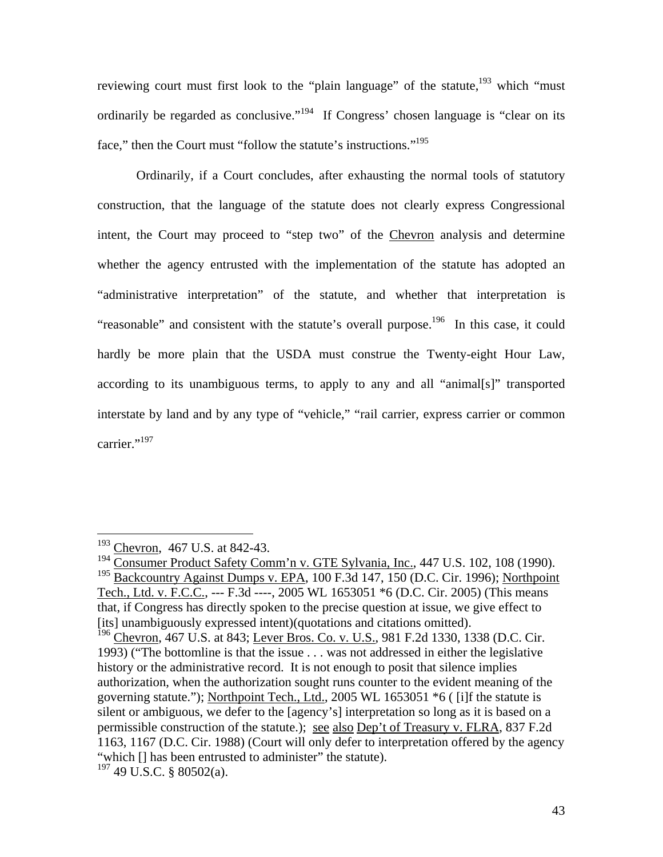reviewing court must first look to the "plain language" of the statute, $193$  which "must" ordinarily be regarded as conclusive."<sup>194</sup> If Congress' chosen language is "clear on its face," then the Court must "follow the statute's instructions."<sup>195</sup>

 Ordinarily, if a Court concludes, after exhausting the normal tools of statutory construction, that the language of the statute does not clearly express Congressional intent, the Court may proceed to "step two" of the Chevron analysis and determine whether the agency entrusted with the implementation of the statute has adopted an "administrative interpretation" of the statute, and whether that interpretation is "reasonable" and consistent with the statute's overall purpose.<sup>196</sup> In this case, it could hardly be more plain that the USDA must construe the Twenty-eight Hour Law, according to its unambiguous terms, to apply to any and all "animal[s]" transported interstate by land and by any type of "vehicle," "rail carrier, express carrier or common carrier."<sup>197</sup>

<sup>&</sup>lt;sup>193</sup> Chevron, 467 U.S. at 842-43.

<sup>&</sup>lt;sup>194</sup> Consumer Product Safety Comm'n v. GTE Sylvania, Inc., 447 U.S. 102, 108 (1990). 195 Backcountry Against Dumps v. EPA, 100 F.3d 147, 150 (D.C. Cir. 1996); Northpoint Tech., Ltd. v. F.C.C., --- F.3d ----, 2005 WL 1653051 \*6 (D.C. Cir. 2005) (This means that, if Congress has directly spoken to the precise question at issue, we give effect to [its] unambiguously expressed intent)(quotations and citations omitted).

<sup>&</sup>lt;sup>196</sup> Chevron, 467 U.S. at 843; Lever Bros. Co. v. U.S., 981 F.2d 1330, 1338 (D.C. Cir. 1993) ("The bottomline is that the issue . . . was not addressed in either the legislative history or the administrative record. It is not enough to posit that silence implies authorization, when the authorization sought runs counter to the evident meaning of the governing statute."); Northpoint Tech., Ltd., 2005 WL 1653051 \*6 ( [i]f the statute is silent or ambiguous, we defer to the [agency's] interpretation so long as it is based on a permissible construction of the statute.); see also Dep't of Treasury v. FLRA, 837 F.2d 1163, 1167 (D.C. Cir. 1988) (Court will only defer to interpretation offered by the agency "which [] has been entrusted to administer" the statute).  $197$  49 U.S.C. § 80502(a).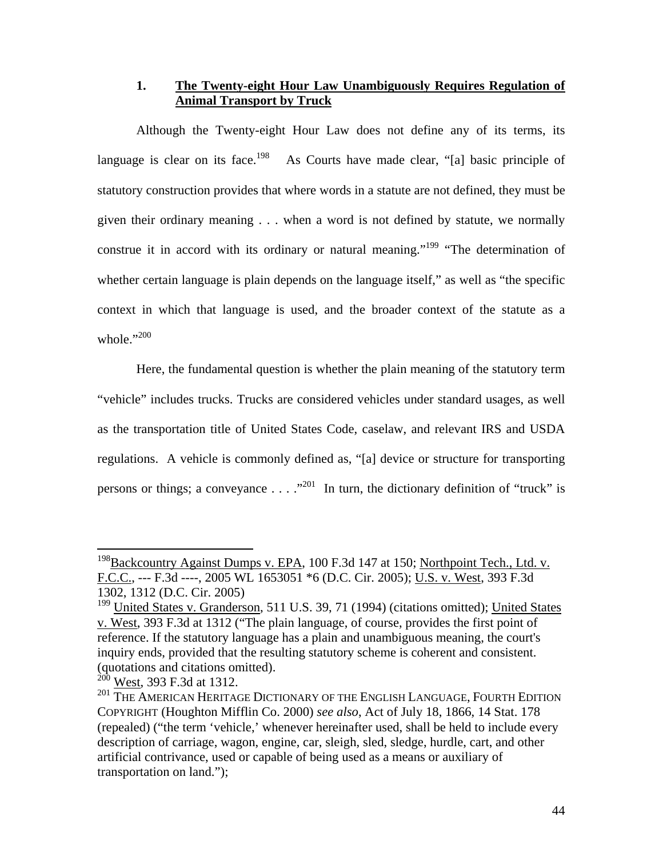## **1. The Twenty-eight Hour Law Unambiguously Requires Regulation of Animal Transport by Truck**

Although the Twenty-eight Hour Law does not define any of its terms, its language is clear on its face.<sup>198</sup> As Courts have made clear, "[a] basic principle of statutory construction provides that where words in a statute are not defined, they must be given their ordinary meaning . . . when a word is not defined by statute, we normally construe it in accord with its ordinary or natural meaning."<sup>199</sup> "The determination of whether certain language is plain depends on the language itself," as well as "the specific context in which that language is used, and the broader context of the statute as a whole."<sup>200</sup>

Here, the fundamental question is whether the plain meaning of the statutory term "vehicle" includes trucks. Trucks are considered vehicles under standard usages, as well as the transportation title of United States Code, caselaw, and relevant IRS and USDA regulations. A vehicle is commonly defined as, "[a] device or structure for transporting persons or things; a conveyance  $\dots$   $\cdot$   $\cdot$  <sup>201</sup> In turn, the dictionary definition of "truck" is

<sup>&</sup>lt;sup>198</sup>Backcountry Against Dumps v. EPA, 100 F.3d 147 at 150; Northpoint Tech., Ltd. v. F.C.C., --- F.3d ----, 2005 WL 1653051 \*6 (D.C. Cir. 2005); U.S. v. West, 393 F.3d 1302, 1312 (D.C. Cir. 2005)

 $199$  United States v. Granderson, 511 U.S. 39, 71 (1994) (citations omitted); United States v. West, 393 F.3d at 1312 ("The plain language, of course, provides the first point of reference. If the statutory language has a plain and unambiguous meaning, the court's inquiry ends, provided that the resulting statutory scheme is coherent and consistent. (quotations and citations omitted).

 $^{200}$  West, 393 F.3d at 1312.

<sup>&</sup>lt;sup>201</sup> THE AMERICAN HERITAGE DICTIONARY OF THE ENGLISH LANGUAGE, FOURTH EDITION COPYRIGHT (Houghton Mifflin Co. 2000) *see also*, Act of July 18, 1866, 14 Stat. 178 (repealed) ("the term 'vehicle,' whenever hereinafter used, shall be held to include every description of carriage, wagon, engine, car, sleigh, sled, sledge, hurdle, cart, and other artificial contrivance, used or capable of being used as a means or auxiliary of transportation on land.");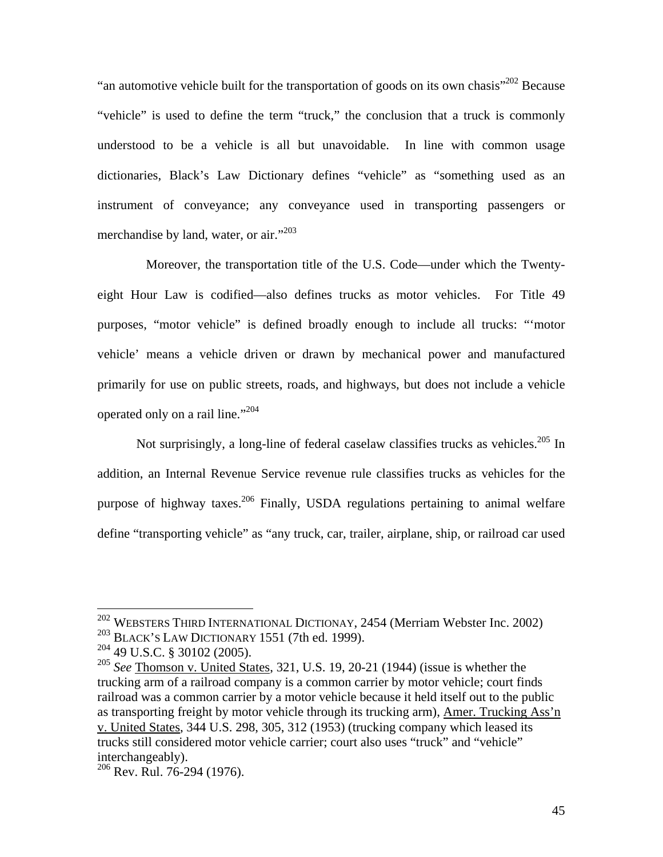"an automotive vehicle built for the transportation of goods on its own chasis"<sup>202</sup> Because "vehicle" is used to define the term "truck," the conclusion that a truck is commonly understood to be a vehicle is all but unavoidable. In line with common usage dictionaries, Black's Law Dictionary defines "vehicle" as "something used as an instrument of conveyance; any conveyance used in transporting passengers or merchandise by land, water, or air."<sup>203</sup>

 Moreover, the transportation title of the U.S. Code—under which the Twentyeight Hour Law is codified—also defines trucks as motor vehicles. For Title 49 purposes, "motor vehicle" is defined broadly enough to include all trucks: "'motor vehicle' means a vehicle driven or drawn by mechanical power and manufactured primarily for use on public streets, roads, and highways, but does not include a vehicle operated only on a rail line."<sup>204</sup>

Not surprisingly, a long-line of federal caselaw classifies trucks as vehicles.<sup>205</sup> In addition, an Internal Revenue Service revenue rule classifies trucks as vehicles for the purpose of highway taxes.<sup>206</sup> Finally, USDA regulations pertaining to animal welfare define "transporting vehicle" as "any truck, car, trailer, airplane, ship, or railroad car used

 $^{202}$  WEBSTERS THIRD INTERNATIONAL DICTIONAY, 2454 (Merriam Webster Inc. 2002) 203 BLACK'S LAW DICTIONARY 1551 (7th ed. 1999).

<sup>204 49</sup> U.S.C. § 30102 (2005).

<sup>205</sup> *See* Thomson v. United States, 321, U.S. 19, 20-21 (1944) (issue is whether the trucking arm of a railroad company is a common carrier by motor vehicle; court finds railroad was a common carrier by a motor vehicle because it held itself out to the public as transporting freight by motor vehicle through its trucking arm), Amer. Trucking Ass'n v. United States, 344 U.S. 298, 305, 312 (1953) (trucking company which leased its trucks still considered motor vehicle carrier; court also uses "truck" and "vehicle" interchangeably).

<sup>206</sup> Rev. Rul. 76-294 (1976).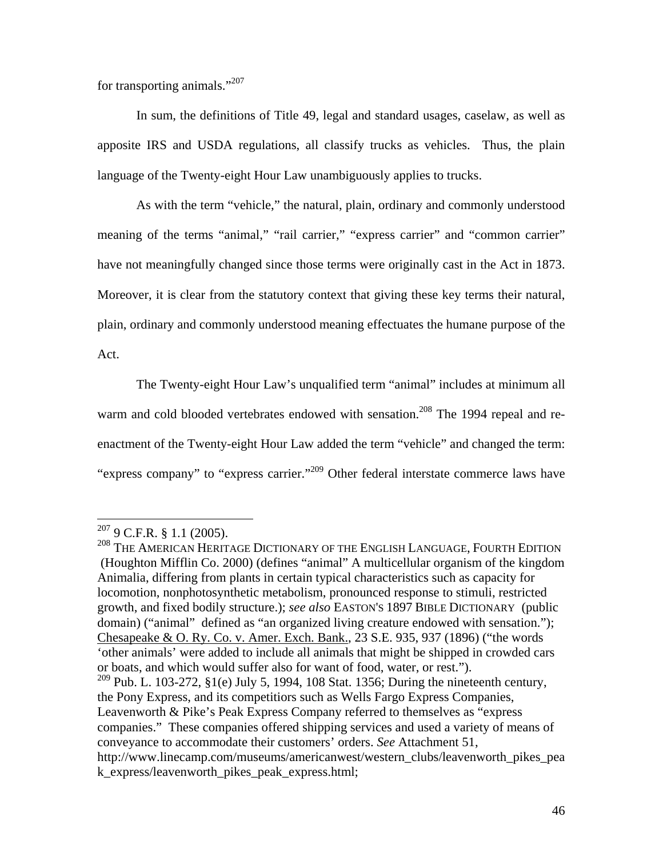for transporting animals."207

In sum, the definitions of Title 49, legal and standard usages, caselaw, as well as apposite IRS and USDA regulations, all classify trucks as vehicles. Thus, the plain language of the Twenty-eight Hour Law unambiguously applies to trucks.

As with the term "vehicle," the natural, plain, ordinary and commonly understood meaning of the terms "animal," "rail carrier," "express carrier" and "common carrier" have not meaningfully changed since those terms were originally cast in the Act in 1873. Moreover, it is clear from the statutory context that giving these key terms their natural, plain, ordinary and commonly understood meaning effectuates the humane purpose of the Act.

The Twenty-eight Hour Law's unqualified term "animal" includes at minimum all warm and cold blooded vertebrates endowed with sensation.<sup>208</sup> The 1994 repeal and reenactment of the Twenty-eight Hour Law added the term "vehicle" and changed the term: "express company" to "express carrier."<sup>209</sup> Other federal interstate commerce laws have

1

<sup>208</sup> THE AMERICAN HERITAGE DICTIONARY OF THE ENGLISH LANGUAGE, FOURTH EDITION (Houghton Mifflin Co. 2000) (defines "animal" A multicellular organism of the kingdom Animalia, differing from plants in certain typical characteristics such as capacity for locomotion, nonphotosynthetic metabolism, pronounced response to stimuli, restricted growth, and fixed bodily structure.); *see also* EASTON'S 1897 BIBLE DICTIONARY (public domain) ("animal" defined as "an organized living creature endowed with sensation."); Chesapeake & O. Ry. Co. v. Amer. Exch. Bank., 23 S.E. 935, 937 (1896) ("the words 'other animals' were added to include all animals that might be shipped in crowded cars or boats, and which would suffer also for want of food, water, or rest."). <sup>209</sup> Pub. L. 103-272, §1(e) July 5, 1994, 108 Stat. 1356; During the nineteenth century, the Pony Express, and its competitiors such as Wells Fargo Express Companies, Leavenworth & Pike's Peak Express Company referred to themselves as "express

 $207$  9 C.F.R. § 1.1 (2005).

companies." These companies offered shipping services and used a variety of means of conveyance to accommodate their customers' orders. *See* Attachment 51,

http://www.linecamp.com/museums/americanwest/western\_clubs/leavenworth\_pikes\_pea k\_express/leavenworth\_pikes\_peak\_express.html;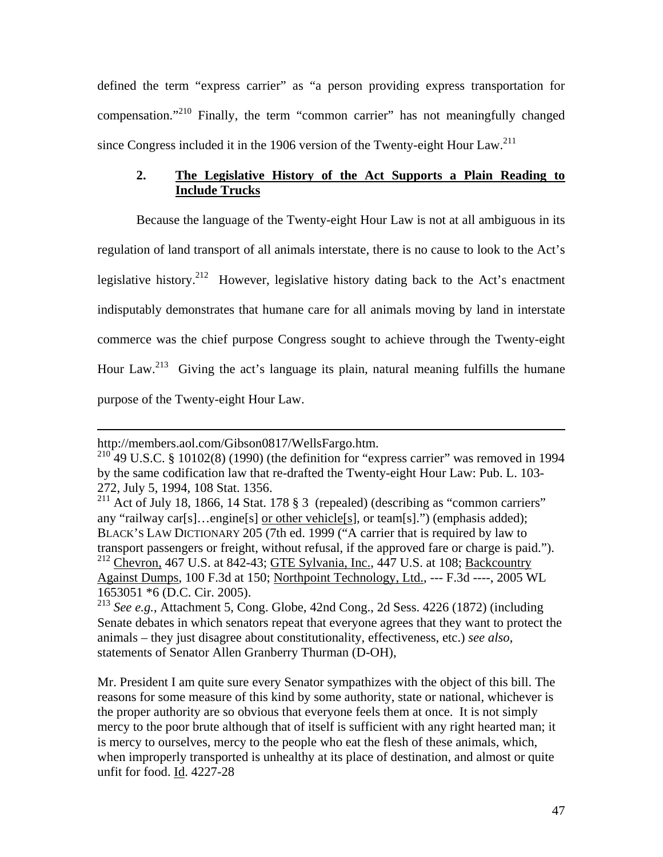defined the term "express carrier" as "a person providing express transportation for compensation."210 Finally, the term "common carrier" has not meaningfully changed since Congress included it in the 1906 version of the Twenty-eight Hour Law.<sup>211</sup>

# **2. The Legislative History of the Act Supports a Plain Reading to Include Trucks**

Because the language of the Twenty-eight Hour Law is not at all ambiguous in its regulation of land transport of all animals interstate, there is no cause to look to the Act's legislative history.<sup>212</sup> However, legislative history dating back to the Act's enactment indisputably demonstrates that humane care for all animals moving by land in interstate commerce was the chief purpose Congress sought to achieve through the Twenty-eight Hour Law.<sup>213</sup> Giving the act's language its plain, natural meaning fulfills the humane purpose of the Twenty-eight Hour Law.

 $\overline{a}$ 

Mr. President I am quite sure every Senator sympathizes with the object of this bill. The reasons for some measure of this kind by some authority, state or national, whichever is the proper authority are so obvious that everyone feels them at once. It is not simply mercy to the poor brute although that of itself is sufficient with any right hearted man; it is mercy to ourselves, mercy to the people who eat the flesh of these animals, which, when improperly transported is unhealthy at its place of destination, and almost or quite unfit for food. Id. 4227-28

http://members.aol.com/Gibson0817/WellsFargo.htm.

 $^{210}$  49 U.S.C. § 10102(8) (1990) (the definition for "express carrier" was removed in 1994 by the same codification law that re-drafted the Twenty-eight Hour Law: Pub. L. 103- 272, July 5, 1994, 108 Stat. 1356.

<sup>&</sup>lt;sup>211</sup> Act of July 18, 1866, 14 Stat. 178  $\S 3$  (repealed) (describing as "common carriers" any "railway car[s]…engine[s] or other vehicle[s], or team[s].") (emphasis added); BLACK'S LAW DICTIONARY 205 (7th ed. 1999 ("A carrier that is required by law to transport passengers or freight, without refusal, if the approved fare or charge is paid."). <sup>212</sup> Chevron, 467 U.S. at 842-43; GTE Sylvania, Inc., 447 U.S. at 108; Backcountry Against Dumps, 100 F.3d at 150; Northpoint Technology, Ltd., --- F.3d ----, 2005 WL 1653051 \*6 (D.C. Cir. 2005).

<sup>213</sup> *See e.g.*, Attachment 5, Cong. Globe, 42nd Cong., 2d Sess. 4226 (1872) (including Senate debates in which senators repeat that everyone agrees that they want to protect the animals – they just disagree about constitutionality, effectiveness, etc.) *see also*, statements of Senator Allen Granberry Thurman (D-OH),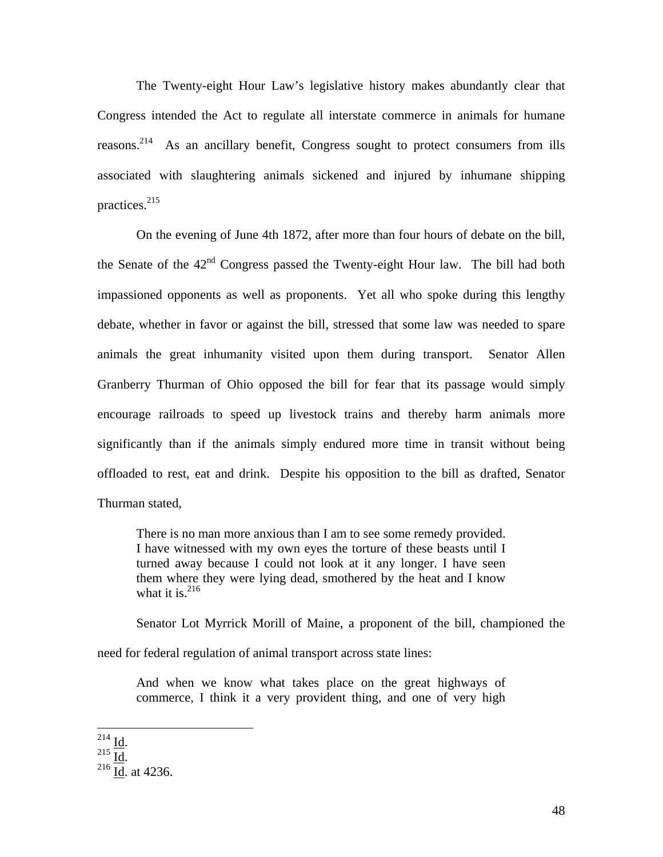The Twenty-eight Hour Law's legislative history makes abundantly clear that Congress intended the Act to regulate all interstate commerce in animals for humane reasons.<sup>214</sup> As an ancillary benefit, Congress sought to protect consumers from ills associated with slaughtering animals sickened and injured by inhumane shipping practices. $215$ 

 On the evening of June 4th 1872, after more than four hours of debate on the bill, the Senate of the  $42<sup>nd</sup>$  Congress passed the Twenty-eight Hour law. The bill had both impassioned opponents as well as proponents. Yet all who spoke during this lengthy debate, whether in favor or against the bill, stressed that some law was needed to spare animals the great inhumanity visited upon them during transport. Senator Allen Granberry Thurman of Ohio opposed the bill for fear that its passage would simply encourage railroads to speed up livestock trains and thereby harm animals more significantly than if the animals simply endured more time in transit without being offloaded to rest, eat and drink. Despite his opposition to the bill as drafted, Senator Thurman stated,

There is no man more anxious than I am to see some remedy provided. I have witnessed with my own eyes the torture of these beasts until I turned away because I could not look at it any longer. I have seen them where they were lying dead, smothered by the heat and I know what it is. $^{216}$ 

 Senator Lot Myrrick Morill of Maine, a proponent of the bill, championed the need for federal regulation of animal transport across state lines:

And when we know what takes place on the great highways of commerce, I think it a very provident thing, and one of very high

 $^{214}$  Id.

 $\frac{215}{216}$  Id. at 4236.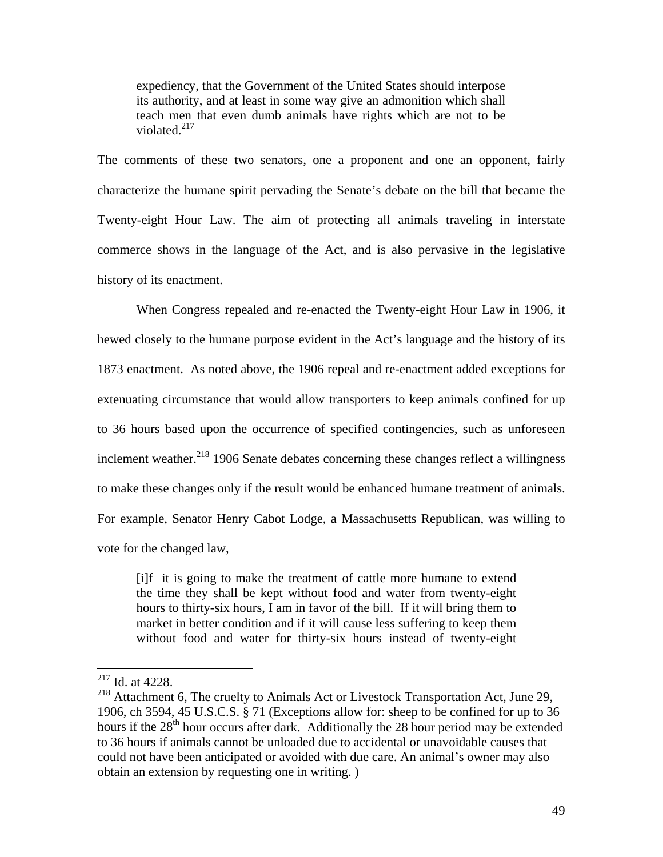expediency, that the Government of the United States should interpose its authority, and at least in some way give an admonition which shall teach men that even dumb animals have rights which are not to be violated. $217$ 

The comments of these two senators, one a proponent and one an opponent, fairly characterize the humane spirit pervading the Senate's debate on the bill that became the Twenty-eight Hour Law. The aim of protecting all animals traveling in interstate commerce shows in the language of the Act, and is also pervasive in the legislative history of its enactment.

When Congress repealed and re-enacted the Twenty-eight Hour Law in 1906, it hewed closely to the humane purpose evident in the Act's language and the history of its 1873 enactment. As noted above, the 1906 repeal and re-enactment added exceptions for extenuating circumstance that would allow transporters to keep animals confined for up to 36 hours based upon the occurrence of specified contingencies, such as unforeseen inclement weather. $^{218}$  1906 Senate debates concerning these changes reflect a willingness to make these changes only if the result would be enhanced humane treatment of animals. For example, Senator Henry Cabot Lodge, a Massachusetts Republican, was willing to vote for the changed law,

[i]f it is going to make the treatment of cattle more humane to extend the time they shall be kept without food and water from twenty-eight hours to thirty-six hours, I am in favor of the bill. If it will bring them to market in better condition and if it will cause less suffering to keep them without food and water for thirty-six hours instead of twenty-eight

 $^{217}$  <u>Id</u>. at 4228.

 $218$  Attachment 6, The cruelty to Animals Act or Livestock Transportation Act, June 29, 1906, ch 3594, 45 U.S.C.S. § 71 (Exceptions allow for: sheep to be confined for up to 36 hours if the 28<sup>th</sup> hour occurs after dark. Additionally the 28 hour period may be extended to 36 hours if animals cannot be unloaded due to accidental or unavoidable causes that could not have been anticipated or avoided with due care. An animal's owner may also obtain an extension by requesting one in writing. )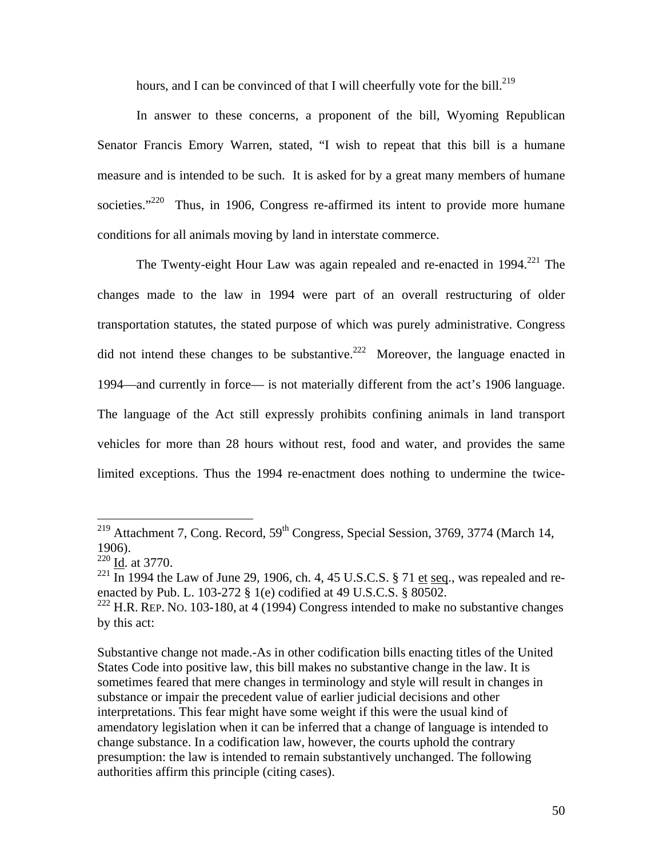hours, and I can be convinced of that I will cheerfully vote for the bill. $^{219}$ 

 In answer to these concerns, a proponent of the bill, Wyoming Republican Senator Francis Emory Warren, stated, "I wish to repeat that this bill is a humane measure and is intended to be such. It is asked for by a great many members of humane societies."<sup>220</sup> Thus, in 1906, Congress re-affirmed its intent to provide more humane conditions for all animals moving by land in interstate commerce.

The Twenty-eight Hour Law was again repealed and re-enacted in  $1994$ <sup>221</sup> The changes made to the law in 1994 were part of an overall restructuring of older transportation statutes, the stated purpose of which was purely administrative. Congress did not intend these changes to be substantive.<sup>222</sup> Moreover, the language enacted in 1994—and currently in force— is not materially different from the act's 1906 language. The language of the Act still expressly prohibits confining animals in land transport vehicles for more than 28 hours without rest, food and water, and provides the same limited exceptions. Thus the 1994 re-enactment does nothing to undermine the twice-

<sup>&</sup>lt;sup>219</sup> Attachment 7, Cong. Record,  $59<sup>th</sup>$  Congress, Special Session, 3769, 3774 (March 14, 1906).

 $\frac{220}{\underline{Id}}$ . at 3770.

 $^{221}$  In 1994 the Law of June 29, 1906, ch. 4, 45 U.S.C.S. § 71 et seq., was repealed and reenacted by Pub. L. 103-272 § 1(e) codified at 49 U.S.C.S. § 80502.

<sup>&</sup>lt;sup>222</sup> H.R. REP. No. 103-180, at 4 (1994) Congress intended to make no substantive changes by this act:

Substantive change not made.-As in other codification bills enacting titles of the United States Code into positive law, this bill makes no substantive change in the law. It is sometimes feared that mere changes in terminology and style will result in changes in substance or impair the precedent value of earlier judicial decisions and other interpretations. This fear might have some weight if this were the usual kind of amendatory legislation when it can be inferred that a change of language is intended to change substance. In a codification law, however, the courts uphold the contrary presumption: the law is intended to remain substantively unchanged. The following authorities affirm this principle (citing cases).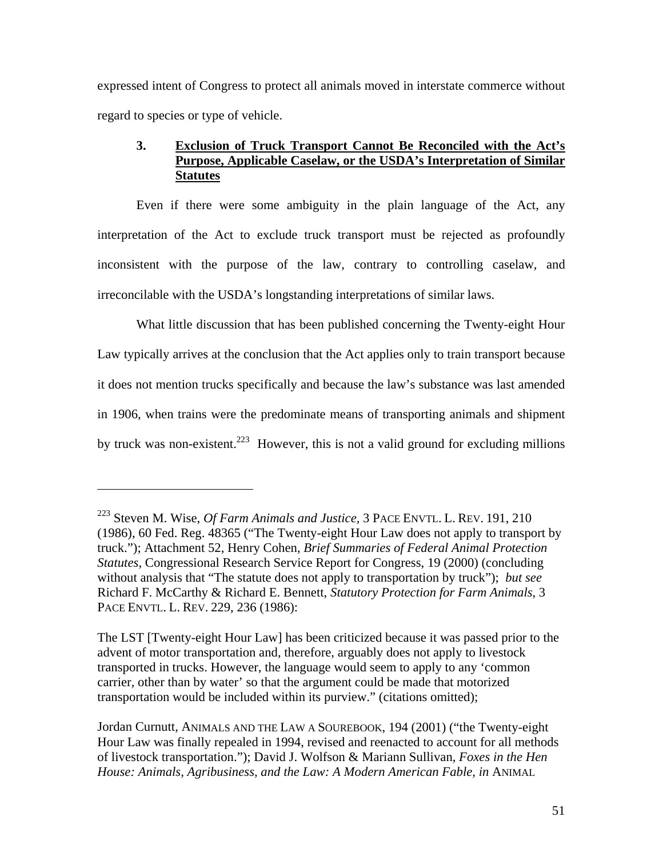expressed intent of Congress to protect all animals moved in interstate commerce without regard to species or type of vehicle.

# **3. Exclusion of Truck Transport Cannot Be Reconciled with the Act's Purpose, Applicable Caselaw, or the USDA's Interpretation of Similar Statutes**

Even if there were some ambiguity in the plain language of the Act, any interpretation of the Act to exclude truck transport must be rejected as profoundly inconsistent with the purpose of the law, contrary to controlling caselaw, and irreconcilable with the USDA's longstanding interpretations of similar laws.

What little discussion that has been published concerning the Twenty-eight Hour Law typically arrives at the conclusion that the Act applies only to train transport because it does not mention trucks specifically and because the law's substance was last amended in 1906, when trains were the predominate means of transporting animals and shipment by truck was non-existent.<sup>223</sup> However, this is not a valid ground for excluding millions

<sup>223</sup> Steven M. Wise, *Of Farm Animals and Justice,* 3 PACE ENVTL. L. REV. 191, 210 (1986), 60 Fed. Reg. 48365 ("The Twenty-eight Hour Law does not apply to transport by truck."); Attachment 52, Henry Cohen, *Brief Summaries of Federal Animal Protection Statutes*, Congressional Research Service Report for Congress, 19 (2000) (concluding without analysis that "The statute does not apply to transportation by truck"); *but see*  Richard F. McCarthy & Richard E. Bennett, *Statutory Protection for Farm Animals*, 3 PACE ENVTL. L. REV. 229, 236 (1986):

The LST [Twenty-eight Hour Law] has been criticized because it was passed prior to the advent of motor transportation and, therefore, arguably does not apply to livestock transported in trucks. However, the language would seem to apply to any 'common carrier, other than by water' so that the argument could be made that motorized transportation would be included within its purview." (citations omitted);

Jordan Curnutt, ANIMALS AND THE LAW A SOUREBOOK, 194 (2001) ("the Twenty-eight Hour Law was finally repealed in 1994, revised and reenacted to account for all methods of livestock transportation."); David J. Wolfson & Mariann Sullivan, *Foxes in the Hen House: Animals, Agribusiness, and the Law: A Modern American Fable, in* ANIMAL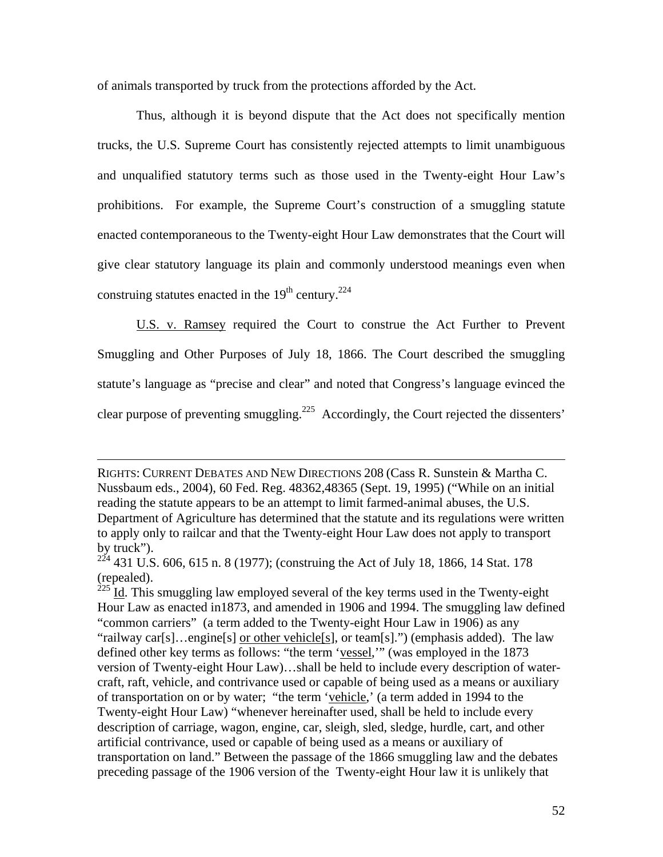of animals transported by truck from the protections afforded by the Act.

Thus, although it is beyond dispute that the Act does not specifically mention trucks, the U.S. Supreme Court has consistently rejected attempts to limit unambiguous and unqualified statutory terms such as those used in the Twenty-eight Hour Law's prohibitions. For example, the Supreme Court's construction of a smuggling statute enacted contemporaneous to the Twenty-eight Hour Law demonstrates that the Court will give clear statutory language its plain and commonly understood meanings even when construing statutes enacted in the  $19<sup>th</sup>$  century.<sup>224</sup>

U.S. v. Ramsey required the Court to construe the Act Further to Prevent Smuggling and Other Purposes of July 18, 1866. The Court described the smuggling statute's language as "precise and clear" and noted that Congress's language evinced the clear purpose of preventing smuggling.<sup>225</sup> Accordingly, the Court rejected the dissenters'

RIGHTS: CURRENT DEBATES AND NEW DIRECTIONS 208 (Cass R. Sunstein & Martha C. Nussbaum eds., 2004), 60 Fed. Reg. 48362,48365 (Sept. 19, 1995) ("While on an initial reading the statute appears to be an attempt to limit farmed-animal abuses, the U.S. Department of Agriculture has determined that the statute and its regulations were written to apply only to railcar and that the Twenty-eight Hour Law does not apply to transport by truck").

<sup>224 431</sup> U.S. 606, 615 n. 8 (1977); (construing the Act of July 18, 1866, 14 Stat. 178 (repealed).<br> $225$ <sub>L4</sub> TL

Id. This smuggling law employed several of the key terms used in the Twenty-eight Hour Law as enacted in1873, and amended in 1906 and 1994. The smuggling law defined "common carriers" (a term added to the Twenty-eight Hour Law in 1906) as any "railway car[s]…engine[s] or other vehicle[s], or team[s].") (emphasis added). The law defined other key terms as follows: "the term 'vessel,'" (was employed in the 1873 version of Twenty-eight Hour Law)…shall be held to include every description of watercraft, raft, vehicle, and contrivance used or capable of being used as a means or auxiliary of transportation on or by water; "the term 'vehicle,' (a term added in 1994 to the Twenty-eight Hour Law) "whenever hereinafter used, shall be held to include every description of carriage, wagon, engine, car, sleigh, sled, sledge, hurdle, cart, and other artificial contrivance, used or capable of being used as a means or auxiliary of transportation on land." Between the passage of the 1866 smuggling law and the debates preceding passage of the 1906 version of the Twenty-eight Hour law it is unlikely that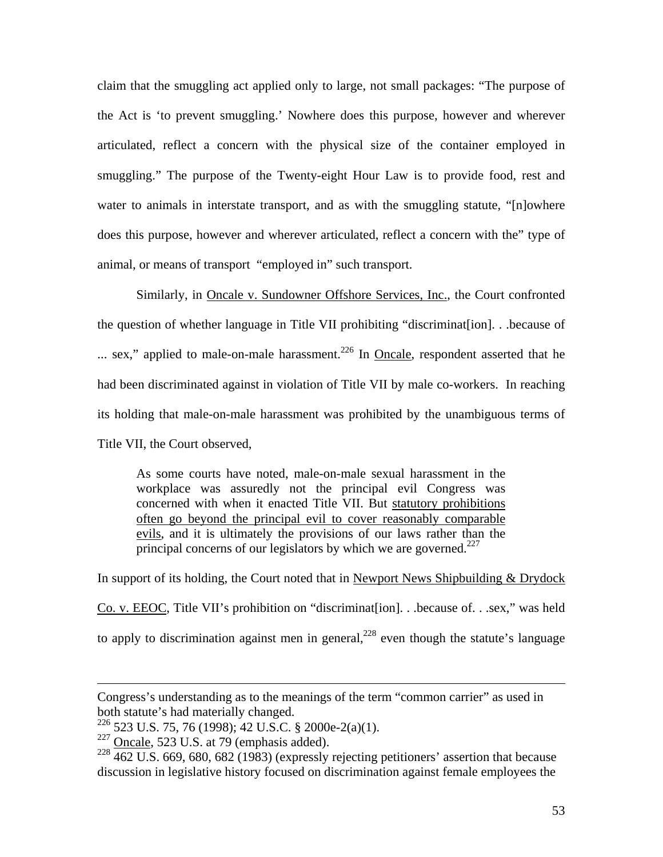claim that the smuggling act applied only to large, not small packages: "The purpose of the Act is 'to prevent smuggling.' Nowhere does this purpose, however and wherever articulated, reflect a concern with the physical size of the container employed in smuggling." The purpose of the Twenty-eight Hour Law is to provide food, rest and water to animals in interstate transport, and as with the smuggling statute, "[n]owhere does this purpose, however and wherever articulated, reflect a concern with the" type of animal, or means of transport "employed in" such transport.

Similarly, in Oncale v. Sundowner Offshore Services, Inc., the Court confronted the question of whether language in Title VII prohibiting "discriminat[ion]. . .because of  $\ldots$  sex," applied to male-on-male harassment.<sup>226</sup> In Oncale, respondent asserted that he had been discriminated against in violation of Title VII by male co-workers. In reaching its holding that male-on-male harassment was prohibited by the unambiguous terms of Title VII, the Court observed,

As some courts have noted, male-on-male sexual harassment in the workplace was assuredly not the principal evil Congress was concerned with when it enacted Title VII. But statutory prohibitions often go beyond the principal evil to cover reasonably comparable evils, and it is ultimately the provisions of our laws rather than the principal concerns of our legislators by which we are governed.<sup>227</sup>

In support of its holding, the Court noted that in Newport News Shipbuilding & Drydock Co. v. EEOC, Title VII's prohibition on "discriminat[ion]. . .because of. . .sex," was held to apply to discrimination against men in general,  $228$  even though the statute's language

Congress's understanding as to the meanings of the term "common carrier" as used in both statute's had materially changed.

<sup>226 523</sup> U.S. 75, 76 (1998); 42 U.S.C. § 2000e-2(a)(1).

 $227$  Oncale, 523 U.S. at 79 (emphasis added).

 $228\overline{462 \text{ U.S.}}$  669, 680, 682 (1983) (expressly rejecting petitioners' assertion that because discussion in legislative history focused on discrimination against female employees the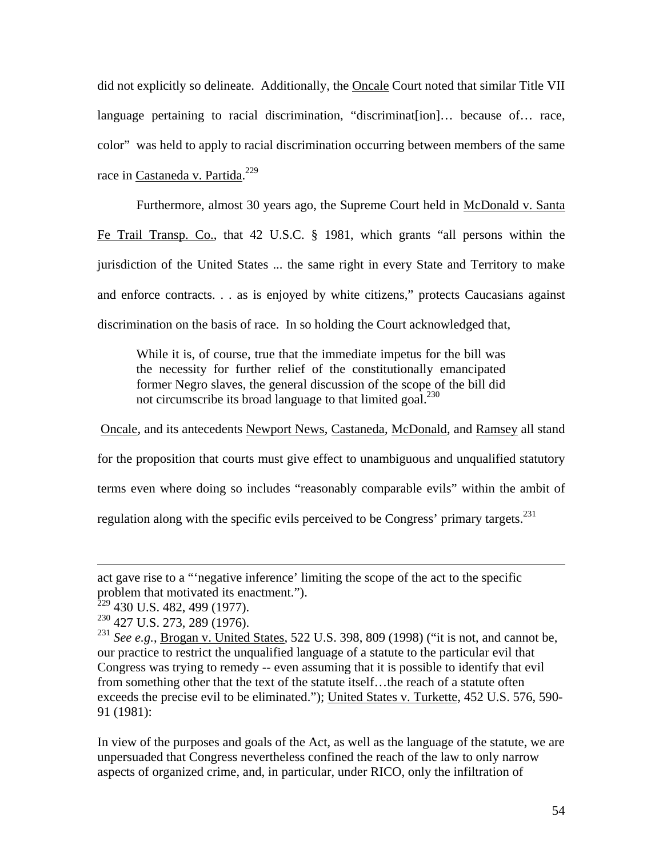did not explicitly so delineate. Additionally, the **Oncale Court noted that similar Title VII** language pertaining to racial discrimination, "discriminat[ion]… because of… race, color" was held to apply to racial discrimination occurring between members of the same race in Castaneda v. Partida.<sup>229</sup>

 Furthermore, almost 30 years ago, the Supreme Court held in McDonald v. Santa Fe Trail Transp. Co., that 42 U.S.C. § 1981, which grants "all persons within the jurisdiction of the United States ... the same right in every State and Territory to make and enforce contracts. . . as is enjoyed by white citizens," protects Caucasians against discrimination on the basis of race. In so holding the Court acknowledged that,

While it is, of course, true that the immediate impetus for the bill was the necessity for further relief of the constitutionally emancipated former Negro slaves, the general discussion of the scope of the bill did not circumscribe its broad language to that limited goal. $^{230}$ 

Oncale, and its antecedents Newport News, Castaneda, McDonald, and Ramsey all stand

for the proposition that courts must give effect to unambiguous and unqualified statutory

terms even where doing so includes "reasonably comparable evils" within the ambit of

regulation along with the specific evils perceived to be Congress' primary targets.<sup>231</sup>

1

In view of the purposes and goals of the Act, as well as the language of the statute, we are unpersuaded that Congress nevertheless confined the reach of the law to only narrow aspects of organized crime, and, in particular, under RICO, only the infiltration of

act gave rise to a "'negative inference' limiting the scope of the act to the specific problem that motivated its enactment.").

 $2^{229}$  430 U.S. 482, 499 (1977).

<sup>230 427</sup> U.S. 273, 289 (1976).

<sup>&</sup>lt;sup>231</sup> See e.g., **Brogan v. United States**, 522 U.S. 398, 809 (1998) ("it is not, and cannot be, our practice to restrict the unqualified language of a statute to the particular evil that Congress was trying to remedy -- even assuming that it is possible to identify that evil from something other that the text of the statute itself…the reach of a statute often exceeds the precise evil to be eliminated."); United States v. Turkette, 452 U.S. 576, 590- 91 (1981):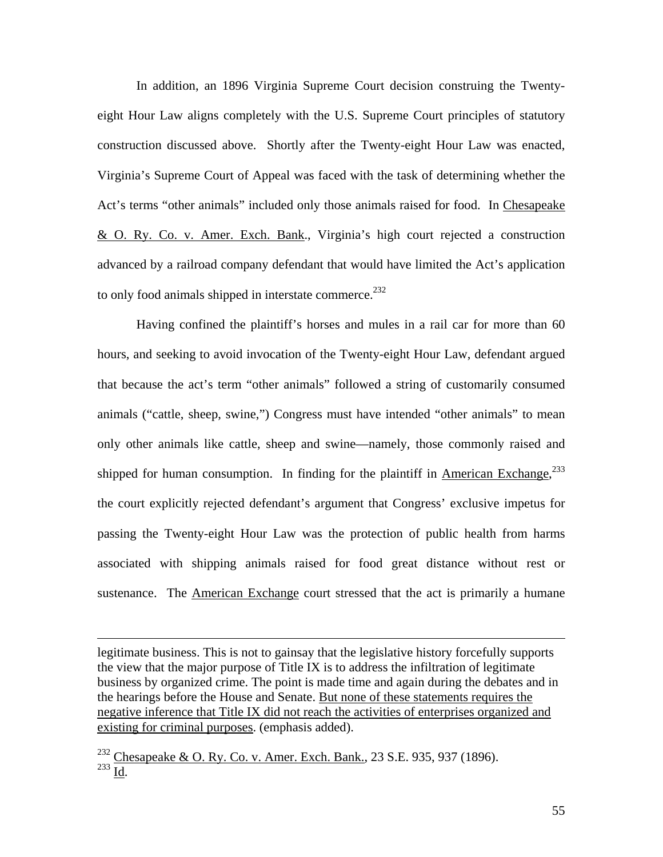In addition, an 1896 Virginia Supreme Court decision construing the Twentyeight Hour Law aligns completely with the U.S. Supreme Court principles of statutory construction discussed above. Shortly after the Twenty-eight Hour Law was enacted, Virginia's Supreme Court of Appeal was faced with the task of determining whether the Act's terms "other animals" included only those animals raised for food. In Chesapeake & O. Ry. Co. v. Amer. Exch. Bank., Virginia's high court rejected a construction advanced by a railroad company defendant that would have limited the Act's application to only food animals shipped in interstate commerce.<sup>232</sup>

Having confined the plaintiff's horses and mules in a rail car for more than 60 hours, and seeking to avoid invocation of the Twenty-eight Hour Law, defendant argued that because the act's term "other animals" followed a string of customarily consumed animals ("cattle, sheep, swine,") Congress must have intended "other animals" to mean only other animals like cattle, sheep and swine—namely, those commonly raised and shipped for human consumption. In finding for the plaintiff in  $\Delta$ merican Exchange,<sup>233</sup> the court explicitly rejected defendant's argument that Congress' exclusive impetus for passing the Twenty-eight Hour Law was the protection of public health from harms associated with shipping animals raised for food great distance without rest or sustenance. The American Exchange court stressed that the act is primarily a humane

legitimate business. This is not to gainsay that the legislative history forcefully supports the view that the major purpose of Title IX is to address the infiltration of legitimate business by organized crime. The point is made time and again during the debates and in the hearings before the House and Senate. But none of these statements requires the negative inference that Title IX did not reach the activities of enterprises organized and existing for criminal purposes. (emphasis added).

<sup>232</sup> Chesapeake & O. Ry. Co. v. <u>Amer. Exch. Bank.</u>, 23 S.E. 935, 937 (1896).  $^{233}$  Id.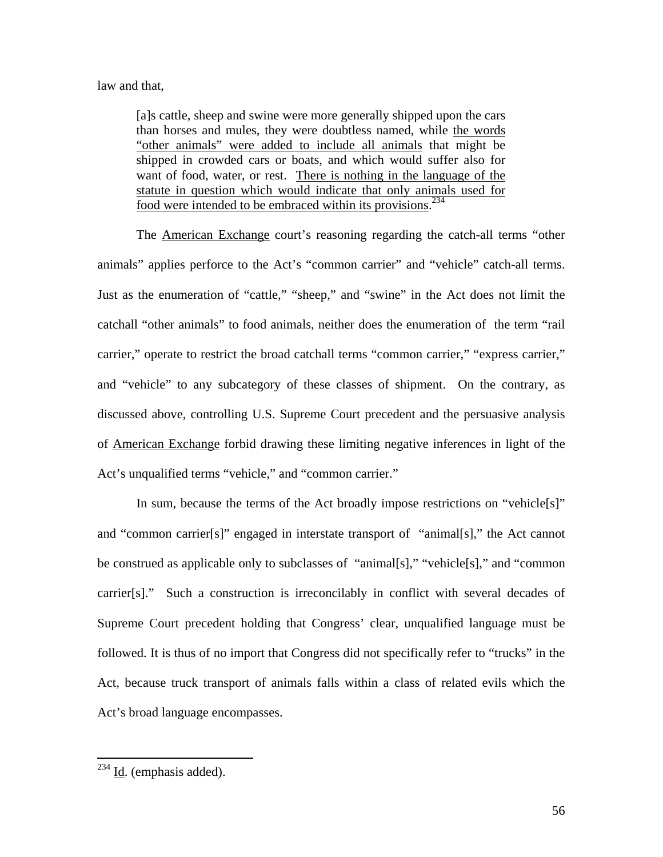#### law and that,

[a]s cattle, sheep and swine were more generally shipped upon the cars than horses and mules, they were doubtless named, while the words "other animals" were added to include all animals that might be shipped in crowded cars or boats, and which would suffer also for want of food, water, or rest. There is nothing in the language of the statute in question which would indicate that only animals used for food were intended to be embraced within its provisions.<sup>234</sup>

 The American Exchange court's reasoning regarding the catch-all terms "other animals" applies perforce to the Act's "common carrier" and "vehicle" catch-all terms. Just as the enumeration of "cattle," "sheep," and "swine" in the Act does not limit the catchall "other animals" to food animals, neither does the enumeration of the term "rail carrier," operate to restrict the broad catchall terms "common carrier," "express carrier," and "vehicle" to any subcategory of these classes of shipment. On the contrary, as discussed above, controlling U.S. Supreme Court precedent and the persuasive analysis of American Exchange forbid drawing these limiting negative inferences in light of the Act's unqualified terms "vehicle," and "common carrier."

In sum, because the terms of the Act broadly impose restrictions on "vehicle[s]" and "common carrier[s]" engaged in interstate transport of "animal[s]," the Act cannot be construed as applicable only to subclasses of "animal[s]," "vehicle[s]," and "common carrier[s]." Such a construction is irreconcilably in conflict with several decades of Supreme Court precedent holding that Congress' clear, unqualified language must be followed. It is thus of no import that Congress did not specifically refer to "trucks" in the Act, because truck transport of animals falls within a class of related evils which the Act's broad language encompasses.

 $^{234}$  Id. (emphasis added).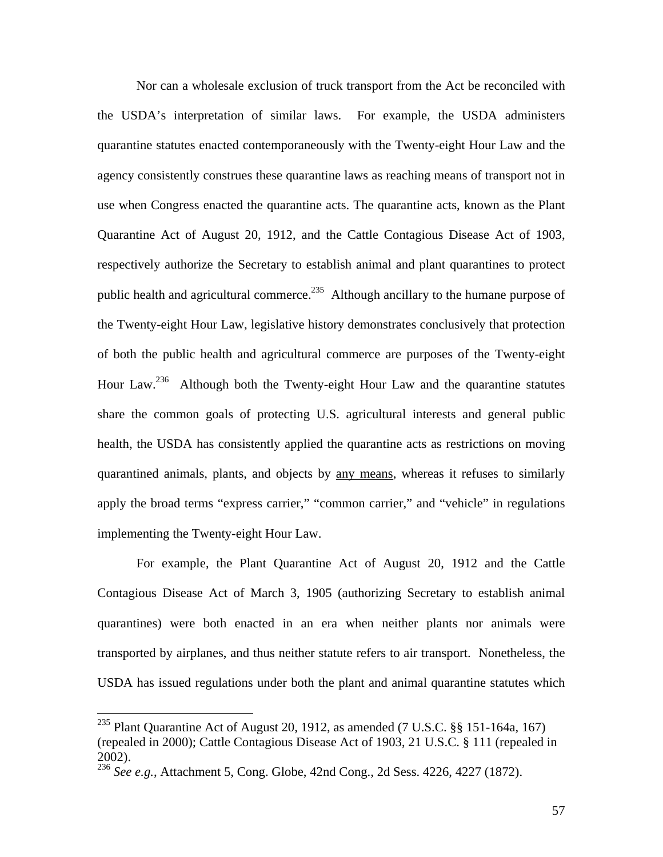Nor can a wholesale exclusion of truck transport from the Act be reconciled with the USDA's interpretation of similar laws. For example, the USDA administers quarantine statutes enacted contemporaneously with the Twenty-eight Hour Law and the agency consistently construes these quarantine laws as reaching means of transport not in use when Congress enacted the quarantine acts. The quarantine acts, known as the Plant Quarantine Act of August 20, 1912, and the Cattle Contagious Disease Act of 1903, respectively authorize the Secretary to establish animal and plant quarantines to protect public health and agricultural commerce.<sup>235</sup> Although ancillary to the humane purpose of the Twenty-eight Hour Law, legislative history demonstrates conclusively that protection of both the public health and agricultural commerce are purposes of the Twenty-eight Hour Law.<sup>236</sup> Although both the Twenty-eight Hour Law and the quarantine statutes share the common goals of protecting U.S. agricultural interests and general public health, the USDA has consistently applied the quarantine acts as restrictions on moving quarantined animals, plants, and objects by any means, whereas it refuses to similarly apply the broad terms "express carrier," "common carrier," and "vehicle" in regulations implementing the Twenty-eight Hour Law.

For example, the Plant Quarantine Act of August 20, 1912 and the Cattle Contagious Disease Act of March 3, 1905 (authorizing Secretary to establish animal quarantines) were both enacted in an era when neither plants nor animals were transported by airplanes, and thus neither statute refers to air transport. Nonetheless, the USDA has issued regulations under both the plant and animal quarantine statutes which

<sup>&</sup>lt;sup>235</sup> Plant Quarantine Act of August 20, 1912, as amended (7 U.S.C.  $\S$ § 151-164a, 167) (repealed in 2000); Cattle Contagious Disease Act of 1903, 21 U.S.C. § 111 (repealed in 2002).

<sup>&</sup>lt;sup>236</sup> *See e.g.*, Attachment 5, Cong. Globe, 42nd Cong., 2d Sess. 4226, 4227 (1872).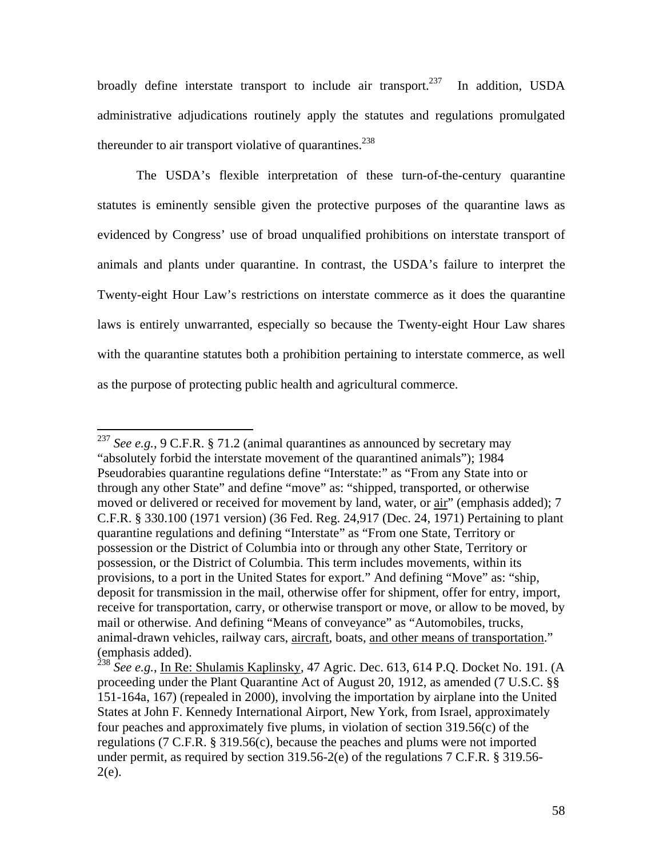broadly define interstate transport to include air transport.<sup>237</sup> In addition, USDA administrative adjudications routinely apply the statutes and regulations promulgated thereunder to air transport violative of quarantines.<sup>238</sup>

The USDA's flexible interpretation of these turn-of-the-century quarantine statutes is eminently sensible given the protective purposes of the quarantine laws as evidenced by Congress' use of broad unqualified prohibitions on interstate transport of animals and plants under quarantine. In contrast, the USDA's failure to interpret the Twenty-eight Hour Law's restrictions on interstate commerce as it does the quarantine laws is entirely unwarranted, especially so because the Twenty-eight Hour Law shares with the quarantine statutes both a prohibition pertaining to interstate commerce, as well as the purpose of protecting public health and agricultural commerce.

<sup>&</sup>lt;sup>237</sup> *See e.g.*, 9 C.F.R. § 71.2 (animal quarantines as announced by secretary may "absolutely forbid the interstate movement of the quarantined animals"); 1984 Pseudorabies quarantine regulations define "Interstate:" as "From any State into or through any other State" and define "move" as: "shipped, transported, or otherwise moved or delivered or received for movement by land, water, or air" (emphasis added); 7 C.F.R. § 330.100 (1971 version) (36 Fed. Reg. 24,917 (Dec. 24, 1971) Pertaining to plant quarantine regulations and defining "Interstate" as "From one State, Territory or possession or the District of Columbia into or through any other State, Territory or possession, or the District of Columbia. This term includes movements, within its provisions, to a port in the United States for export." And defining "Move" as: "ship, deposit for transmission in the mail, otherwise offer for shipment, offer for entry, import, receive for transportation, carry, or otherwise transport or move, or allow to be moved, by mail or otherwise. And defining "Means of conveyance" as "Automobiles, trucks, animal-drawn vehicles, railway cars, aircraft, boats, and other means of transportation." (emphasis added).

<sup>&</sup>lt;sup>238</sup> See e.g., In Re: Shulamis Kaplinsky, 47 Agric. Dec. 613, 614 P.Q. Docket No. 191. (A proceeding under the Plant Quarantine Act of August 20, 1912, as amended (7 U.S.C. §§ 151-164a, 167) (repealed in 2000), involving the importation by airplane into the United States at John F. Kennedy International Airport, New York, from Israel, approximately four peaches and approximately five plums, in violation of section 319.56(c) of the regulations (7 C.F.R. § 319.56(c), because the peaches and plums were not imported under permit, as required by section 319.56-2(e) of the regulations 7 C.F.R. § 319.56-  $2(e)$ .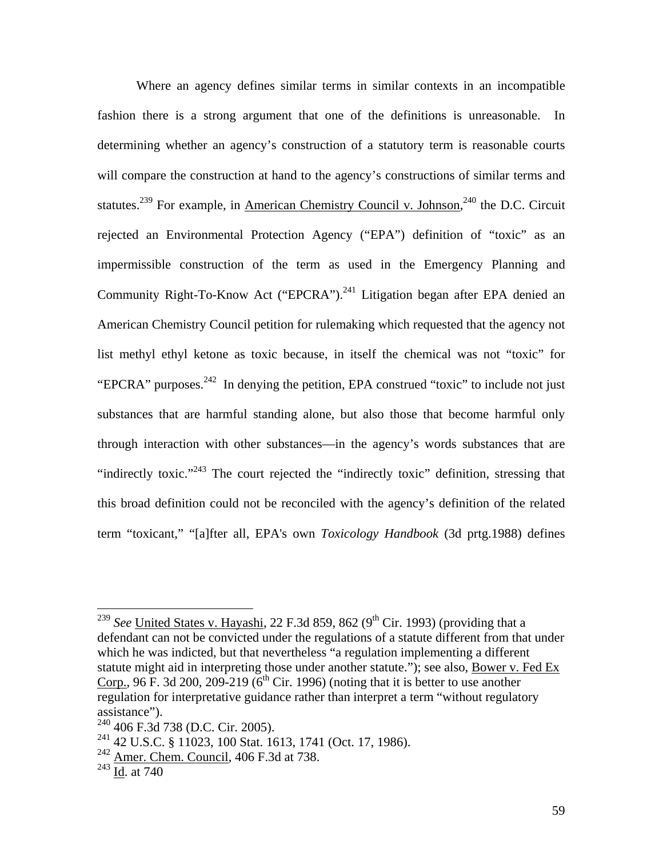Where an agency defines similar terms in similar contexts in an incompatible fashion there is a strong argument that one of the definitions is unreasonable. In determining whether an agency's construction of a statutory term is reasonable courts will compare the construction at hand to the agency's constructions of similar terms and statutes.<sup>239</sup> For example, in American Chemistry Council v. Johnson,<sup>240</sup> the D.C. Circuit rejected an Environmental Protection Agency ("EPA") definition of "toxic" as an impermissible construction of the term as used in the Emergency Planning and Community Right-To-Know Act ("EPCRA").<sup>241</sup> Litigation began after EPA denied an American Chemistry Council petition for rulemaking which requested that the agency not list methyl ethyl ketone as toxic because, in itself the chemical was not "toxic" for "EPCRA" purposes.<sup>242</sup> In denying the petition, EPA construed "toxic" to include not just substances that are harmful standing alone, but also those that become harmful only through interaction with other substances—in the agency's words substances that are "indirectly toxic."<sup>243</sup> The court rejected the "indirectly toxic" definition, stressing that this broad definition could not be reconciled with the agency's definition of the related term "toxicant," "[a]fter all, EPA's own *Toxicology Handbook* (3d prtg.1988) defines

<sup>&</sup>lt;sup>239</sup> *See* United States v. Hayashi, 22 F.3d 859, 862 (9<sup>th</sup> Cir. 1993) (providing that a defendant can not be convicted under the regulations of a statute different from that under which he was indicted, but that nevertheless "a regulation implementing a different statute might aid in interpreting those under another statute."); see also, **Bower v. Fed Ex** Corp., 96 F. 3d 200, 209-219 ( $6<sup>th</sup>$  Cir. 1996) (noting that it is better to use another regulation for interpretative guidance rather than interpret a term "without regulatory assistance").

<sup>240 406</sup> F.3d 738 (D.C. Cir. 2005).

<sup>241 42</sup> U.S.C. § 11023, 100 Stat. 1613, 1741 (Oct. 17, 1986).

<sup>&</sup>lt;sup>242</sup> Amer. Chem. Council, 406 F.3d at 738.

 $^{243}$  Id. at 740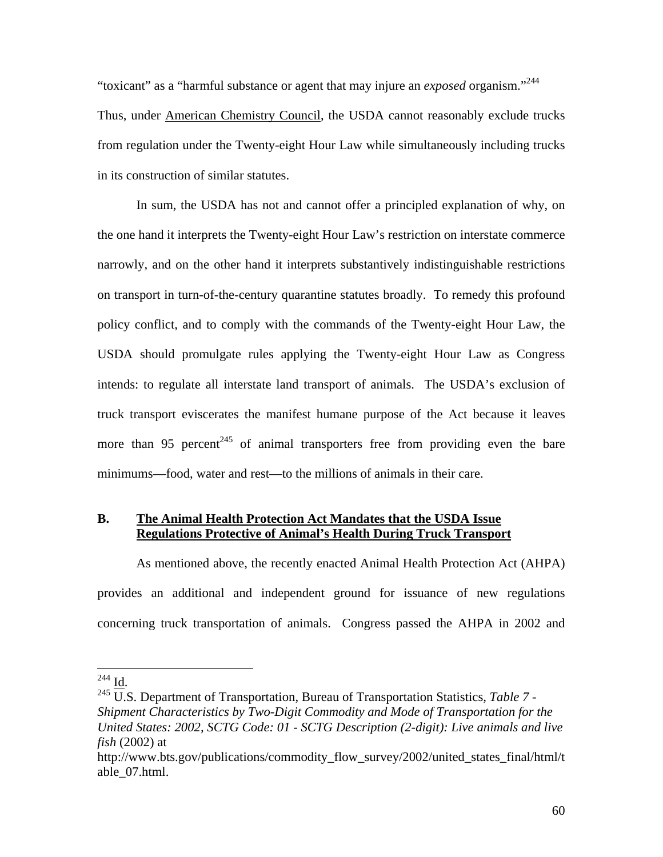"toxicant" as a "harmful substance or agent that may injure an *exposed* organism."244 Thus, under American Chemistry Council, the USDA cannot reasonably exclude trucks from regulation under the Twenty-eight Hour Law while simultaneously including trucks in its construction of similar statutes.

In sum, the USDA has not and cannot offer a principled explanation of why, on the one hand it interprets the Twenty-eight Hour Law's restriction on interstate commerce narrowly, and on the other hand it interprets substantively indistinguishable restrictions on transport in turn-of-the-century quarantine statutes broadly. To remedy this profound policy conflict, and to comply with the commands of the Twenty-eight Hour Law, the USDA should promulgate rules applying the Twenty-eight Hour Law as Congress intends: to regulate all interstate land transport of animals. The USDA's exclusion of truck transport eviscerates the manifest humane purpose of the Act because it leaves more than 95 percent<sup>245</sup> of animal transporters free from providing even the bare minimums—food, water and rest—to the millions of animals in their care.

# **B. The Animal Health Protection Act Mandates that the USDA Issue Regulations Protective of Animal's Health During Truck Transport**

As mentioned above, the recently enacted Animal Health Protection Act (AHPA) provides an additional and independent ground for issuance of new regulations concerning truck transportation of animals. Congress passed the AHPA in 2002 and

 $244$  Id.

 $^{245}$  U.S. Department of Transportation, Bureau of Transportation Statistics, *Table 7 -Shipment Characteristics by Two-Digit Commodity and Mode of Transportation for the United States: 2002, SCTG Code: 01 - SCTG Description (2-digit): Live animals and live fish* (2002) at

http://www.bts.gov/publications/commodity\_flow\_survey/2002/united\_states\_final/html/t able\_07.html.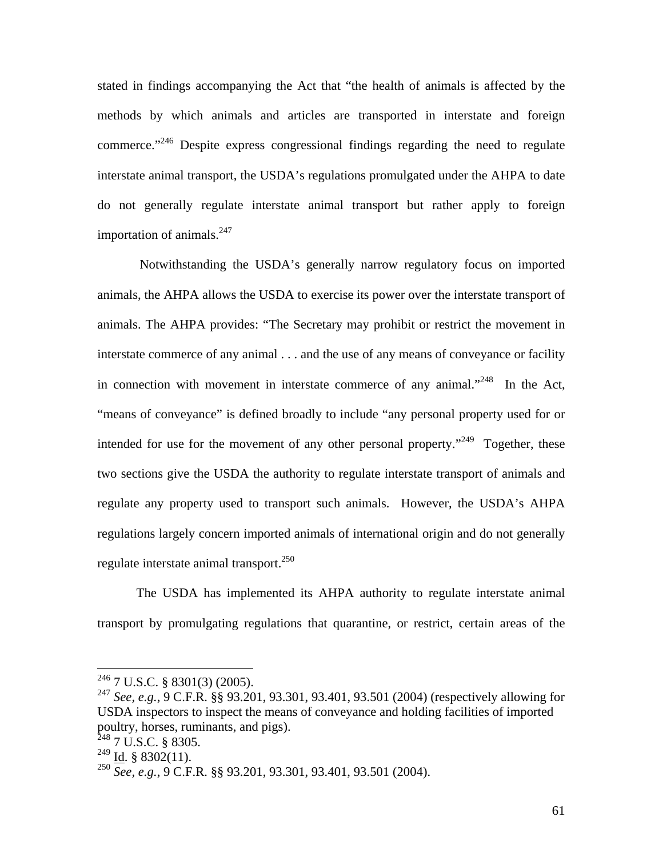stated in findings accompanying the Act that "the health of animals is affected by the methods by which animals and articles are transported in interstate and foreign commerce."<sup>246</sup> Despite express congressional findings regarding the need to regulate interstate animal transport, the USDA's regulations promulgated under the AHPA to date do not generally regulate interstate animal transport but rather apply to foreign importation of animals. $^{247}$ 

 Notwithstanding the USDA's generally narrow regulatory focus on imported animals, the AHPA allows the USDA to exercise its power over the interstate transport of animals. The AHPA provides: "The Secretary may prohibit or restrict the movement in interstate commerce of any animal . . . and the use of any means of conveyance or facility in connection with movement in interstate commerce of any animal."<sup>248</sup> In the Act, "means of conveyance" is defined broadly to include "any personal property used for or intended for use for the movement of any other personal property."<sup>249</sup> Together, these two sections give the USDA the authority to regulate interstate transport of animals and regulate any property used to transport such animals. However, the USDA's AHPA regulations largely concern imported animals of international origin and do not generally regulate interstate animal transport.<sup>250</sup>

 The USDA has implemented its AHPA authority to regulate interstate animal transport by promulgating regulations that quarantine, or restrict, certain areas of the

 $246$  7 U.S.C. § 8301(3) (2005).

<sup>247</sup> *See, e.g.*, 9 C.F.R. §§ 93.201, 93.301, 93.401, 93.501 (2004) (respectively allowing for USDA inspectors to inspect the means of conveyance and holding facilities of imported poultry, horses, ruminants, and pigs).

 $248$  7 U.S.C. § 8305.

 $^{249}$  Id. § 8302(11).

<sup>250</sup> *See, e.g.*, 9 C.F.R. §§ 93.201, 93.301, 93.401, 93.501 (2004).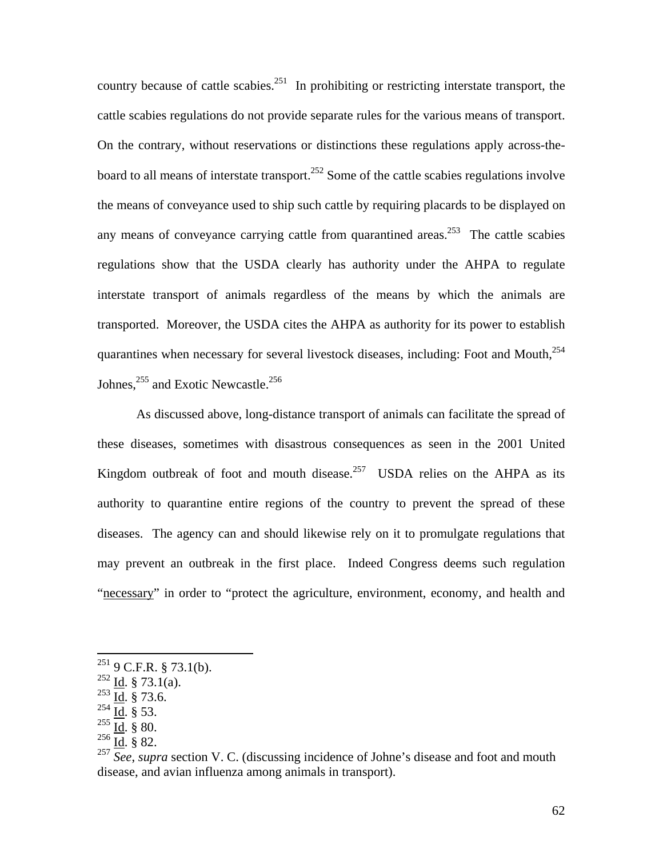country because of cattle scabies.<sup>251</sup> In prohibiting or restricting interstate transport, the cattle scabies regulations do not provide separate rules for the various means of transport. On the contrary, without reservations or distinctions these regulations apply across-theboard to all means of interstate transport.<sup>252</sup> Some of the cattle scabies regulations involve the means of conveyance used to ship such cattle by requiring placards to be displayed on any means of conveyance carrying cattle from quarantined areas.<sup>253</sup> The cattle scabies regulations show that the USDA clearly has authority under the AHPA to regulate interstate transport of animals regardless of the means by which the animals are transported. Moreover, the USDA cites the AHPA as authority for its power to establish quarantines when necessary for several livestock diseases, including: Foot and Mouth,254 Johnes,  $^{255}$  and Exotic Newcastle.<sup>256</sup>

 As discussed above, long-distance transport of animals can facilitate the spread of these diseases, sometimes with disastrous consequences as seen in the 2001 United Kingdom outbreak of foot and mouth disease.<sup>257</sup> USDA relies on the AHPA as its authority to quarantine entire regions of the country to prevent the spread of these diseases. The agency can and should likewise rely on it to promulgate regulations that may prevent an outbreak in the first place. Indeed Congress deems such regulation "necessary" in order to "protect the agriculture, environment, economy, and health and

 $251$  9 C.F.R. § 73.1(b).

 $252$  Id. § 73.1(a).

 $^{253}$   $\overline{\underline{Id}}$ . § 73.6.

 $^{254}$  Id. § 53.

 $^{255}$  Id. § 80.

 $^{256}$   $\overline{\underline{Id}}$ . § 82.

<sup>&</sup>lt;sup>257</sup> See, *supra* section V. C. (discussing incidence of Johne's disease and foot and mouth disease, and avian influenza among animals in transport).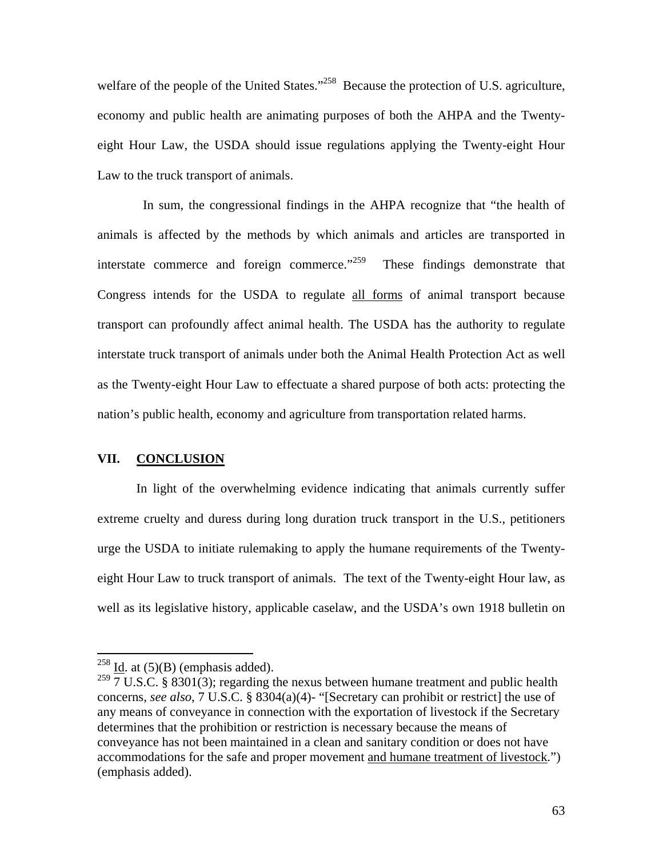welfare of the people of the United States."<sup>258</sup> Because the protection of U.S. agriculture, economy and public health are animating purposes of both the AHPA and the Twentyeight Hour Law, the USDA should issue regulations applying the Twenty-eight Hour Law to the truck transport of animals.

 In sum, the congressional findings in the AHPA recognize that "the health of animals is affected by the methods by which animals and articles are transported in interstate commerce and foreign commerce.<sup>"259</sup> These findings demonstrate that Congress intends for the USDA to regulate all forms of animal transport because transport can profoundly affect animal health. The USDA has the authority to regulate interstate truck transport of animals under both the Animal Health Protection Act as well as the Twenty-eight Hour Law to effectuate a shared purpose of both acts: protecting the nation's public health, economy and agriculture from transportation related harms.

### **VII. CONCLUSION**

In light of the overwhelming evidence indicating that animals currently suffer extreme cruelty and duress during long duration truck transport in the U.S., petitioners urge the USDA to initiate rulemaking to apply the humane requirements of the Twentyeight Hour Law to truck transport of animals. The text of the Twenty-eight Hour law, as well as its legislative history, applicable caselaw, and the USDA's own 1918 bulletin on

 $^{258}$  <u>Id</u>. at (5)(B) (emphasis added).

<sup>&</sup>lt;sup>259</sup>  $\frac{1}{7}$  U.S.C. § 8301(3); regarding the nexus between humane treatment and public health concerns, *see also*, 7 U.S.C. § 8304(a)(4)- "[Secretary can prohibit or restrict] the use of any means of conveyance in connection with the exportation of livestock if the Secretary determines that the prohibition or restriction is necessary because the means of conveyance has not been maintained in a clean and sanitary condition or does not have accommodations for the safe and proper movement and humane treatment of livestock.") (emphasis added).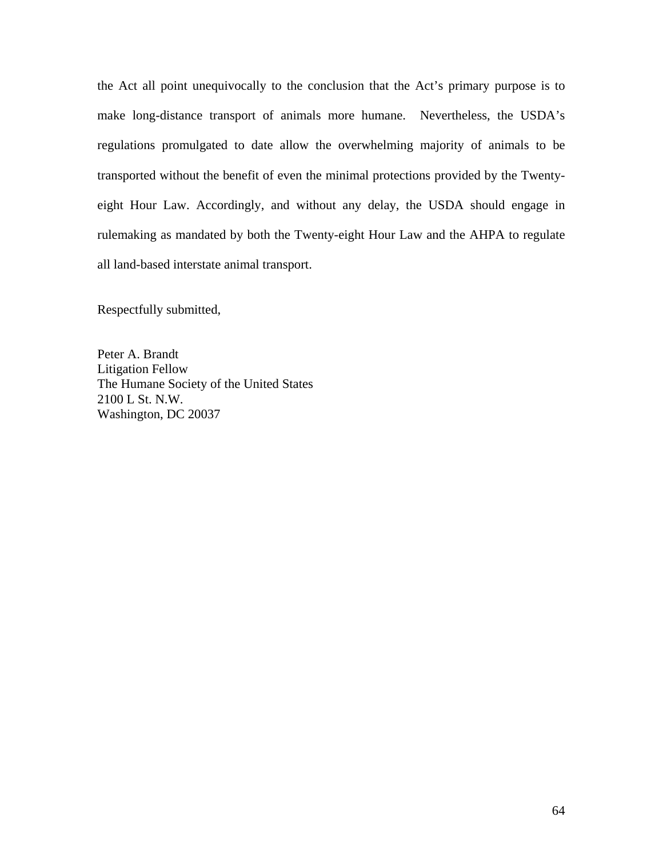the Act all point unequivocally to the conclusion that the Act's primary purpose is to make long-distance transport of animals more humane. Nevertheless, the USDA's regulations promulgated to date allow the overwhelming majority of animals to be transported without the benefit of even the minimal protections provided by the Twentyeight Hour Law. Accordingly, and without any delay, the USDA should engage in rulemaking as mandated by both the Twenty-eight Hour Law and the AHPA to regulate all land-based interstate animal transport.

Respectfully submitted,

Peter A. Brandt Litigation Fellow The Humane Society of the United States 2100 L St. N.W. Washington, DC 20037